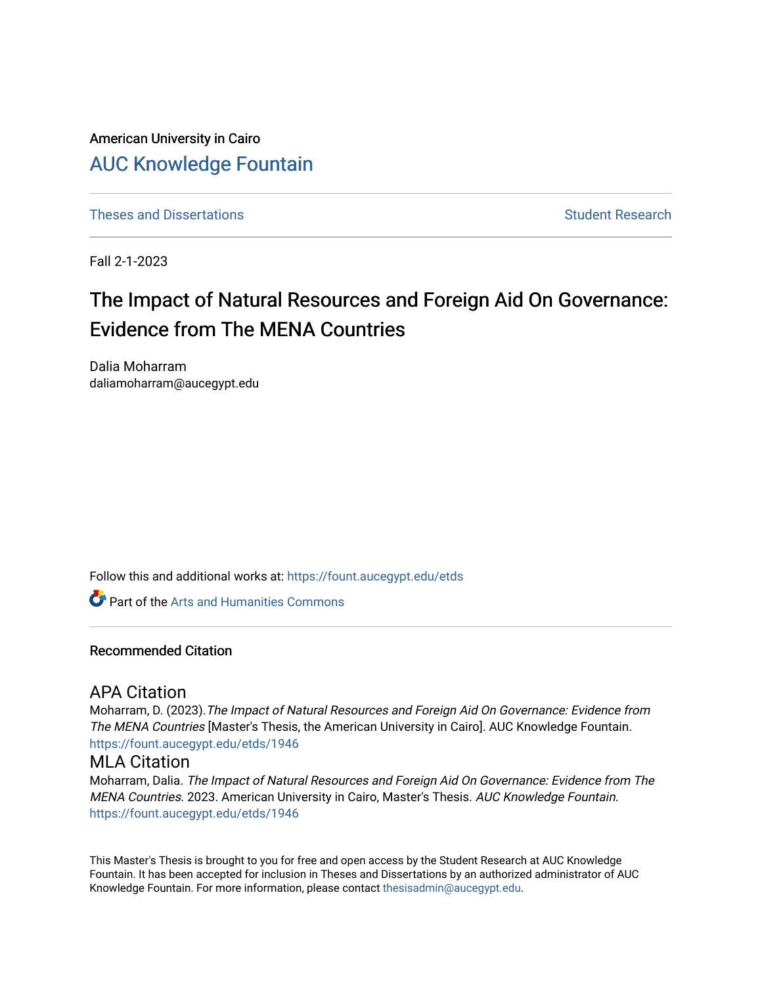American University in Cairo [AUC Knowledge Fountain](https://fount.aucegypt.edu/) 

[Theses and Dissertations](https://fount.aucegypt.edu/etds) Student Research

Fall 2-1-2023

# The Impact of Natural Resources and Foreign Aid On Governance: Evidence from The MENA Countries

Dalia Moharram daliamoharram@aucegypt.edu

Follow this and additional works at: [https://fount.aucegypt.edu/etds](https://fount.aucegypt.edu/etds?utm_source=fount.aucegypt.edu%2Fetds%2F1946&utm_medium=PDF&utm_campaign=PDFCoverPages) 

**C** Part of the Arts and Humanities Commons

#### Recommended Citation

### APA Citation

Moharram, D. (2023).The Impact of Natural Resources and Foreign Aid On Governance: Evidence from The MENA Countries [Master's Thesis, the American University in Cairo]. AUC Knowledge Fountain. [https://fount.aucegypt.edu/etds/1946](https://fount.aucegypt.edu/etds/1946?utm_source=fount.aucegypt.edu%2Fetds%2F1946&utm_medium=PDF&utm_campaign=PDFCoverPages)

#### MLA Citation

Moharram, Dalia. The Impact of Natural Resources and Foreign Aid On Governance: Evidence from The MENA Countries. 2023. American University in Cairo, Master's Thesis. AUC Knowledge Fountain. [https://fount.aucegypt.edu/etds/1946](https://fount.aucegypt.edu/etds/1946?utm_source=fount.aucegypt.edu%2Fetds%2F1946&utm_medium=PDF&utm_campaign=PDFCoverPages)

This Master's Thesis is brought to you for free and open access by the Student Research at AUC Knowledge Fountain. It has been accepted for inclusion in Theses and Dissertations by an authorized administrator of AUC Knowledge Fountain. For more information, please contact [thesisadmin@aucegypt.edu.](mailto:thesisadmin@aucegypt.edu)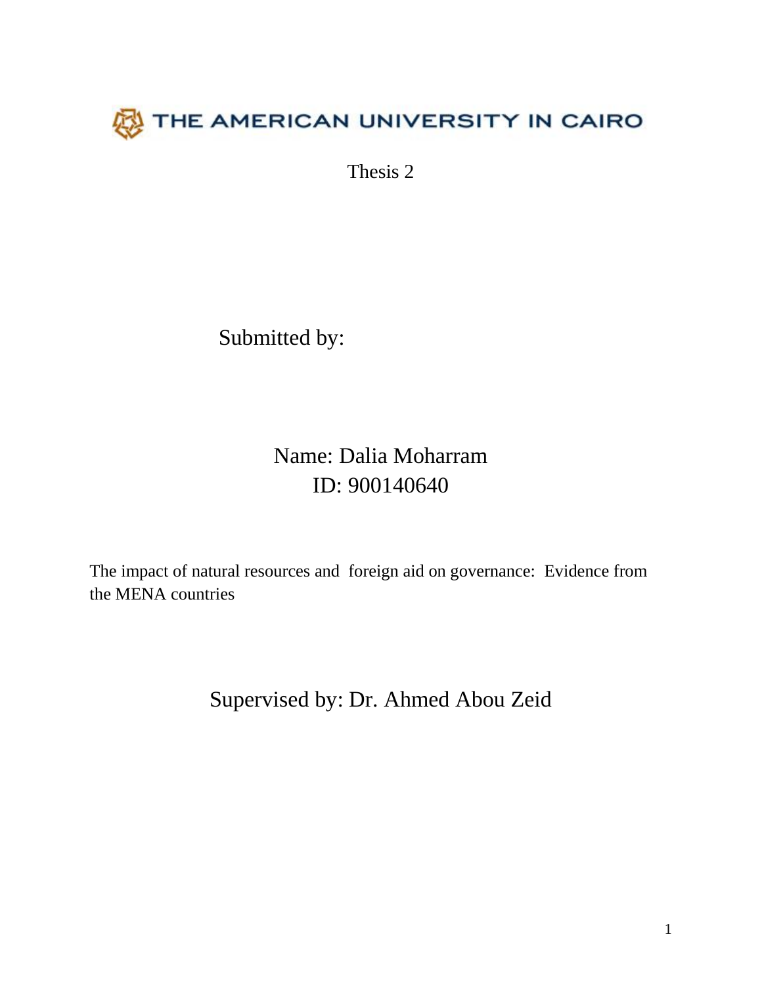

Thesis 2

Submitted by:

Name: Dalia Moharram ID: 900140640

The impact of natural resources and foreign aid on governance: Evidence from the MENA countries

Supervised by: Dr. Ahmed Abou Zeid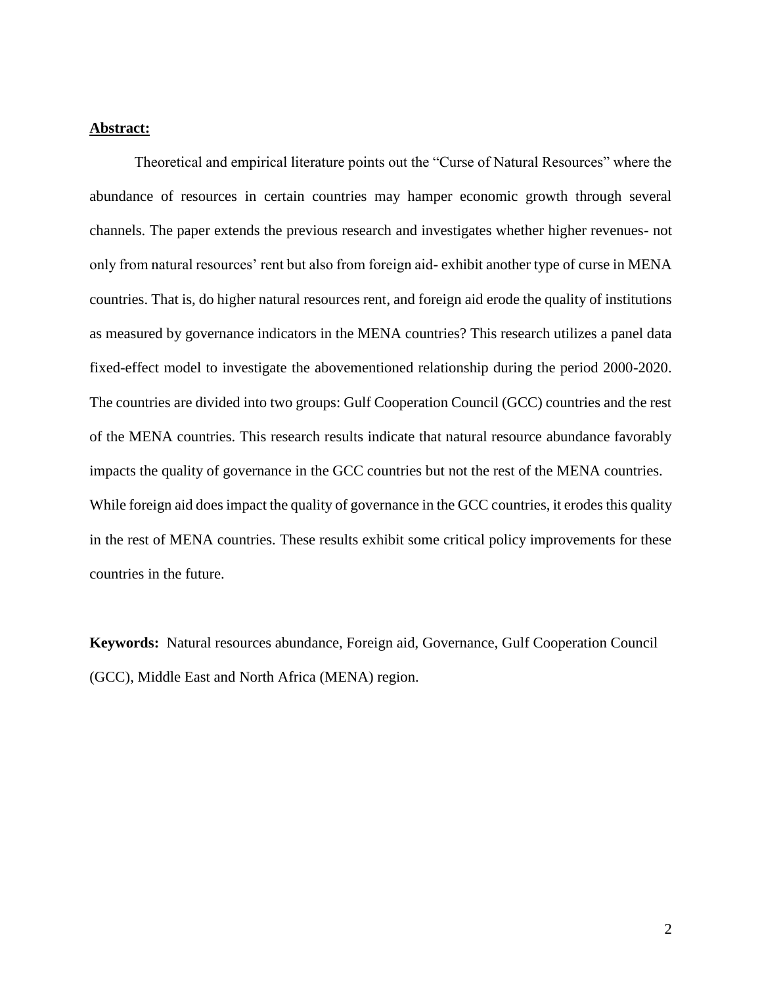#### **Abstract:**

Theoretical and empirical literature points out the "Curse of Natural Resources" where the abundance of resources in certain countries may hamper economic growth through several channels. The paper extends the previous research and investigates whether higher revenues- not only from natural resources' rent but also from foreign aid- exhibit another type of curse in MENA countries. That is, do higher natural resources rent, and foreign aid erode the quality of institutions as measured by governance indicators in the MENA countries? This research utilizes a panel data fixed-effect model to investigate the abovementioned relationship during the period 2000-2020. The countries are divided into two groups: Gulf Cooperation Council (GCC) countries and the rest of the MENA countries. This research results indicate that natural resource abundance favorably impacts the quality of governance in the GCC countries but not the rest of the MENA countries. While foreign aid does impact the quality of governance in the GCC countries, it erodes this quality in the rest of MENA countries. These results exhibit some critical policy improvements for these countries in the future.

**Keywords:** Natural resources abundance, Foreign aid, Governance, Gulf Cooperation Council (GCC), Middle East and North Africa (MENA) region.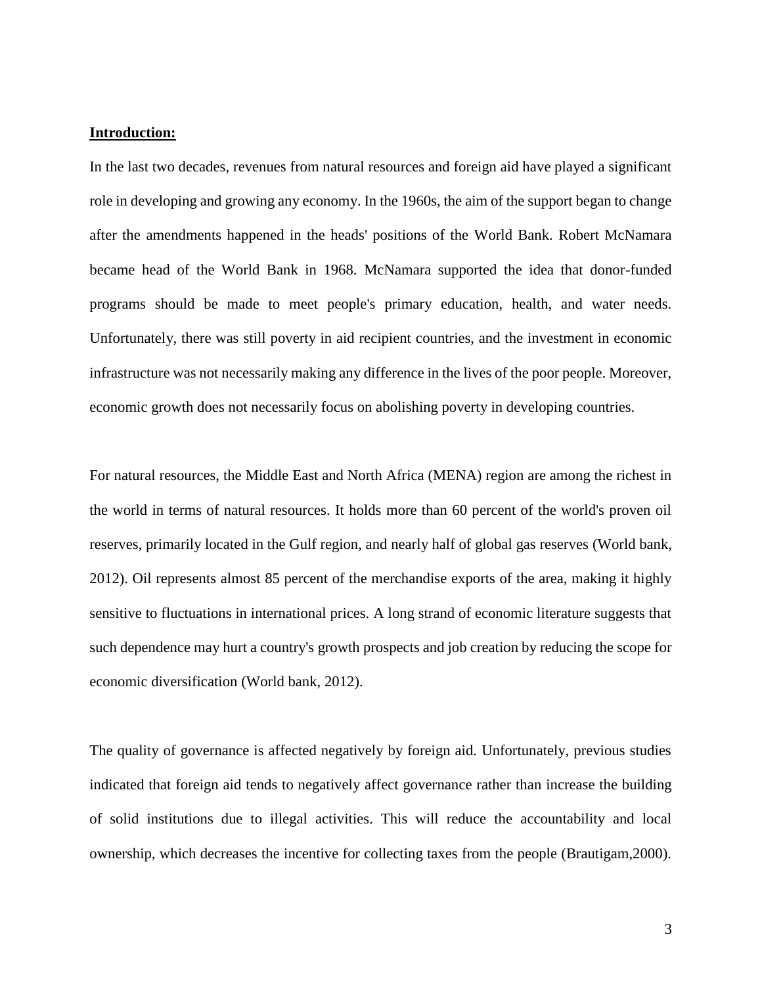#### **Introduction:**

In the last two decades, revenues from natural resources and foreign aid have played a significant role in developing and growing any economy. In the 1960s, the aim of the support began to change after the amendments happened in the heads' positions of the World Bank. Robert McNamara became head of the World Bank in 1968. McNamara supported the idea that donor-funded programs should be made to meet people's primary education, health, and water needs. Unfortunately, there was still poverty in aid recipient countries, and the investment in economic infrastructure was not necessarily making any difference in the lives of the poor people. Moreover, economic growth does not necessarily focus on abolishing poverty in developing countries.

For natural resources, the Middle East and North Africa (MENA) region are among the richest in the world in terms of natural resources. It holds more than 60 percent of the world's proven oil reserves, primarily located in the Gulf region, and nearly half of global gas reserves (World bank, 2012). Oil represents almost 85 percent of the merchandise exports of the area, making it highly sensitive to fluctuations in international prices. A long strand of economic literature suggests that such dependence may hurt a country's growth prospects and job creation by reducing the scope for economic diversification (World bank, 2012).

The quality of governance is affected negatively by foreign aid. Unfortunately, previous studies indicated that foreign aid tends to negatively affect governance rather than increase the building of solid institutions due to illegal activities. This will reduce the accountability and local ownership, which decreases the incentive for collecting taxes from the people (Brautigam,2000).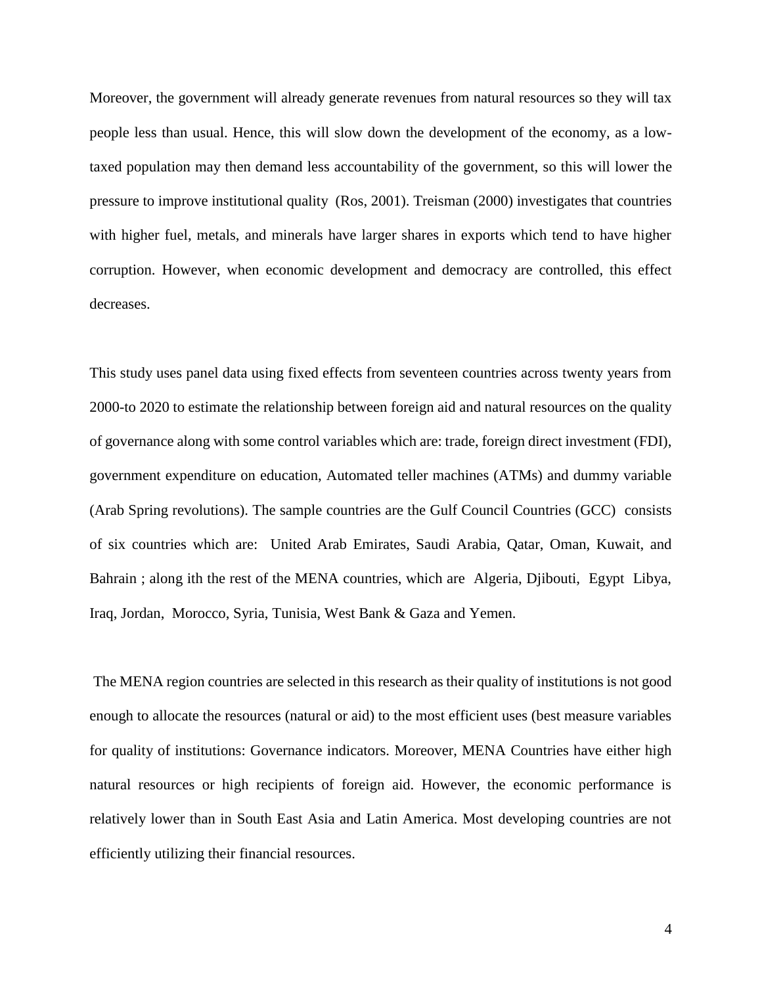Moreover, the government will already generate revenues from natural resources so they will tax people less than usual. Hence, this will slow down the development of the economy, as a lowtaxed population may then demand less accountability of the government, so this will lower the pressure to improve institutional quality (Ros, 2001). Treisman (2000) investigates that countries with higher fuel, metals, and minerals have larger shares in exports which tend to have higher corruption. However, when economic development and democracy are controlled, this effect decreases.

This study uses panel data using fixed effects from seventeen countries across twenty years from 2000-to 2020 to estimate the relationship between foreign aid and natural resources on the quality of governance along with some control variables which are: trade, foreign direct investment (FDI), government expenditure on education, Automated teller machines (ATMs) and dummy variable (Arab Spring revolutions). The sample countries are the Gulf Council Countries (GCC) consists of six countries which are: United Arab Emirates, Saudi Arabia, Qatar, Oman, Kuwait, and Bahrain ; along ith the rest of the MENA countries, which are Algeria, Djibouti, Egypt Libya, Iraq, Jordan, Morocco, Syria, Tunisia, West Bank & Gaza and Yemen.

The MENA region countries are selected in this research as their quality of institutions is not good enough to allocate the resources (natural or aid) to the most efficient uses (best measure variables for quality of institutions: Governance indicators. Moreover, MENA Countries have either high natural resources or high recipients of foreign aid. However, the economic performance is relatively lower than in South East Asia and Latin America. Most developing countries are not efficiently utilizing their financial resources.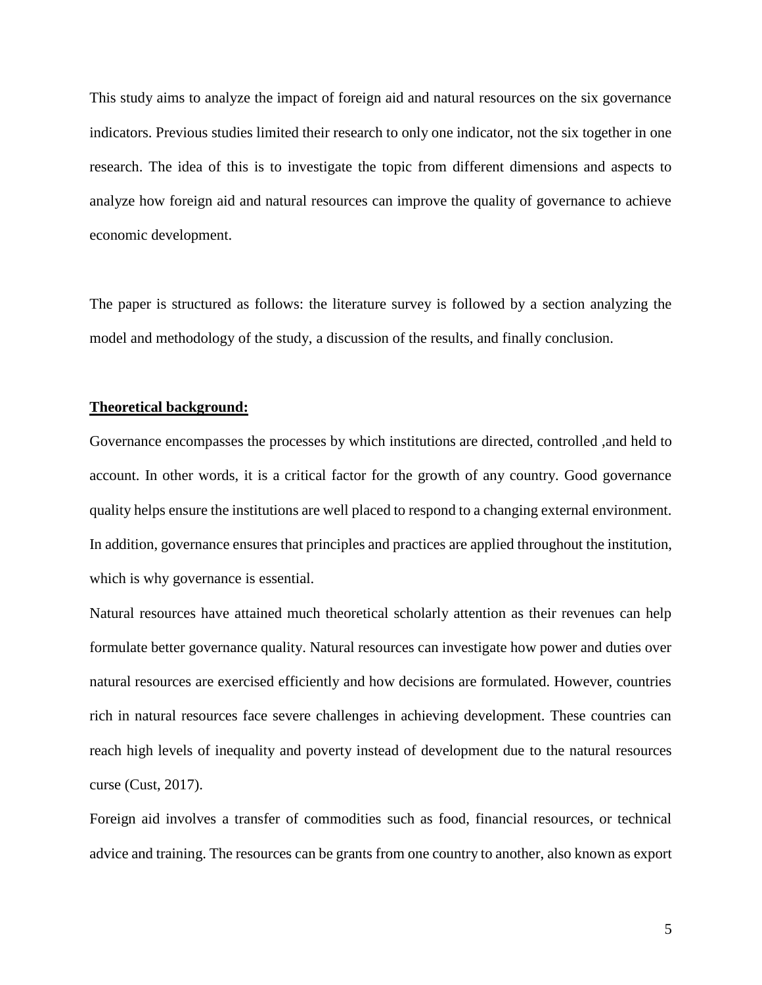This study aims to analyze the impact of foreign aid and natural resources on the six governance indicators. Previous studies limited their research to only one indicator, not the six together in one research. The idea of this is to investigate the topic from different dimensions and aspects to analyze how foreign aid and natural resources can improve the quality of governance to achieve economic development.

The paper is structured as follows: the literature survey is followed by a section analyzing the model and methodology of the study, a discussion of the results, and finally conclusion.

#### **Theoretical background:**

Governance encompasses the processes by which institutions are directed, controlled ,and held to account. In other words, it is a critical factor for the growth of any country. Good governance quality helps ensure the institutions are well placed to respond to a changing external environment. In addition, governance ensures that principles and practices are applied throughout the institution, which is why governance is essential.

Natural resources have attained much theoretical scholarly attention as their revenues can help formulate better governance quality. Natural resources can investigate how power and duties over natural resources are exercised efficiently and how decisions are formulated. However, countries rich in natural resources face severe challenges in achieving development. These countries can reach high levels of inequality and poverty instead of development due to the natural resources curse (Cust, 2017).

Foreign aid involves a transfer of commodities such as food, financial resources, or technical advice and training. The resources can be grants from one country to another, also known as export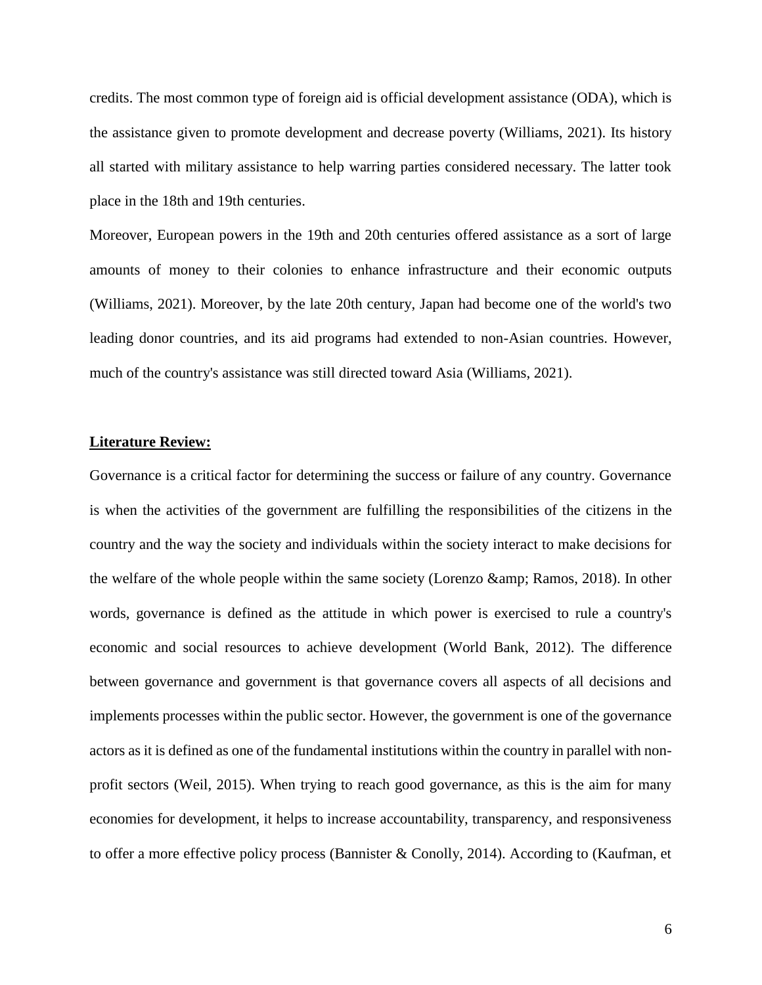credits. The most common type of foreign aid is official development assistance (ODA), which is the assistance given to promote [development](https://www.britannica.com/topic/economic-development) and decrease poverty (Williams, 2021). Its history all started with military assistance to help warring parties considered necessary. The latter took place in the 18th and 19th centuries.

Moreover, European powers in the 19th and 20th centuries offered assistance as a sort of large amounts of money to their colonies to enhance infrastructure and their economic outputs (Williams, 2021). Moreover, by the late 20th century, Japan had become one of the world's two leading donor countries, and its aid programs had extended to non-Asian countries. However, much of the country's assistance was still directed toward Asia (Williams, 2021).

#### **Literature Review:**

Governance is a critical factor for determining the success or failure of any country. Governance is when the activities of the government are fulfilling the responsibilities of the citizens in the country and the way the society and individuals within the society interact to make decisions for the welfare of the whole people within the same society (Lorenzo  $\&$ amp; Ramos, 2018). In other words, governance is defined as the attitude in which power is exercised to rule a country's economic and social resources to achieve development (World Bank, 2012). The difference between governance and government is that governance covers all aspects of all decisions and implements processes within the public sector. However, the government is one of the governance actors as it is defined as one of the fundamental institutions within the country in parallel with nonprofit sectors (Weil, 2015). When trying to reach good governance, as this is the aim for many economies for development, it helps to increase accountability, transparency, and responsiveness to offer a more effective policy process (Bannister & Conolly, 2014). According to (Kaufman, et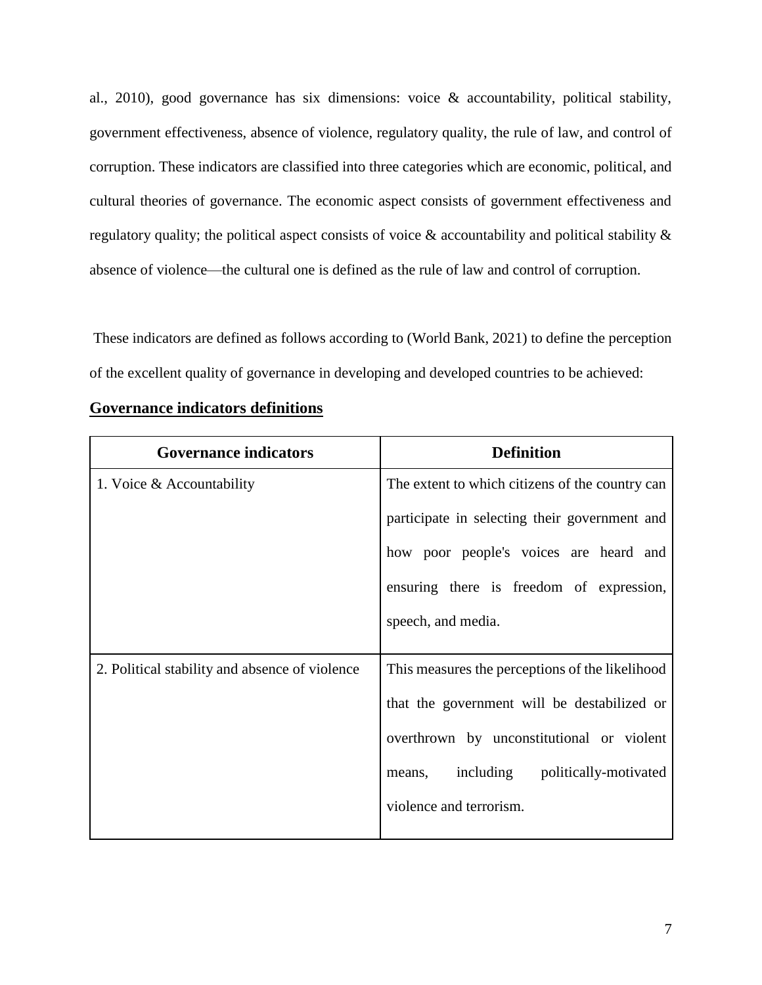al., 2010), good governance has six dimensions: voice & accountability, political stability, government effectiveness, absence of violence, regulatory quality, the rule of law, and control of corruption. These indicators are classified into three categories which are economic, political, and cultural theories of governance. The economic aspect consists of government effectiveness and regulatory quality; the political aspect consists of voice & accountability and political stability & absence of violence—the cultural one is defined as the rule of law and control of corruption.

These indicators are defined as follows according to (World Bank, 2021) to define the perception of the excellent quality of governance in developing and developed countries to be achieved:

| <b>Governance indicators</b>                   | <b>Definition</b>                               |
|------------------------------------------------|-------------------------------------------------|
| 1. Voice & Accountability                      | The extent to which citizens of the country can |
|                                                | participate in selecting their government and   |
|                                                | how poor people's voices are heard and          |
|                                                | ensuring there is freedom of expression,        |
|                                                | speech, and media.                              |
|                                                |                                                 |
| 2. Political stability and absence of violence | This measures the perceptions of the likelihood |
|                                                | that the government will be destabilized or     |
|                                                | overthrown by unconstitutional or violent       |
|                                                | including politically-motivated<br>means,       |
|                                                | violence and terrorism.                         |
|                                                |                                                 |

### **Governance indicators definitions**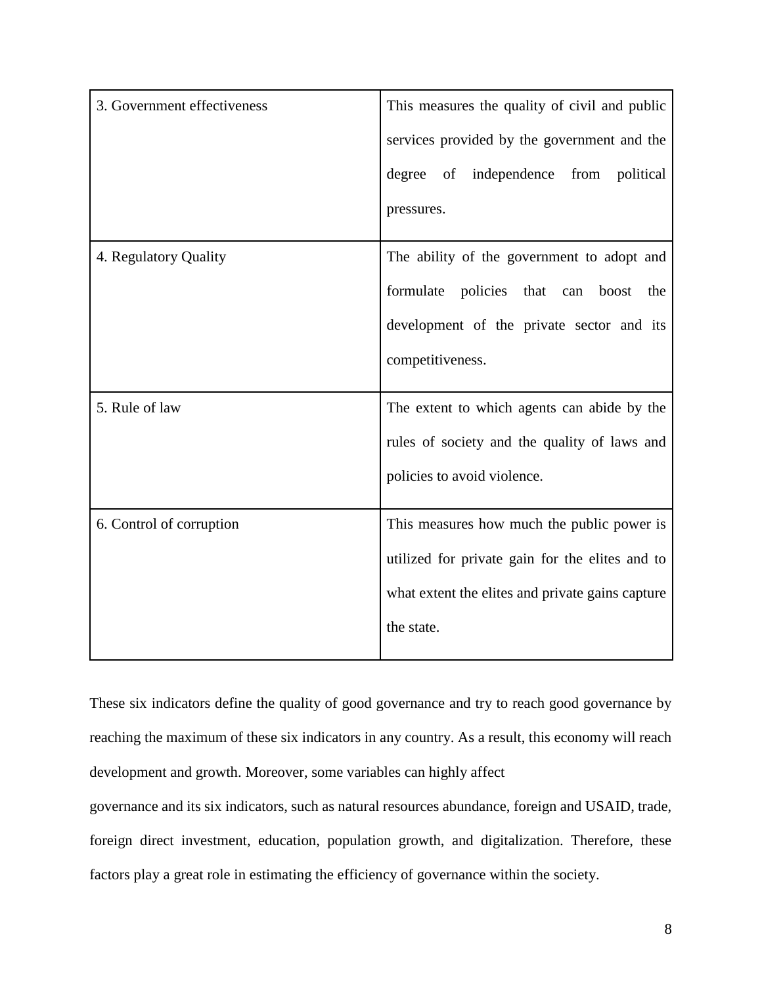| 3. Government effectiveness | This measures the quality of civil and public    |
|-----------------------------|--------------------------------------------------|
|                             | services provided by the government and the      |
|                             | degree of independence from political            |
|                             | pressures.                                       |
| 4. Regulatory Quality       | The ability of the government to adopt and       |
|                             | formulate<br>policies that can<br>boost<br>the   |
|                             | development of the private sector and its        |
|                             | competitiveness.                                 |
| 5. Rule of law              | The extent to which agents can abide by the      |
|                             | rules of society and the quality of laws and     |
|                             | policies to avoid violence.                      |
| 6. Control of corruption    | This measures how much the public power is       |
|                             | utilized for private gain for the elites and to  |
|                             | what extent the elites and private gains capture |
|                             | the state.                                       |

These six indicators define the quality of good governance and try to reach good governance by reaching the maximum of these six indicators in any country. As a result, this economy will reach development and growth. Moreover, some variables can highly affect

governance and its six indicators, such as natural resources abundance, foreign and USAID, trade, foreign direct investment, education, population growth, and digitalization. Therefore, these factors play a great role in estimating the efficiency of governance within the society.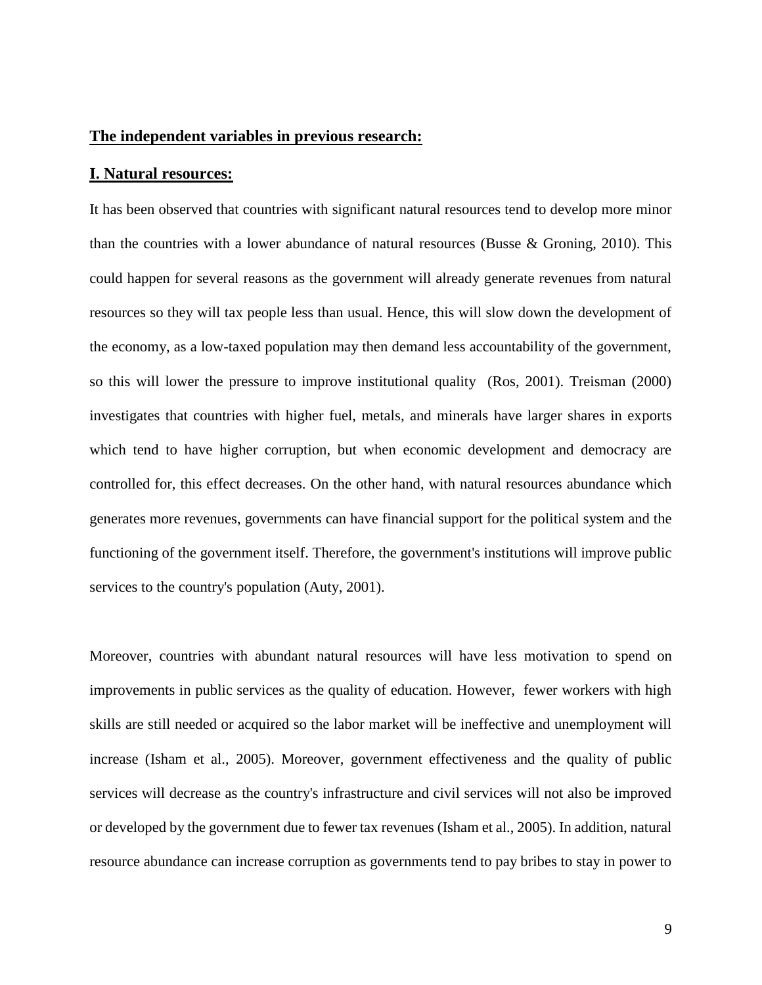#### **The independent variables in previous research:**

#### **I. Natural resources:**

It has been observed that countries with significant natural resources tend to develop more minor than the countries with a lower abundance of natural resources (Busse & Groning, 2010). This could happen for several reasons as the government will already generate revenues from natural resources so they will tax people less than usual. Hence, this will slow down the development of the economy, as a low-taxed population may then demand less accountability of the government, so this will lower the pressure to improve institutional quality (Ros, 2001). Treisman (2000) investigates that countries with higher fuel, metals, and minerals have larger shares in exports which tend to have higher corruption, but when economic development and democracy are controlled for, this effect decreases. On the other hand, with natural resources abundance which generates more revenues, governments can have financial support for the political system and the functioning of the government itself. Therefore, the government's institutions will improve public services to the country's population (Auty, 2001).

Moreover, countries with abundant natural resources will have less motivation to spend on improvements in public services as the quality of education. However, fewer workers with high skills are still needed or acquired so the labor market will be ineffective and unemployment will increase (Isham et al., 2005). Moreover, government effectiveness and the quality of public services will decrease as the country's infrastructure and civil services will not also be improved or developed by the government due to fewer tax revenues (Isham et al., 2005). In addition, natural resource abundance can increase corruption as governments tend to pay bribes to stay in power to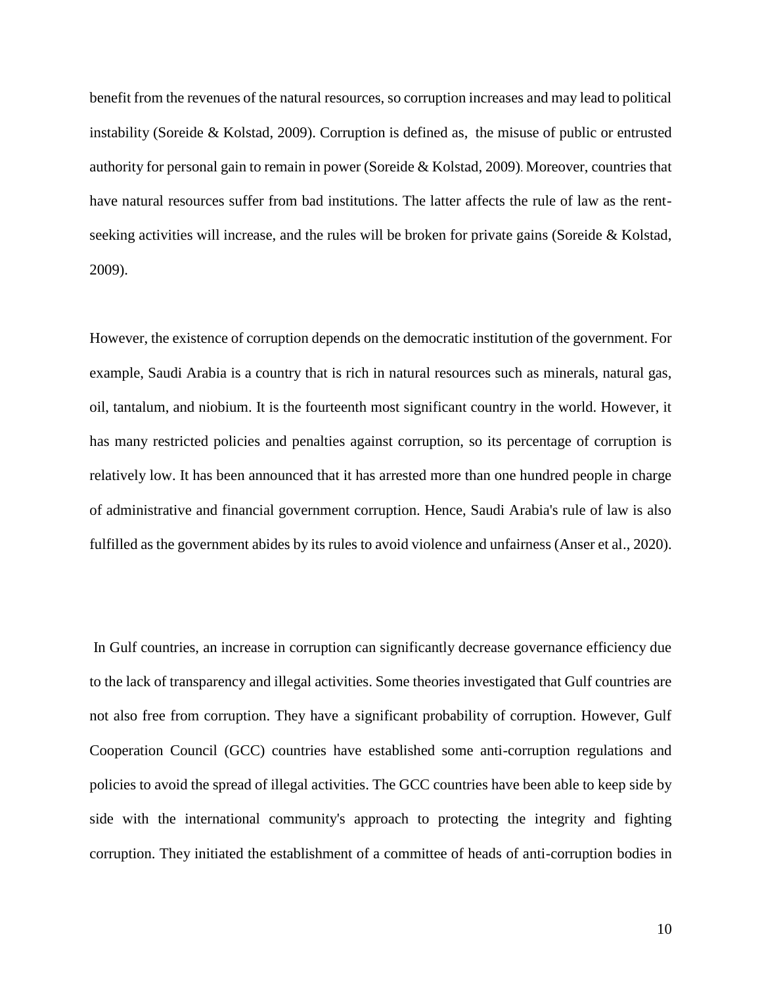benefit from the revenues of the natural resources, so corruption increases and may lead to political instability (Soreide & Kolstad, 2009). Corruption is defined as, the misuse of public or entrusted authority for personal gain to remain in power (Soreide & Kolstad, 2009). Moreover, countries that have natural resources suffer from bad institutions. The latter affects the rule of law as the rentseeking activities will increase, and the rules will be broken for private gains (Soreide & Kolstad, 2009).

However, the existence of corruption depends on the democratic institution of the government. For example, Saudi Arabia is a country that is rich in natural resources such as minerals, natural gas, oil, tantalum, and niobium. It is the fourteenth most significant country in the world. However, it has many restricted policies and penalties against corruption, so its percentage of corruption is relatively low. It has been announced that it has arrested more than one hundred people in charge of administrative and financial government corruption. Hence, Saudi Arabia's rule of law is also fulfilled as the government abides by its rules to avoid violence and unfairness (Anser et al., 2020).

In Gulf countries, an increase in corruption can significantly decrease governance efficiency due to the lack of transparency and illegal activities. Some theories investigated that Gulf countries are not also free from corruption. They have a significant probability of corruption. However, Gulf Cooperation Council (GCC) countries have established some anti-corruption regulations and policies to avoid the spread of illegal activities. The GCC countries have been able to keep side by side with the international community's approach to protecting the integrity and fighting corruption. They initiated the establishment of a committee of heads of anti-corruption bodies in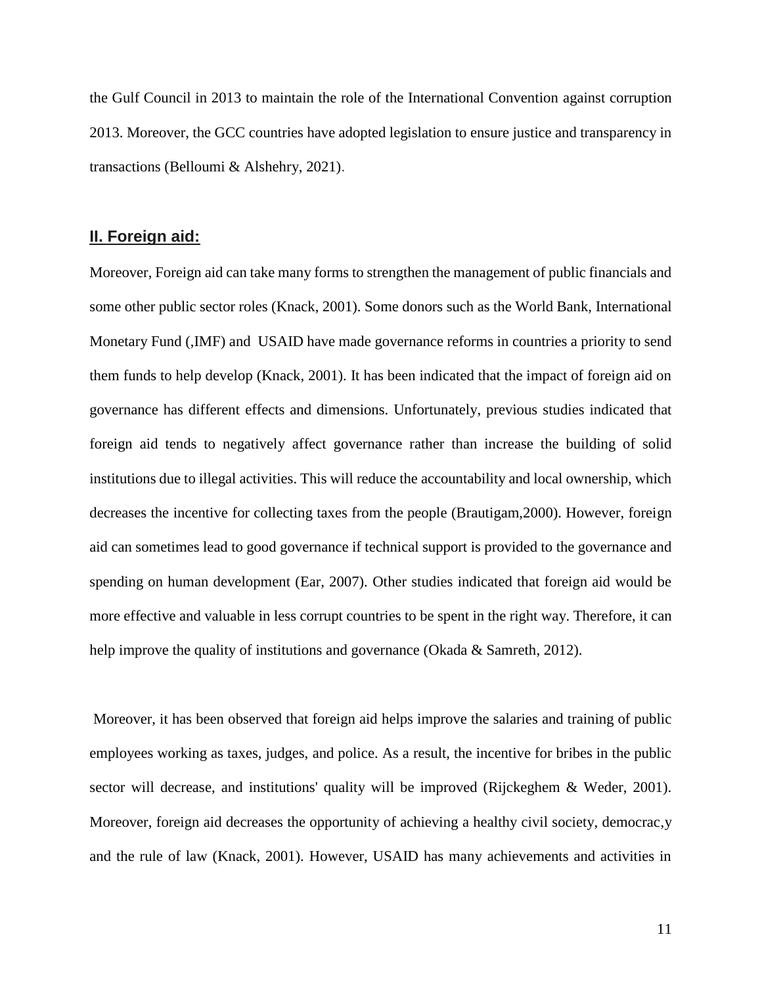the Gulf Council in 2013 to maintain the role of the International Convention against corruption 2013. Moreover, the GCC countries have adopted legislation to ensure justice and transparency in transactions (Belloumi & Alshehry, 2021).

### **II. Foreign aid:**

Moreover, Foreign aid can take many forms to strengthen the management of public financials and some other public sector roles (Knack, 2001). Some donors such as the World Bank, International Monetary Fund (,IMF) and USAID have made governance reforms in countries a priority to send them funds to help develop (Knack, 2001). It has been indicated that the impact of foreign aid on governance has different effects and dimensions. Unfortunately, previous studies indicated that foreign aid tends to negatively affect governance rather than increase the building of solid institutions due to illegal activities. This will reduce the accountability and local ownership, which decreases the incentive for collecting taxes from the people (Brautigam,2000). However, foreign aid can sometimes lead to good governance if technical support is provided to the governance and spending on human development (Ear, 2007). Other studies indicated that foreign aid would be more effective and valuable in less corrupt countries to be spent in the right way. Therefore, it can help improve the quality of institutions and governance (Okada & Samreth, 2012).

Moreover, it has been observed that foreign aid helps improve the salaries and training of public employees working as taxes, judges, and police. As a result, the incentive for bribes in the public sector will decrease, and institutions' quality will be improved (Rijckeghem & Weder, 2001). Moreover, foreign aid decreases the opportunity of achieving a healthy civil society, democrac,y and the rule of law (Knack, 2001). However, USAID has many achievements and activities in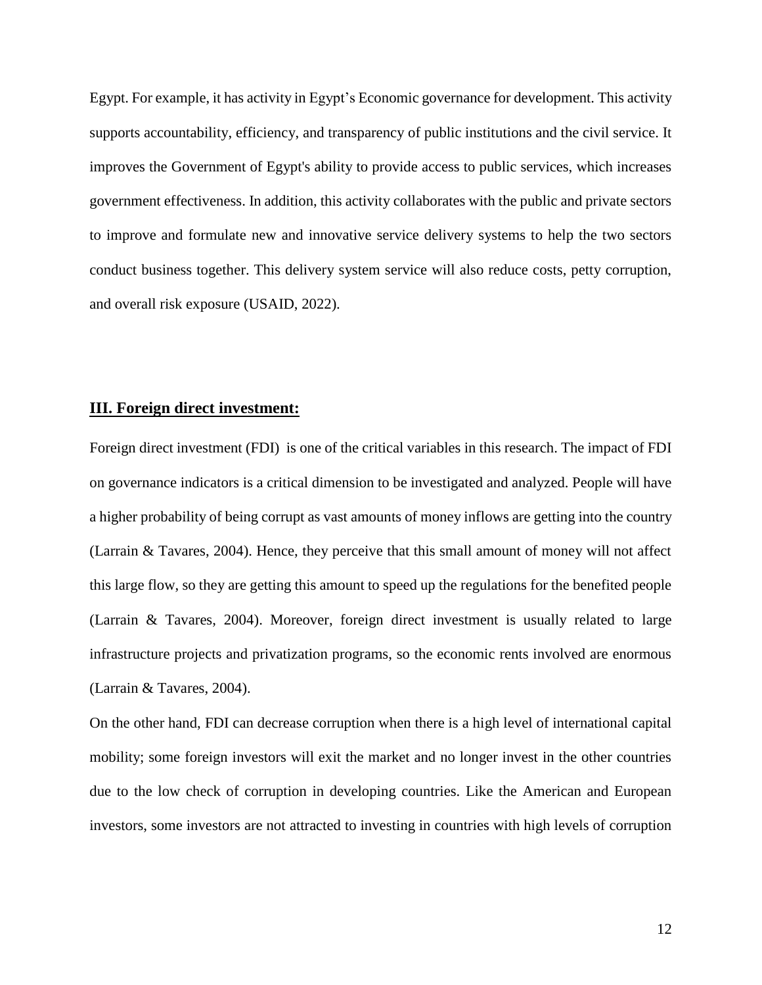Egypt. For example, it has activity in Egypt's Economic governance for development. This activity supports accountability, efficiency, and transparency of public institutions and the civil service. It improves the Government of Egypt's ability to provide access to public services, which increases government effectiveness. In addition, this activity collaborates with the public and private sectors to improve and formulate new and innovative service delivery systems to help the two sectors conduct business together. This delivery system service will also reduce costs, petty corruption, and overall risk exposure (USAID, 2022).

#### **III. Foreign direct investment:**

Foreign direct investment (FDI) is one of the critical variables in this research. The impact of FDI on governance indicators is a critical dimension to be investigated and analyzed. People will have a higher probability of being corrupt as vast amounts of money inflows are getting into the country (Larrain & Tavares, 2004). Hence, they perceive that this small amount of money will not affect this large flow, so they are getting this amount to speed up the regulations for the benefited people (Larrain & Tavares, 2004). Moreover, foreign direct investment is usually related to large infrastructure projects and privatization programs, so the economic rents involved are enormous (Larrain & Tavares, 2004).

On the other hand, FDI can decrease corruption when there is a high level of international capital mobility; some foreign investors will exit the market and no longer invest in the other countries due to the low check of corruption in developing countries. Like the American and European investors, some investors are not attracted to investing in countries with high levels of corruption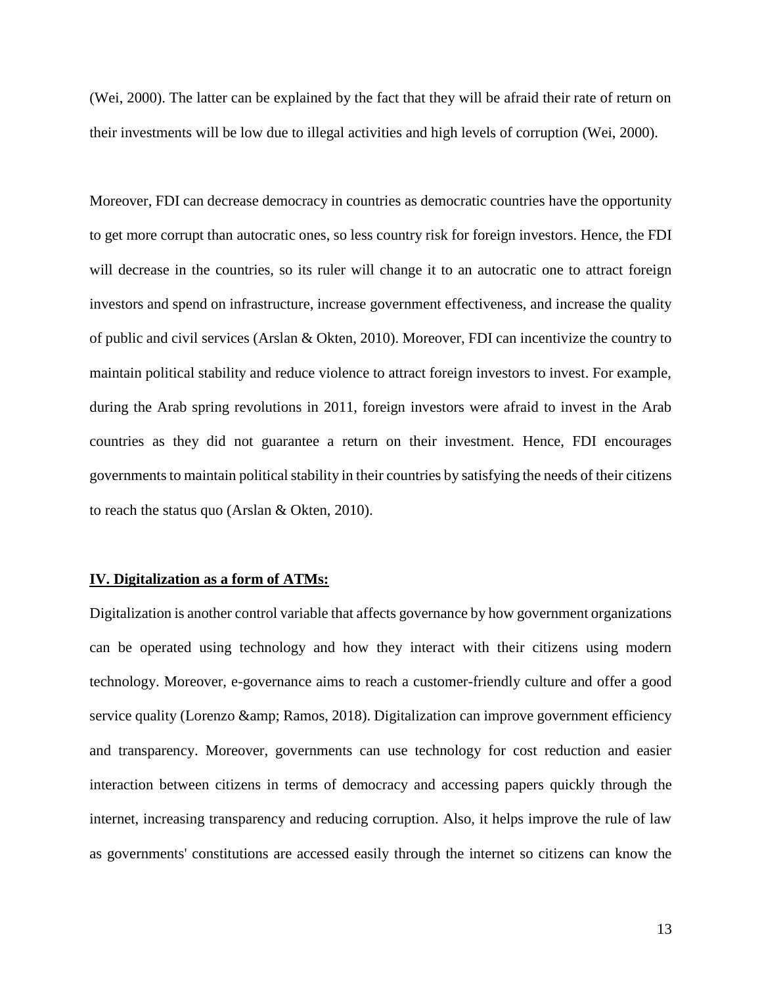(Wei, 2000). The latter can be explained by the fact that they will be afraid their rate of return on their investments will be low due to illegal activities and high levels of corruption (Wei, 2000).

Moreover, FDI can decrease democracy in countries as democratic countries have the opportunity to get more corrupt than autocratic ones, so less country risk for foreign investors. Hence, the FDI will decrease in the countries, so its ruler will change it to an autocratic one to attract foreign investors and spend on infrastructure, increase government effectiveness, and increase the quality of public and civil services (Arslan & Okten, 2010). Moreover, FDI can incentivize the country to maintain political stability and reduce violence to attract foreign investors to invest. For example, during the Arab spring revolutions in 2011, foreign investors were afraid to invest in the Arab countries as they did not guarantee a return on their investment. Hence, FDI encourages governments to maintain political stability in their countries by satisfying the needs of their citizens to reach the status quo (Arslan & Okten, 2010).

#### **IV. Digitalization as a form of ATMs:**

Digitalization is another control variable that affects governance by how government organizations can be operated using technology and how they interact with their citizens using modern technology. Moreover, e-governance aims to reach a customer-friendly culture and offer a good service quality (Lorenzo & amp; Ramos, 2018). Digitalization can improve government efficiency and transparency. Moreover, governments can use technology for cost reduction and easier interaction between citizens in terms of democracy and accessing papers quickly through the internet, increasing transparency and reducing corruption. Also, it helps improve the rule of law as governments' constitutions are accessed easily through the internet so citizens can know the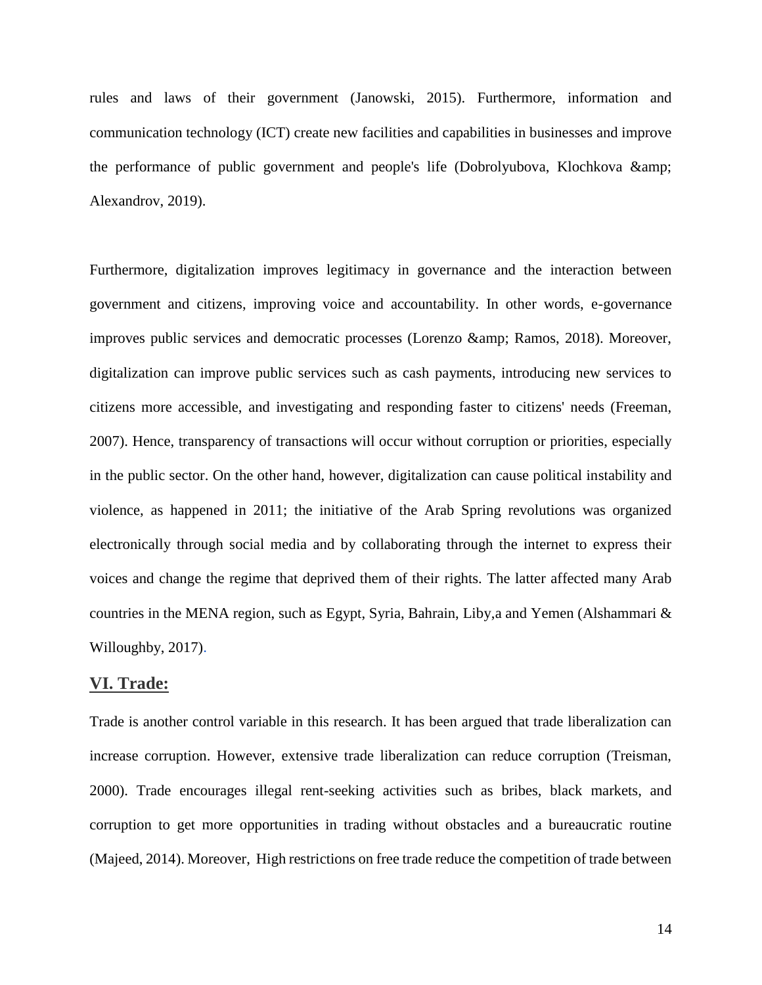rules and laws of their government (Janowski, 2015). Furthermore, information and communication technology (ICT) create new facilities and capabilities in businesses and improve the performance of public government and people's life (Dobrolyubova, Klochkova & Alexandrov, 2019).

Furthermore, digitalization improves legitimacy in governance and the interaction between government and citizens, improving voice and accountability. In other words, e-governance improves public services and democratic processes (Lorenzo & amp; Ramos, 2018). Moreover, digitalization can improve public services such as cash payments, introducing new services to citizens more accessible, and investigating and responding faster to citizens' needs (Freeman, 2007). Hence, transparency of transactions will occur without corruption or priorities, especially in the public sector. On the other hand, however, digitalization can cause political instability and violence, as happened in 2011; the initiative of the Arab Spring revolutions was organized electronically through social media and by collaborating through the internet to express their voices and change the regime that deprived them of their rights. The latter affected many Arab countries in the MENA region, such as Egypt, Syria, Bahrain, Liby,a and Yemen [\(Alshammari](https://www.researchgate.net/publication/profile/Nayef-Alshammari?_sg%5B0%5D=rU_PL1AuYahu1ScV_Vr4AZGLr1IO4c8EB1kYw0cqXqD2w5KfvuaxDTC7CmRBR9WW10CVj-A.PzZmf8agWkgekFlvUFhL603Yvbo9YW_5OwS-W6bUg5gon7QsP5Olle5xPc7RxlDHissPire-tqt_43KXTn9ItA&_sg%5B1%5D=0D8SQtx8zVkzUv3b_cTYz8CgaAWSInJ50R04RQMryEgSrZIEASBhcSaFP5Zmka5tfQNNngY.PUOCEhwOqtKIaM543tKs9AkEqb-2jGOuc6k_l1aJmV7gI3uSlRYdulX7inJ8imWxbvOAfy7V3oN6-Ll2UG26Sw) & [Willoughby,](https://www.researchgate.net/publication/profile/John-Willoughby-4?_sg%5B0%5D=rU_PL1AuYahu1ScV_Vr4AZGLr1IO4c8EB1kYw0cqXqD2w5KfvuaxDTC7CmRBR9WW10CVj-A.PzZmf8agWkgekFlvUFhL603Yvbo9YW_5OwS-W6bUg5gon7QsP5Olle5xPc7RxlDHissPire-tqt_43KXTn9ItA&_sg%5B1%5D=0D8SQtx8zVkzUv3b_cTYz8CgaAWSInJ50R04RQMryEgSrZIEASBhcSaFP5Zmka5tfQNNngY.PUOCEhwOqtKIaM543tKs9AkEqb-2jGOuc6k_l1aJmV7gI3uSlRYdulX7inJ8imWxbvOAfy7V3oN6-Ll2UG26Sw) 2017).

### **VI. Trade:**

Trade is another control variable in this research. It has been argued that trade liberalization can increase corruption. However, extensive trade liberalization can reduce corruption (Treisman, 2000). Trade encourages illegal rent-seeking activities such as bribes, black markets, and corruption to get more opportunities in trading without obstacles and a bureaucratic routine (Majeed, 2014). Moreover, High restrictions on free trade reduce the competition of trade between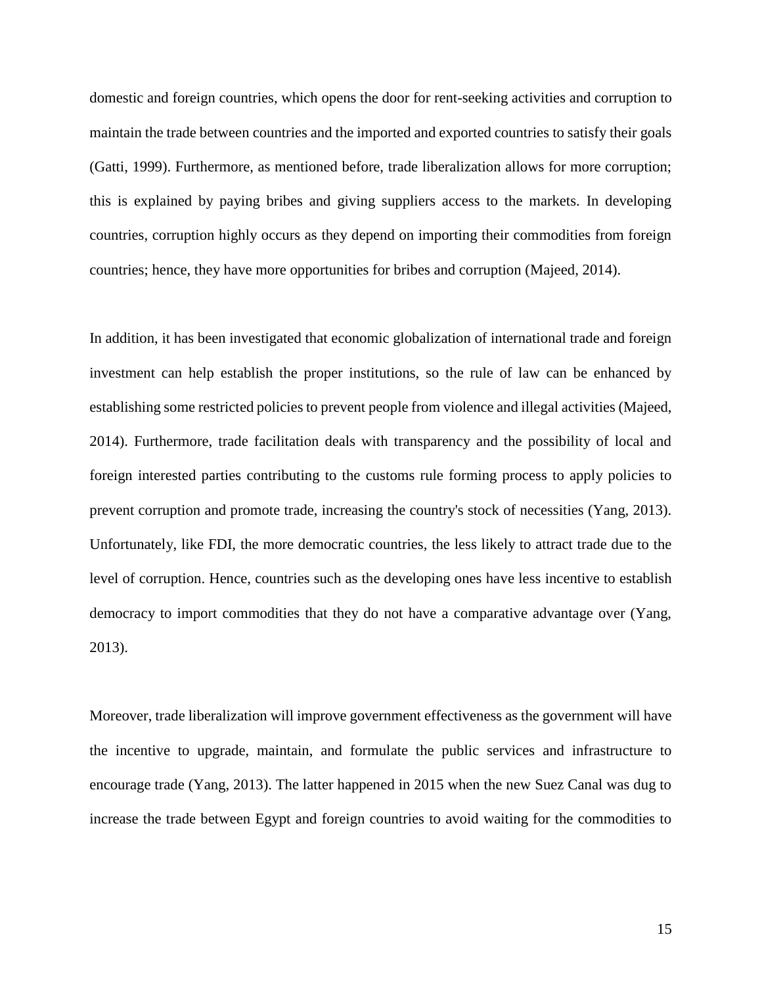domestic and foreign countries, which opens the door for rent-seeking activities and corruption to maintain the trade between countries and the imported and exported countries to satisfy their goals (Gatti, 1999). Furthermore, as mentioned before, trade liberalization allows for more corruption; this is explained by paying bribes and giving suppliers access to the markets. In developing countries, corruption highly occurs as they depend on importing their commodities from foreign countries; hence, they have more opportunities for bribes and corruption (Majeed, 2014).

In addition, it has been investigated that economic globalization of international trade and foreign investment can help establish the proper institutions, so the rule of law can be enhanced by establishing some restricted policies to prevent people from violence and illegal activities (Majeed, 2014). Furthermore, trade facilitation deals with transparency and the possibility of local and foreign interested parties contributing to the customs rule forming process to apply policies to prevent corruption and promote trade, increasing the country's stock of necessities (Yang, 2013). Unfortunately, like FDI, the more democratic countries, the less likely to attract trade due to the level of corruption. Hence, countries such as the developing ones have less incentive to establish democracy to import commodities that they do not have a comparative advantage over (Yang, 2013).

Moreover, trade liberalization will improve government effectiveness as the government will have the incentive to upgrade, maintain, and formulate the public services and infrastructure to encourage trade (Yang, 2013). The latter happened in 2015 when the new Suez Canal was dug to increase the trade between Egypt and foreign countries to avoid waiting for the commodities to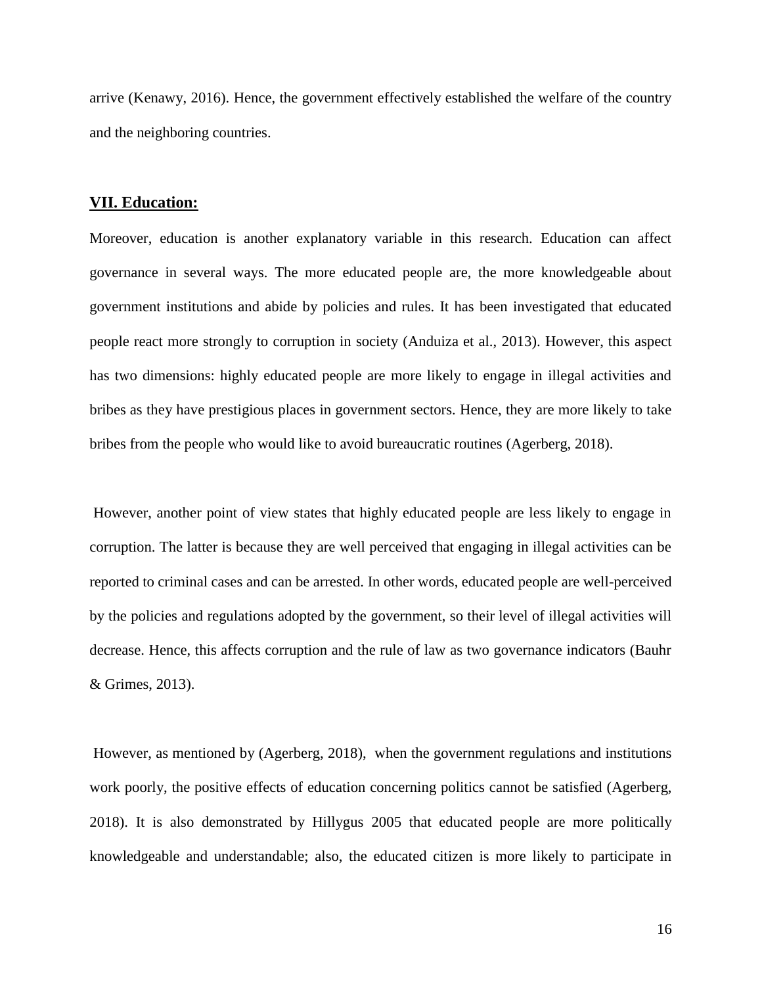arrive (Kenawy, 2016). Hence, the government effectively established the welfare of the country and the neighboring countries.

#### **VII. Education:**

Moreover, education is another explanatory variable in this research. Education can affect governance in several ways. The more educated people are, the more knowledgeable about government institutions and abide by policies and rules. It has been investigated that educated people react more strongly to corruption in society (Anduiza et al., [2013\)](https://link.springer.com/article/10.1007/s11109-018-9455-7#ref-CR6). However, this aspect has two dimensions: highly educated people are more likely to engage in illegal activities and bribes as they have prestigious places in government sectors. Hence, they are more likely to take bribes from the people who would like to avoid bureaucratic routines (Agerberg, 2018).

However, another point of view states that highly educated people are less likely to engage in corruption. The latter is because they are well perceived that engaging in illegal activities can be reported to criminal cases and can be arrested. In other words, educated people are well-perceived by the policies and regulations adopted by the government, so their level of illegal activities will decrease. Hence, this affects corruption and the rule of law as two governance indicators (Bauhr & Grimes, [2013](https://link.springer.com/article/10.1007/s11109-018-9455-7#ref-CR8)).

However, as mentioned by (Agerberg, 2018), when the government regulations and institutions work poorly, the positive effects of education concerning politics cannot be satisfied (Agerberg, 2018). It is also demonstrated by Hillygus [2005](https://link.springer.com/article/10.1007/s11109-018-9455-7#ref-CR35) that educated people are more politically knowledgeable and understandable; also, the educated citizen is more likely to participate in

16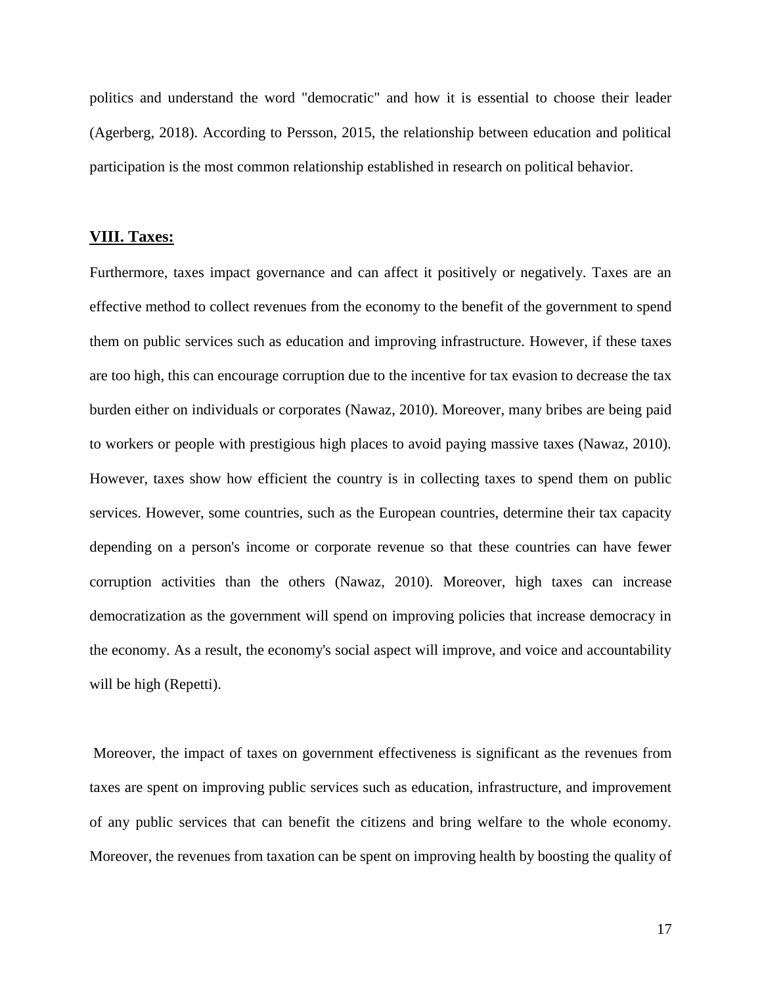politics and understand the word "democratic" and how it is essential to choose their leader (Agerberg, 2018). According to Persson, 2015, the relationship between education and political participation is the most common relationship established in research on political behavior.

#### **VIII. Taxes:**

Furthermore, taxes impact governance and can affect it positively or negatively. Taxes are an effective method to collect revenues from the economy to the benefit of the government to spend them on public services such as education and improving infrastructure. However, if these taxes are too high, this can encourage corruption due to the incentive for tax evasion to decrease the tax burden either on individuals or corporates (Nawaz, 2010). Moreover, many bribes are being paid to workers or people with prestigious high places to avoid paying massive taxes (Nawaz, 2010). However, taxes show how efficient the country is in collecting taxes to spend them on public services. However, some countries, such as the European countries, determine their tax capacity depending on a person's income or corporate revenue so that these countries can have fewer corruption activities than the others (Nawaz, 2010). Moreover, high taxes can increase democratization as the government will spend on improving policies that increase democracy in the economy. As a result, the economy's social aspect will improve, and voice and accountability will be high (Repetti).

Moreover, the impact of taxes on government effectiveness is significant as the revenues from taxes are spent on improving public services such as education, infrastructure, and improvement of any public services that can benefit the citizens and bring welfare to the whole economy. Moreover, the revenues from taxation can be spent on improving health by boosting the quality of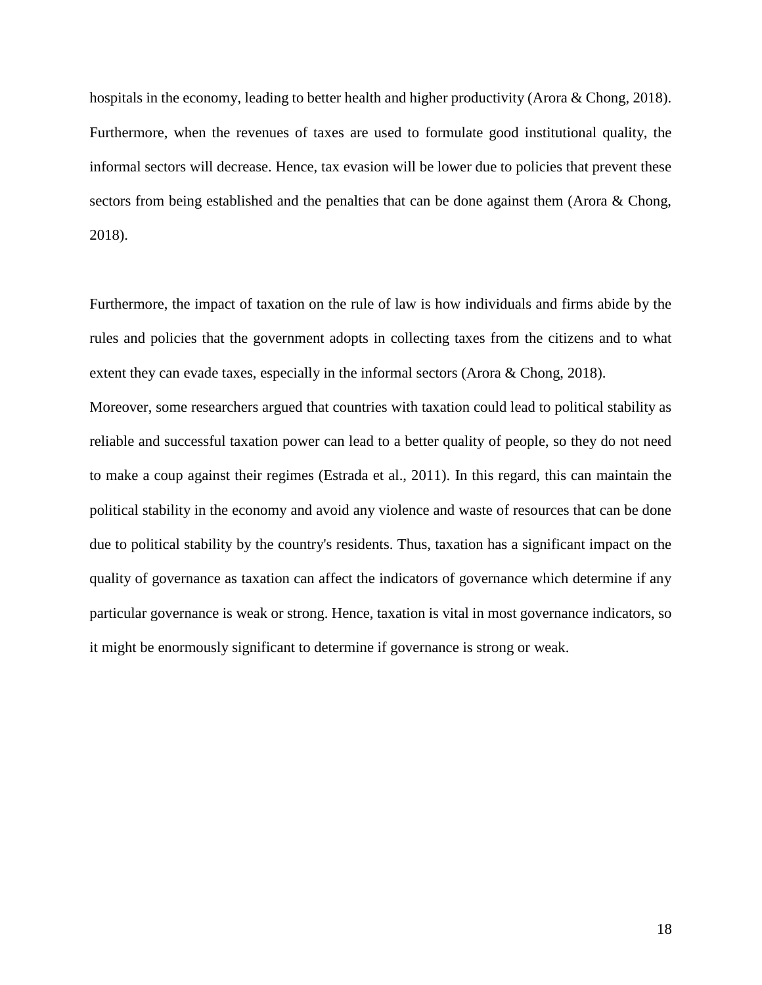hospitals in the economy, leading to better health and higher productivity (Arora & Chong, 2018). Furthermore, when the revenues of taxes are used to formulate good institutional quality, the informal sectors will decrease. Hence, tax evasion will be lower due to policies that prevent these sectors from being established and the penalties that can be done against them (Arora & Chong, 2018).

Furthermore, the impact of taxation on the rule of law is how individuals and firms abide by the rules and policies that the government adopts in collecting taxes from the citizens and to what extent they can evade taxes, especially in the informal sectors (Arora & Chong, 2018).

Moreover, some researchers argued that countries with taxation could lead to political stability as reliable and successful taxation power can lead to a better quality of people, so they do not need to make a coup against their regimes (Estrada et al., 2011). In this regard, this can maintain the political stability in the economy and avoid any violence and waste of resources that can be done due to political stability by the country's residents. Thus, taxation has a significant impact on the quality of governance as taxation can affect the indicators of governance which determine if any particular governance is weak or strong. Hence, taxation is vital in most governance indicators, so it might be enormously significant to determine if governance is strong or weak.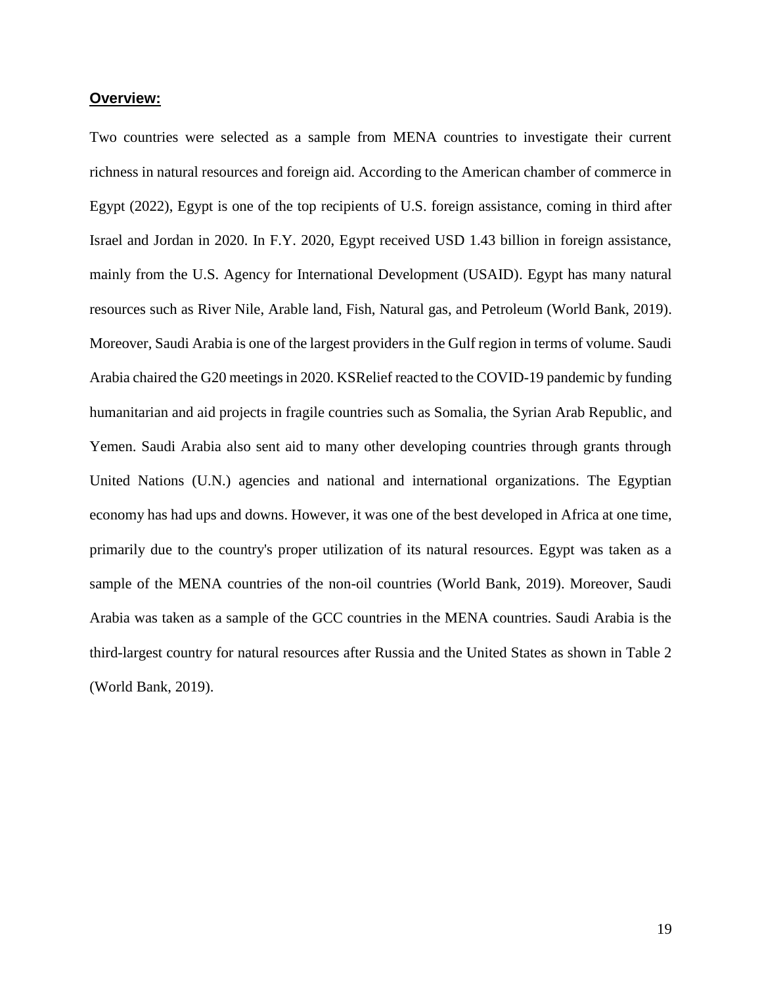#### **Overview:**

Two countries were selected as a sample from MENA countries to investigate their current richness in natural resources and foreign aid. According to the American chamber of commerce in Egypt (2022), Egypt is one of the top recipients of U.S. foreign assistance, coming in third after Israel and Jordan in 2020. In F.Y. 2020, Egypt received USD 1.43 billion in foreign assistance, mainly from the U.S. Agency for International Development (USAID). Egypt has many natural resources such as River Nile, Arable land, Fish, Natural gas, and Petroleum (World Bank, 2019). Moreover, Saudi Arabia is one of the largest providers in the Gulf region in terms of volume. Saudi Arabia chaired the G20 meetings in 2020. KSRelief reacted to the COVID-19 pandemic by funding humanitarian and aid projects in fragile countries such as Somalia, the Syrian Arab Republic, and Yemen. Saudi Arabia also sent aid to many other developing countries through grants through United Nations (U.N.) agencies and national and international organizations. The Egyptian economy has had ups and downs. However, it was one of the best developed in Africa at one time, primarily due to the country's proper utilization of its natural resources. Egypt was taken as a sample of the MENA countries of the non-oil countries (World Bank, 2019). Moreover, Saudi Arabia was taken as a sample of the GCC countries in the MENA countries. Saudi Arabia is the third-largest country for natural resources after Russia and the United States as shown in Table 2 (World Bank, 2019).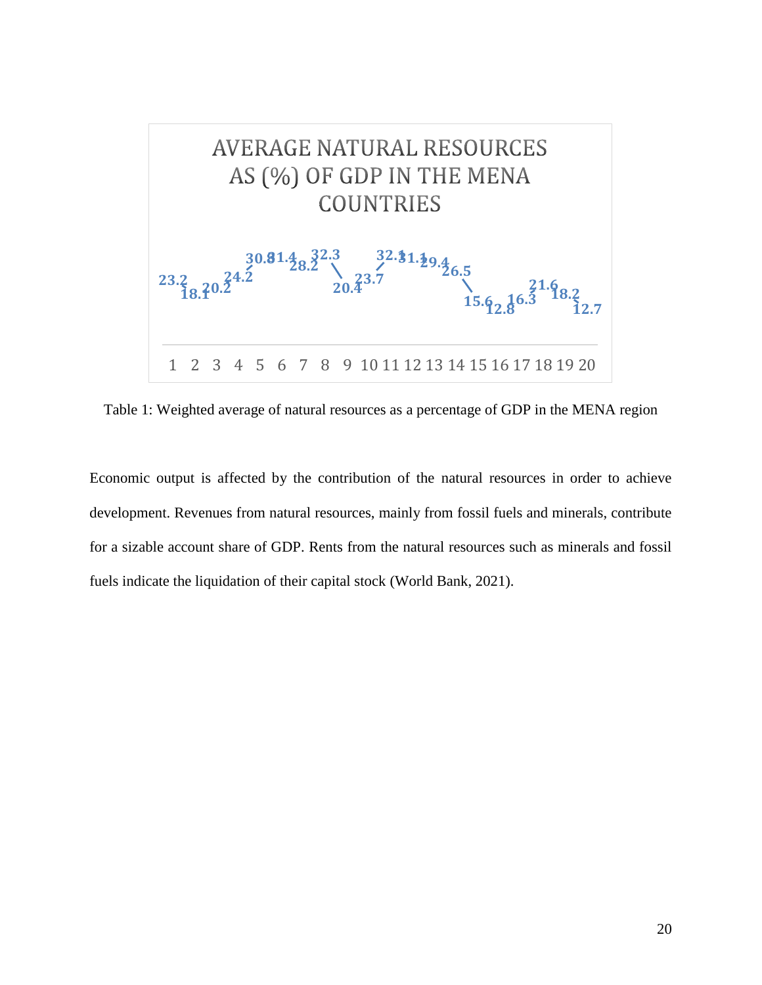

Table 1: Weighted average of natural resources as a percentage of GDP in the MENA region

Economic output is affected by the contribution of the natural resources in order to achieve development. Revenues from natural resources, mainly from fossil fuels and minerals, contribute for a sizable account share of GDP. Rents from the natural resources such as minerals and fossil fuels indicate the liquidation of their capital stock (World Bank, 2021).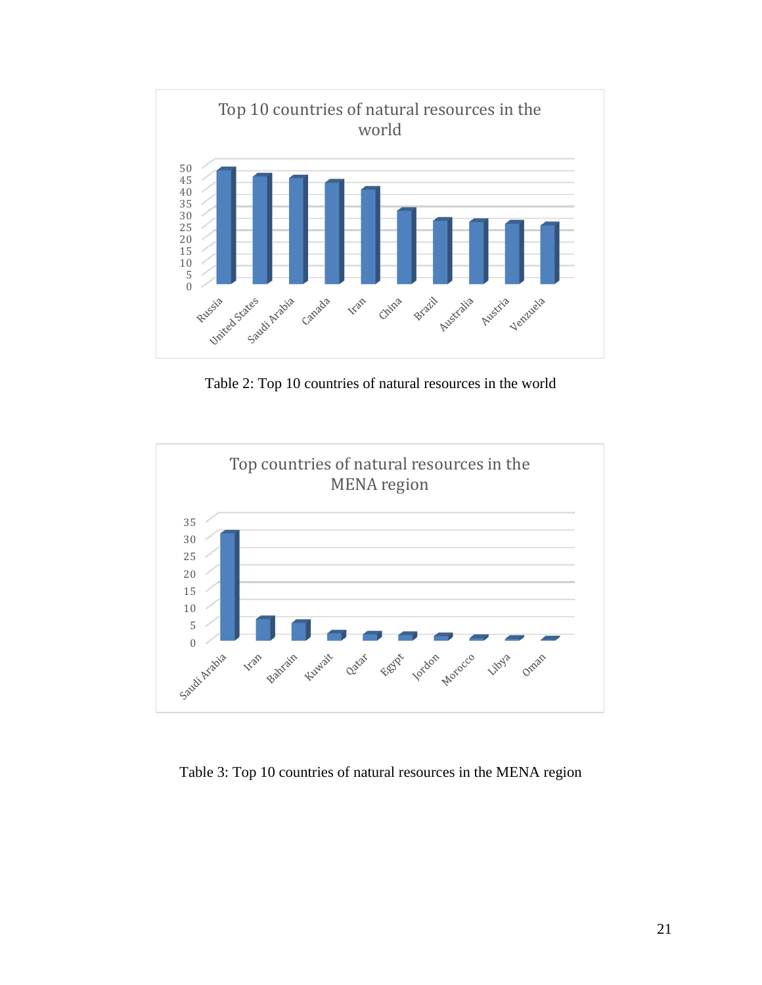

Table 2: Top 10 countries of natural resources in the world



Table 3: Top 10 countries of natural resources in the MENA region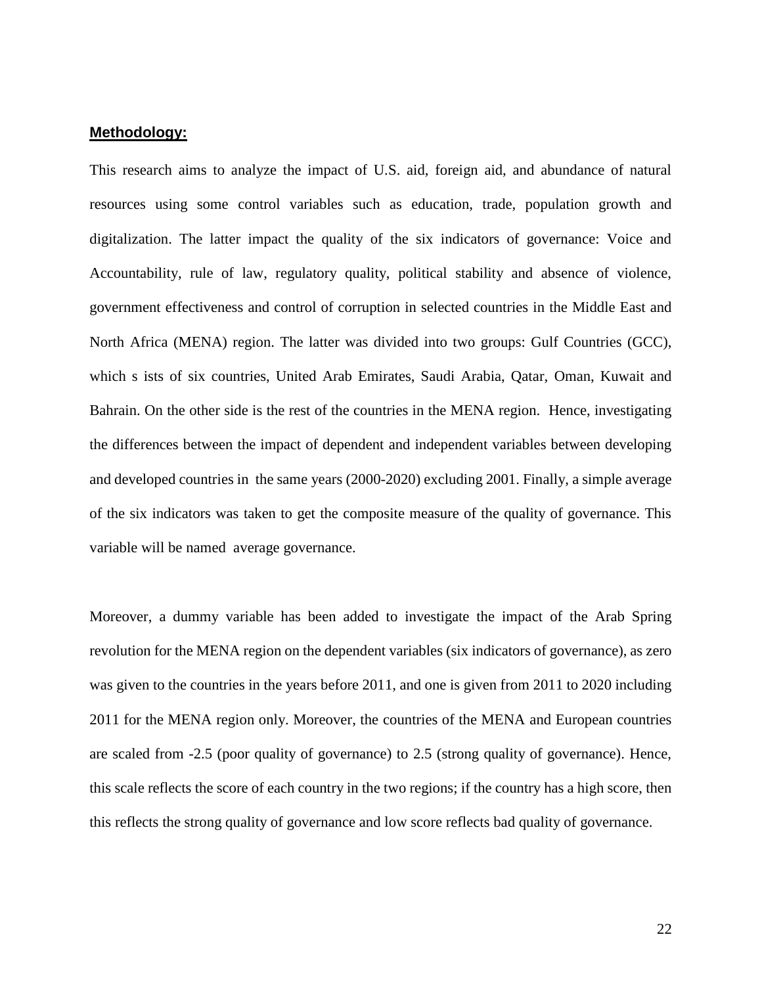#### **Methodology:**

This research aims to analyze the impact of U.S. aid, foreign aid, and abundance of natural resources using some control variables such as education, trade, population growth and digitalization. The latter impact the quality of the six indicators of governance: Voice and Accountability, rule of law, regulatory quality, political stability and absence of violence, government effectiveness and control of corruption in selected countries in the Middle East and North Africa (MENA) region. The latter was divided into two groups: Gulf Countries (GCC), which s ists of six countries, United Arab Emirates, Saudi Arabia, Qatar, Oman, Kuwait and Bahrain. On the other side is the rest of the countries in the MENA region. Hence, investigating the differences between the impact of dependent and independent variables between developing and developed countries in the same years (2000-2020) excluding 2001. Finally, a simple average of the six indicators was taken to get the composite measure of the quality of governance. This variable will be named average governance.

Moreover, a dummy variable has been added to investigate the impact of the Arab Spring revolution for the MENA region on the dependent variables (six indicators of governance), as zero was given to the countries in the years before 2011, and one is given from 2011 to 2020 including 2011 for the MENA region only. Moreover, the countries of the MENA and European countries are scaled from -2.5 (poor quality of governance) to 2.5 (strong quality of governance). Hence, this scale reflects the score of each country in the two regions; if the country has a high score, then this reflects the strong quality of governance and low score reflects bad quality of governance.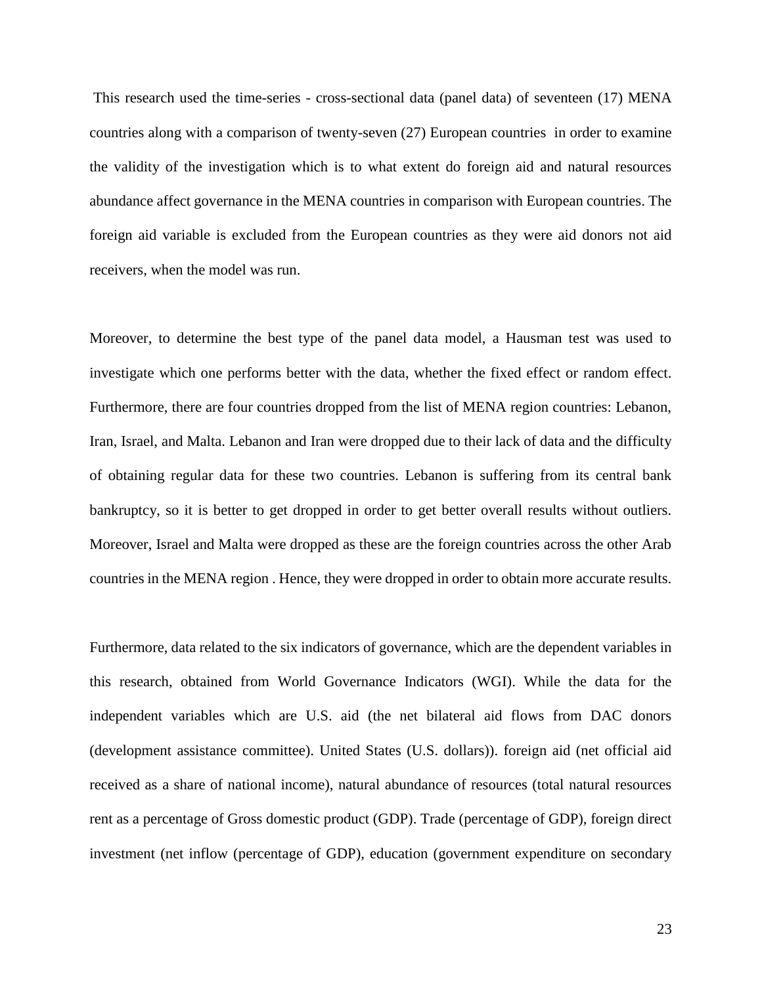This research used the time-series - cross-sectional data (panel data) of seventeen (17) MENA countries along with a comparison of twenty-seven (27) European countries in order to examine the validity of the investigation which is to what extent do foreign aid and natural resources abundance affect governance in the MENA countries in comparison with European countries. The foreign aid variable is excluded from the European countries as they were aid donors not aid receivers, when the model was run.

Moreover, to determine the best type of the panel data model, a Hausman test was used to investigate which one performs better with the data, whether the fixed effect or random effect. Furthermore, there are four countries dropped from the list of MENA region countries: Lebanon, Iran, Israel, and Malta. Lebanon and Iran were dropped due to their lack of data and the difficulty of obtaining regular data for these two countries. Lebanon is suffering from its central bank bankruptcy, so it is better to get dropped in order to get better overall results without outliers. Moreover, Israel and Malta were dropped as these are the foreign countries across the other Arab countries in the MENA region . Hence, they were dropped in order to obtain more accurate results.

Furthermore, data related to the six indicators of governance, which are the dependent variables in this research, obtained from World Governance Indicators (WGI). While the data for the independent variables which are U.S. aid (the net bilateral aid flows from DAC donors (development assistance committee). United States (U.S. dollars)). foreign aid (net official aid received as a share of national income), natural abundance of resources (total natural resources rent as a percentage of Gross domestic product (GDP). Trade (percentage of GDP), foreign direct investment (net inflow (percentage of GDP), education (government expenditure on secondary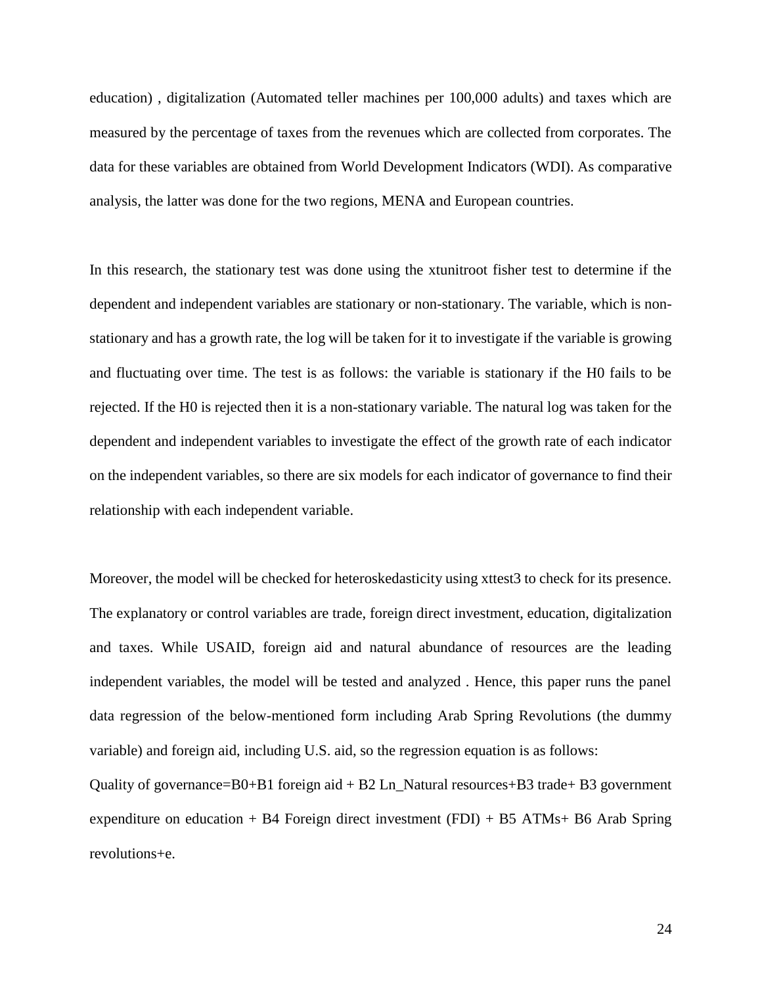education) , digitalization (Automated teller machines per 100,000 adults) and taxes which are measured by the percentage of taxes from the revenues which are collected from corporates. The data for these variables are obtained from World Development Indicators (WDI). As comparative analysis, the latter was done for the two regions, MENA and European countries.

In this research, the stationary test was done using the xtunitroot fisher test to determine if the dependent and independent variables are stationary or non-stationary. The variable, which is nonstationary and has a growth rate, the log will be taken for it to investigate if the variable is growing and fluctuating over time. The test is as follows: the variable is stationary if the H0 fails to be rejected. If the H0 is rejected then it is a non-stationary variable. The natural log was taken for the dependent and independent variables to investigate the effect of the growth rate of each indicator on the independent variables, so there are six models for each indicator of governance to find their relationship with each independent variable.

Moreover, the model will be checked for heteroskedasticity using xttest3 to check for its presence. The explanatory or control variables are trade, foreign direct investment, education, digitalization and taxes. While USAID, foreign aid and natural abundance of resources are the leading independent variables, the model will be tested and analyzed . Hence, this paper runs the panel data regression of the below-mentioned form including Arab Spring Revolutions (the dummy variable) and foreign aid, including U.S. aid, so the regression equation is as follows:

Quality of governance=B0+B1 foreign aid + B2 Ln\_Natural resources+B3 trade+ B3 government expenditure on education + B4 Foreign direct investment (FDI) + B5 ATMs+ B6 Arab Spring revolutions+e.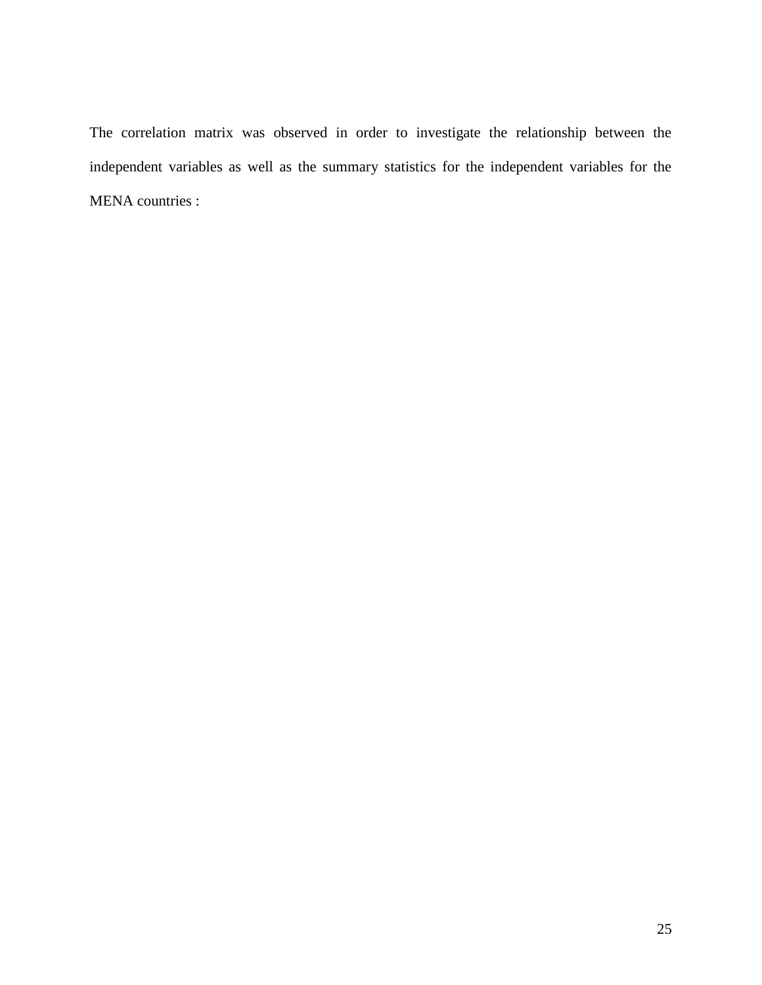The correlation matrix was observed in order to investigate the relationship between the independent variables as well as the summary statistics for the independent variables for the MENA countries :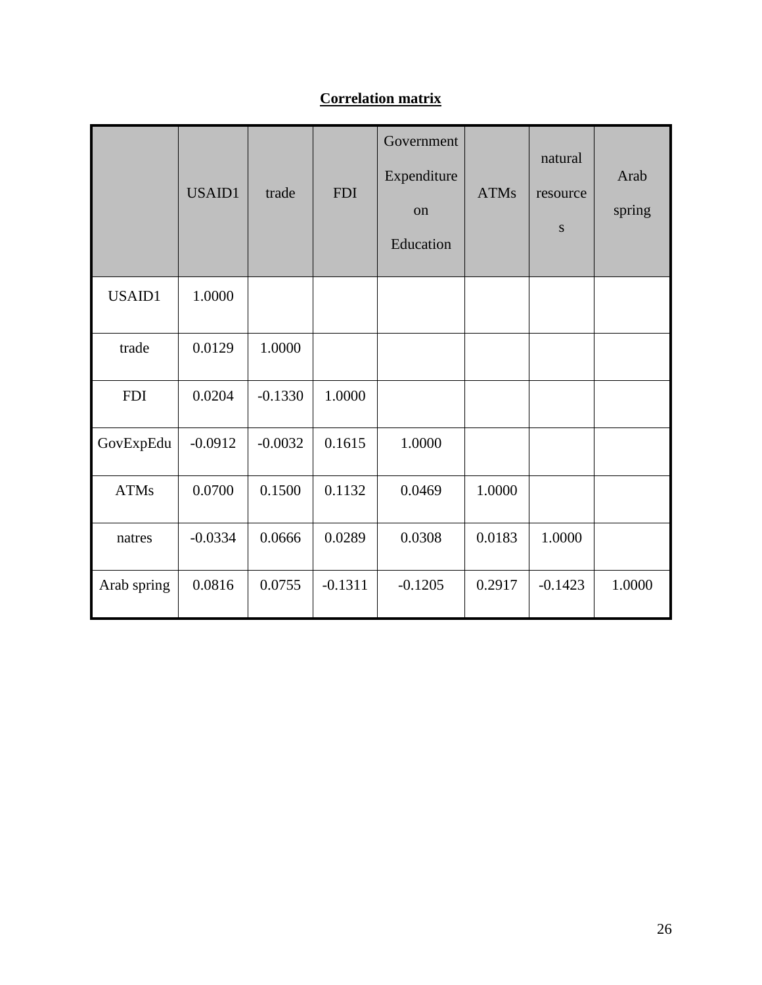# **Correlation matrix**

|             | USAID1    | trade     | <b>FDI</b> | Government<br>Expenditure<br>on<br>Education | <b>ATMs</b> | natural<br>resource<br>${\bf S}$ | Arab<br>spring |
|-------------|-----------|-----------|------------|----------------------------------------------|-------------|----------------------------------|----------------|
| USAID1      | 1.0000    |           |            |                                              |             |                                  |                |
| trade       | 0.0129    | 1.0000    |            |                                              |             |                                  |                |
| <b>FDI</b>  | 0.0204    | $-0.1330$ | 1.0000     |                                              |             |                                  |                |
| GovExpEdu   | $-0.0912$ | $-0.0032$ | 0.1615     | 1.0000                                       |             |                                  |                |
| <b>ATMs</b> | 0.0700    | 0.1500    | 0.1132     | 0.0469                                       | 1.0000      |                                  |                |
| natres      | $-0.0334$ | 0.0666    | 0.0289     | 0.0308                                       | 0.0183      | 1.0000                           |                |
| Arab spring | 0.0816    | 0.0755    | $-0.1311$  | $-0.1205$                                    | 0.2917      | $-0.1423$                        | 1.0000         |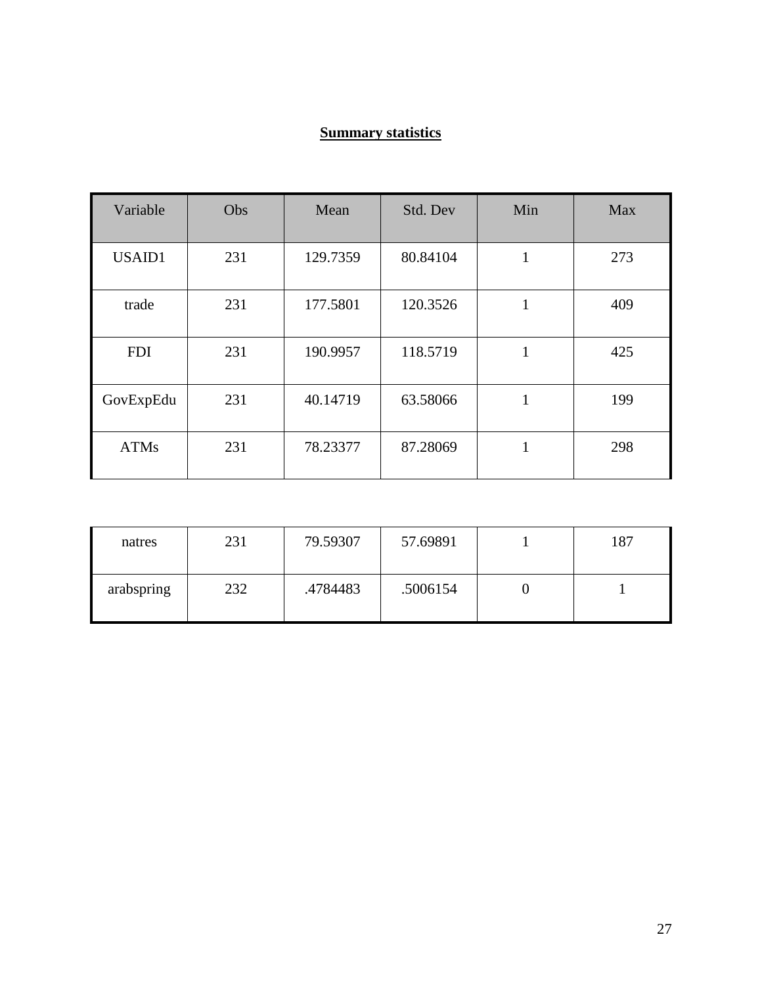### **Summary statistics**

| Variable    | Obs | Mean     | Std. Dev | Min    | Max |
|-------------|-----|----------|----------|--------|-----|
| USAID1      | 231 | 129.7359 | 80.84104 | 1<br>T | 273 |
| trade       | 231 | 177.5801 | 120.3526 | 1      | 409 |
| <b>FDI</b>  | 231 | 190.9957 | 118.5719 | 1      | 425 |
| GovExpEdu   | 231 | 40.14719 | 63.58066 | 1      | 199 |
| <b>ATMs</b> | 231 | 78.23377 | 87.28069 | 1      | 298 |

| natres     | 231 | 79.59307 | 57.69891 | 187 |
|------------|-----|----------|----------|-----|
| arabspring | 232 | .4784483 | .5006154 |     |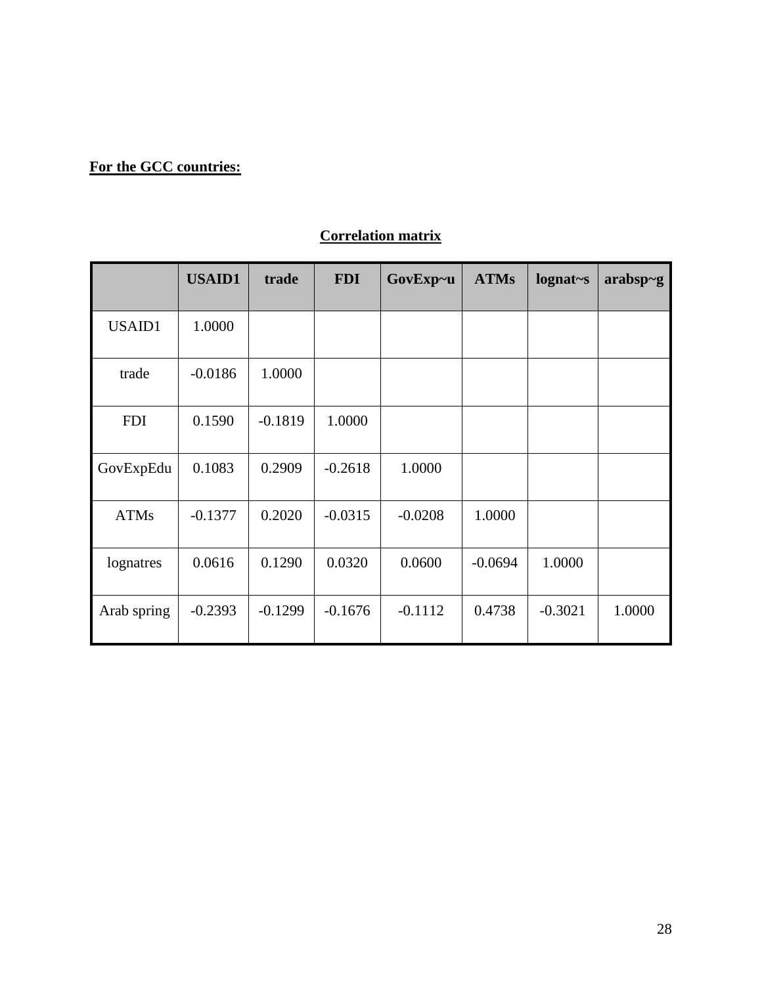# **For the GCC countries:**

# **Correlation matrix**

|             | <b>USAID1</b> | trade     | <b>FDI</b> | GovExp~u  | <b>ATMs</b> | $lognat-s$ | $arabsp-g$ |
|-------------|---------------|-----------|------------|-----------|-------------|------------|------------|
| USAID1      | 1.0000        |           |            |           |             |            |            |
| trade       | $-0.0186$     | 1.0000    |            |           |             |            |            |
| <b>FDI</b>  | 0.1590        | $-0.1819$ | 1.0000     |           |             |            |            |
| GovExpEdu   | 0.1083        | 0.2909    | $-0.2618$  | 1.0000    |             |            |            |
| <b>ATMs</b> | $-0.1377$     | 0.2020    | $-0.0315$  | $-0.0208$ | 1.0000      |            |            |
| lognatres   | 0.0616        | 0.1290    | 0.0320     | 0.0600    | $-0.0694$   | 1.0000     |            |
| Arab spring | $-0.2393$     | $-0.1299$ | $-0.1676$  | $-0.1112$ | 0.4738      | $-0.3021$  | 1.0000     |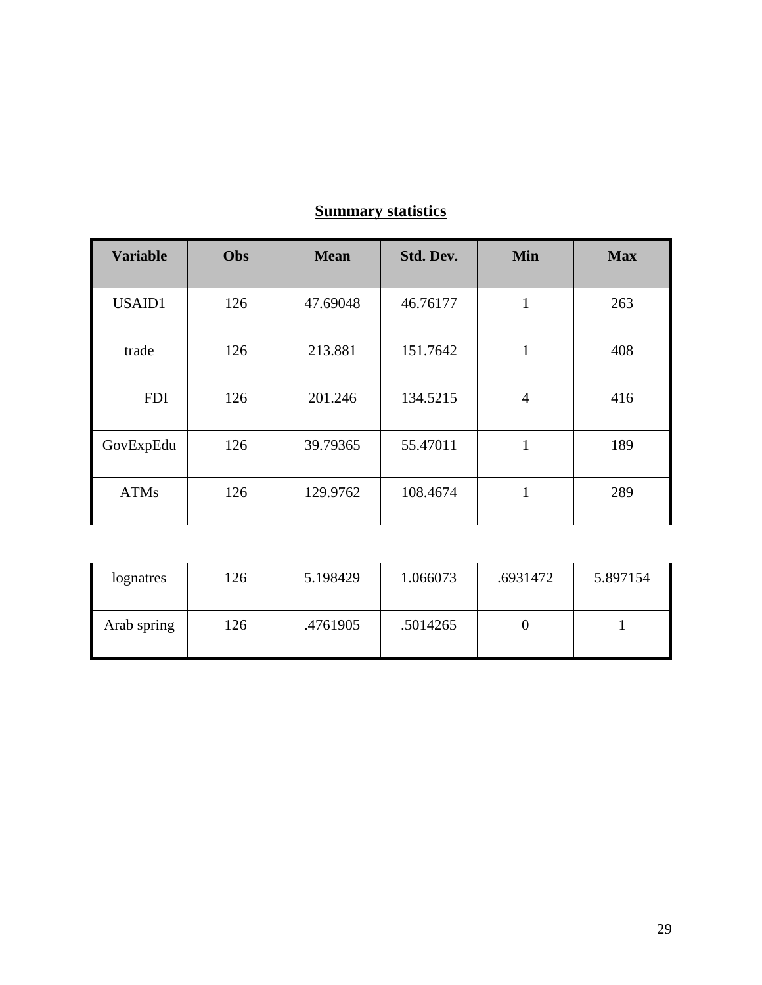| <b>Variable</b> | Obs | <b>Mean</b> | Std. Dev. | <b>Min</b>     | <b>Max</b> |
|-----------------|-----|-------------|-----------|----------------|------------|
| USAID1          | 126 | 47.69048    | 46.76177  | 1              | 263        |
| trade           | 126 | 213.881     | 151.7642  | 1              | 408        |
| <b>FDI</b>      | 126 | 201.246     | 134.5215  | $\overline{4}$ | 416        |
| GovExpEdu       | 126 | 39.79365    | 55.47011  | 1              | 189        |
| <b>ATMs</b>     | 126 | 129.9762    | 108.4674  | 1              | 289        |

# **Summary statistics**

| lognatres   | 126 | 5.198429 | 1.066073 | .6931472 | 5.897154 |
|-------------|-----|----------|----------|----------|----------|
| Arab spring | 126 | .4761905 | .5014265 |          |          |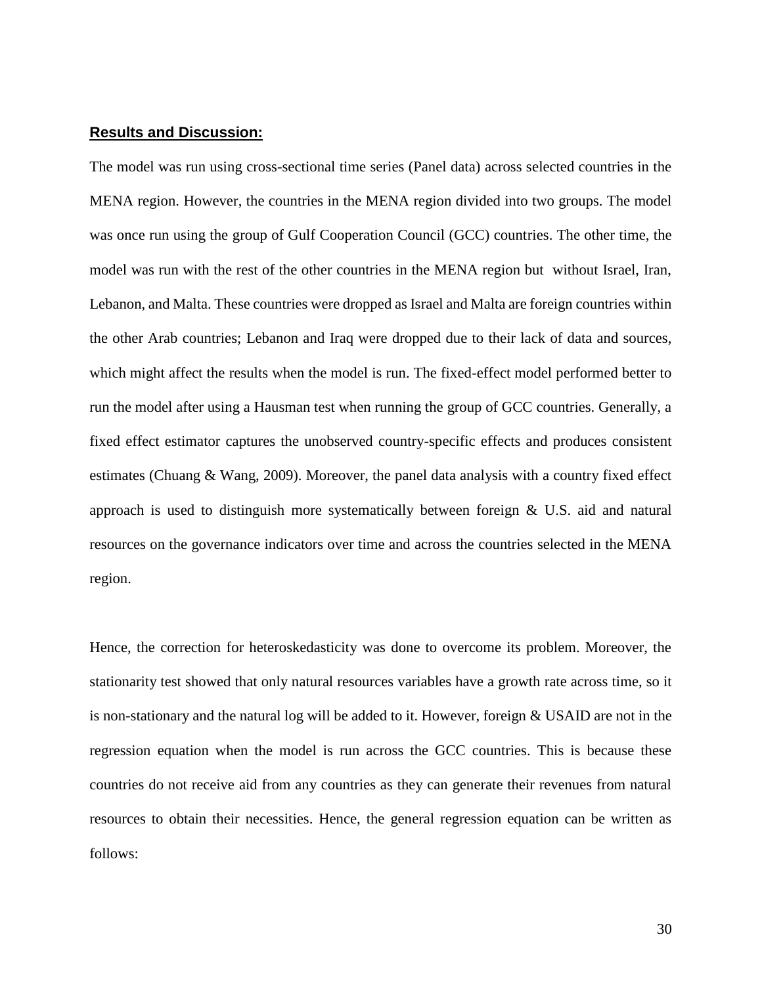#### **Results and Discussion:**

The model was run using cross-sectional time series (Panel data) across selected countries in the MENA region. However, the countries in the MENA region divided into two groups. The model was once run using the group of Gulf Cooperation Council (GCC) countries. The other time, the model was run with the rest of the other countries in the MENA region but without Israel, Iran, Lebanon, and Malta. These countries were dropped as Israel and Malta are foreign countries within the other Arab countries; Lebanon and Iraq were dropped due to their lack of data and sources, which might affect the results when the model is run. The fixed-effect model performed better to run the model after using a Hausman test when running the group of GCC countries. Generally, a fixed effect estimator captures the unobserved country-specific effects and produces consistent estimates (Chuang & Wang, 2009). Moreover, the panel data analysis with a country fixed effect approach is used to distinguish more systematically between foreign & U.S. aid and natural resources on the governance indicators over time and across the countries selected in the MENA region.

Hence, the correction for heteroskedasticity was done to overcome its problem. Moreover, the stationarity test showed that only natural resources variables have a growth rate across time, so it is non-stationary and the natural log will be added to it. However, foreign & USAID are not in the regression equation when the model is run across the GCC countries. This is because these countries do not receive aid from any countries as they can generate their revenues from natural resources to obtain their necessities. Hence, the general regression equation can be written as follows: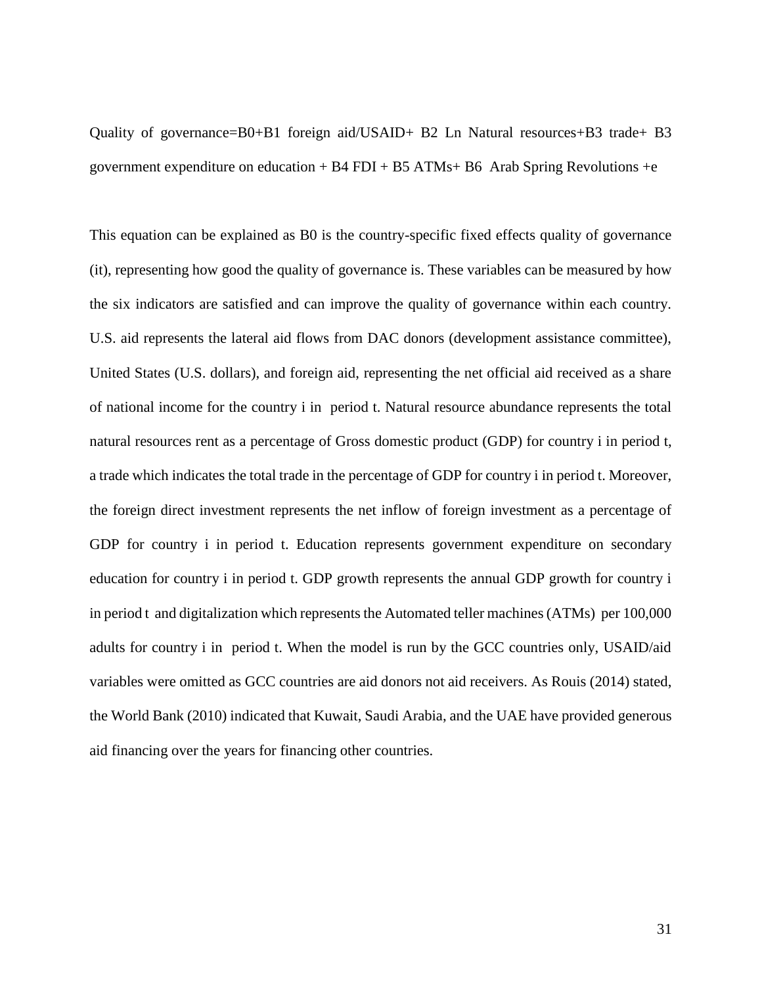Quality of governance=B0+B1 foreign aid/USAID+ B2 Ln Natural resources+B3 trade+ B3 government expenditure on education + B4 FDI + B5 ATMs+ B6 Arab Spring Revolutions +e

This equation can be explained as B0 is the country-specific fixed effects quality of governance (it), representing how good the quality of governance is. These variables can be measured by how the six indicators are satisfied and can improve the quality of governance within each country. U.S. aid represents the lateral aid flows from DAC donors (development assistance committee), United States (U.S. dollars), and foreign aid, representing the net official aid received as a share of national income for the country i in period t. Natural resource abundance represents the total natural resources rent as a percentage of Gross domestic product (GDP) for country i in period t, a trade which indicates the total trade in the percentage of GDP for country i in period t. Moreover, the foreign direct investment represents the net inflow of foreign investment as a percentage of GDP for country i in period t. Education represents government expenditure on secondary education for country i in period t. GDP growth represents the annual GDP growth for country i in period t and digitalization which represents the Automated teller machines (ATMs) per 100,000 adults for country i in period t. When the model is run by the GCC countries only, USAID/aid variables were omitted as GCC countries are aid donors not aid receivers. As Rouis (2014) stated, the World Bank (2010) indicated that Kuwait, Saudi Arabia, and the UAE have provided generous aid financing over the years for financing other countries.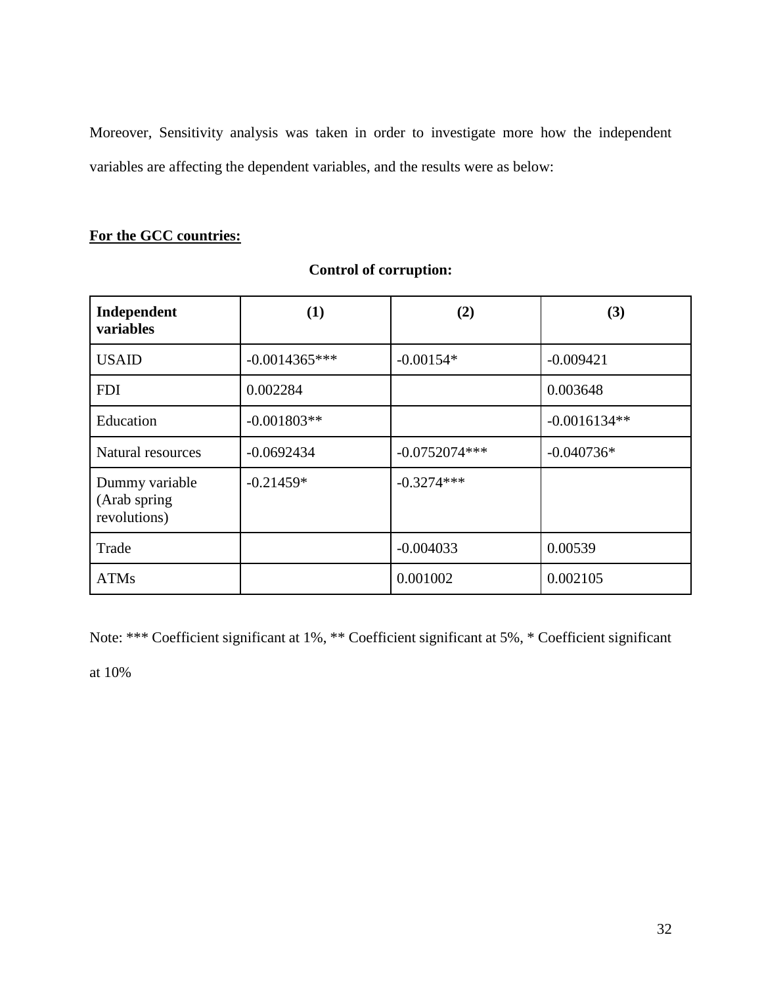Moreover, Sensitivity analysis was taken in order to investigate more how the independent variables are affecting the dependent variables, and the results were as below:

### **For the GCC countries:**

| Independent<br>variables                       | (1)             | (2)             | (3)            |
|------------------------------------------------|-----------------|-----------------|----------------|
| <b>USAID</b>                                   | $-0.0014365***$ | $-0.00154*$     | $-0.009421$    |
| <b>FDI</b>                                     | 0.002284        |                 | 0.003648       |
| Education                                      | $-0.001803**$   |                 | $-0.0016134**$ |
| Natural resources                              | $-0.0692434$    | $-0.0752074***$ | $-0.040736*$   |
| Dummy variable<br>(Arab spring<br>revolutions) | $-0.21459*$     | $-0.3274***$    |                |
| Trade                                          |                 | $-0.004033$     | 0.00539        |
| <b>ATMs</b>                                    |                 | 0.001002        | 0.002105       |

### **Control of corruption:**

Note: \*\*\* Coefficient significant at 1%, \*\* Coefficient significant at 5%, \* Coefficient significant

at 10%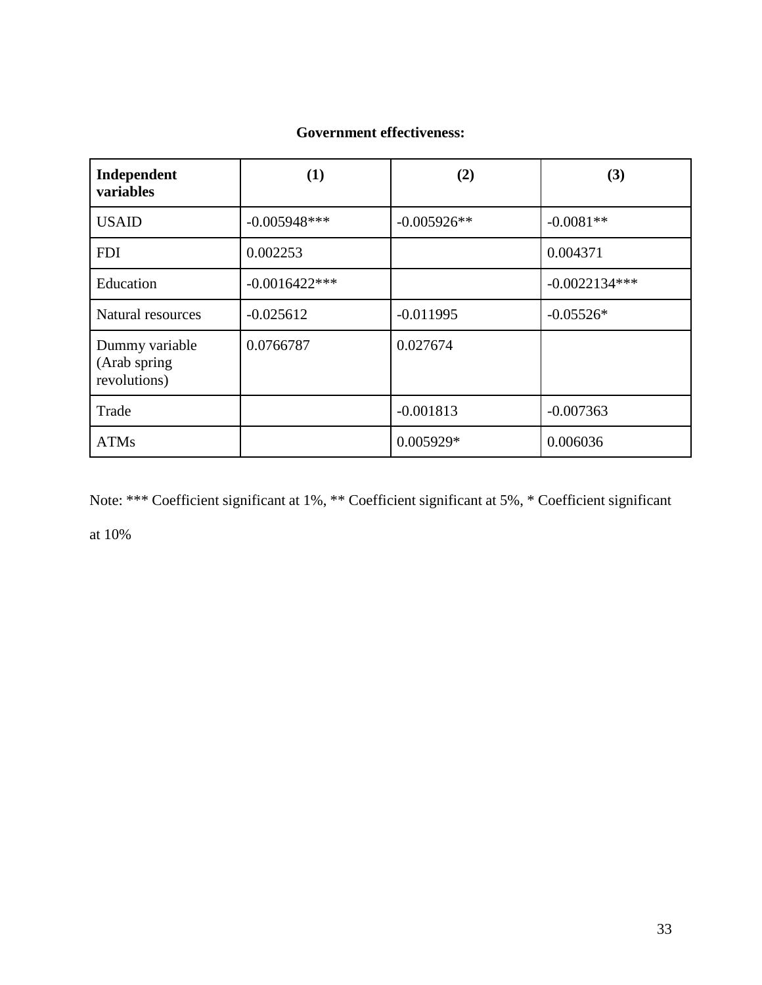# **Government effectiveness:**

| Independent<br>variables                        | (1)              | (2)           | (3)             |
|-------------------------------------------------|------------------|---------------|-----------------|
| <b>USAID</b>                                    | $-0.005948***$   | $-0.005926**$ | $-0.0081**$     |
| <b>FDI</b>                                      | 0.002253         |               | 0.004371        |
| Education                                       | $-0.0016422$ *** |               | $-0.0022134***$ |
| Natural resources                               | $-0.025612$      | $-0.011995$   | $-0.05526*$     |
| Dummy variable<br>(Arab spring)<br>revolutions) | 0.0766787        | 0.027674      |                 |
| Trade                                           |                  | $-0.001813$   | $-0.007363$     |
| <b>ATMs</b>                                     |                  | 0.005929*     | 0.006036        |

Note: \*\*\* Coefficient significant at 1%, \*\* Coefficient significant at 5%, \* Coefficient significant

at 10%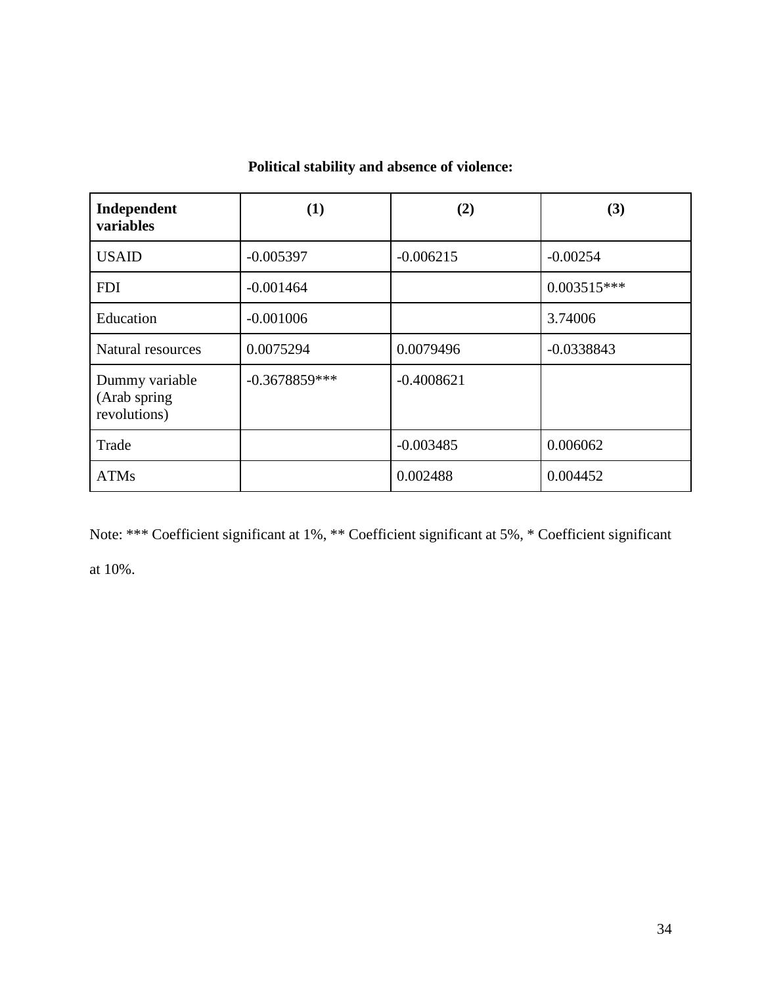# **Political stability and absence of violence:**

| Independent<br>variables                        | (1)             | (2)          | (3)           |
|-------------------------------------------------|-----------------|--------------|---------------|
| <b>USAID</b>                                    | $-0.005397$     | $-0.006215$  | $-0.00254$    |
| <b>FDI</b>                                      | $-0.001464$     |              | $0.003515***$ |
| Education                                       | $-0.001006$     |              | 3.74006       |
| Natural resources                               | 0.0075294       | 0.0079496    | $-0.0338843$  |
| Dummy variable<br>(Arab spring)<br>revolutions) | $-0.3678859***$ | $-0.4008621$ |               |
| Trade                                           |                 | $-0.003485$  | 0.006062      |
| <b>ATMs</b>                                     |                 | 0.002488     | 0.004452      |

Note: \*\*\* Coefficient significant at 1%, \*\* Coefficient significant at 5%, \* Coefficient significant at 10%.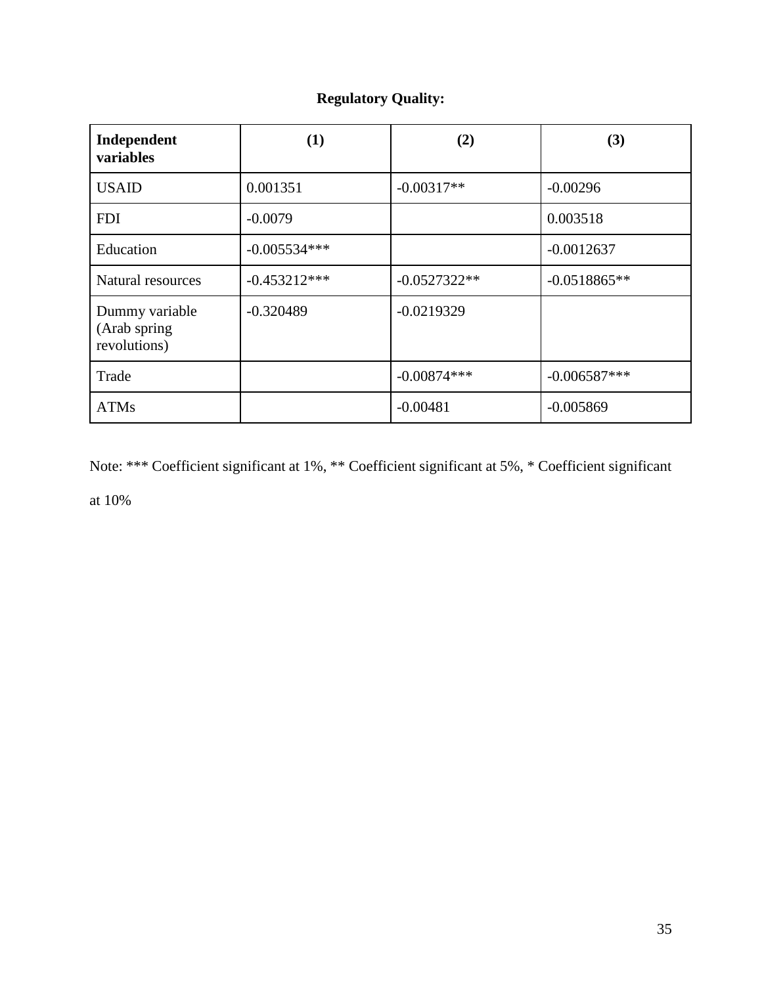# **Regulatory Quality:**

| Independent<br>variables                       | (1)            | (2)            | (3)            |
|------------------------------------------------|----------------|----------------|----------------|
| <b>USAID</b>                                   | 0.001351       | $-0.00317**$   | $-0.00296$     |
| <b>FDI</b>                                     | $-0.0079$      |                | 0.003518       |
| Education                                      | $-0.005534***$ |                | $-0.0012637$   |
| Natural resources                              | $-0.453212***$ | $-0.0527322**$ | $-0.0518865**$ |
| Dummy variable<br>(Arab spring<br>revolutions) | $-0.320489$    | $-0.0219329$   |                |
| Trade                                          |                | $-0.00874***$  | $-0.006587***$ |
| <b>ATMs</b>                                    |                | $-0.00481$     | $-0.005869$    |

Note: \*\*\* Coefficient significant at 1%, \*\* Coefficient significant at 5%, \* Coefficient significant

at 10%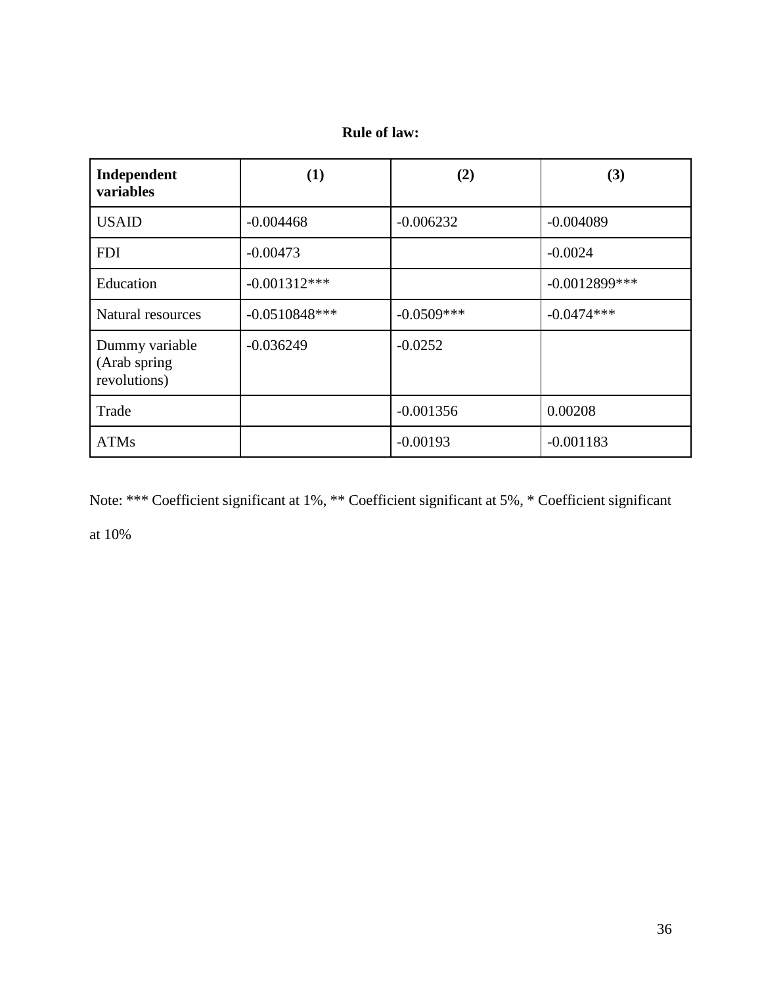# **Rule of law:**

| Independent<br>variables                        | (1)             | (2)           | (3)              |
|-------------------------------------------------|-----------------|---------------|------------------|
| <b>USAID</b>                                    | $-0.004468$     | $-0.006232$   | $-0.004089$      |
| <b>FDI</b>                                      | $-0.00473$      |               | $-0.0024$        |
| Education                                       | $-0.001312***$  |               | $-0.0012899$ *** |
| Natural resources                               | $-0.0510848***$ | $-0.0509$ *** | $-0.0474***$     |
| Dummy variable<br>(Arab spring)<br>revolutions) | $-0.036249$     | $-0.0252$     |                  |
| Trade                                           |                 | $-0.001356$   | 0.00208          |
| <b>ATMs</b>                                     |                 | $-0.00193$    | $-0.001183$      |

Note: \*\*\* Coefficient significant at 1%, \*\* Coefficient significant at 5%, \* Coefficient significant at 10%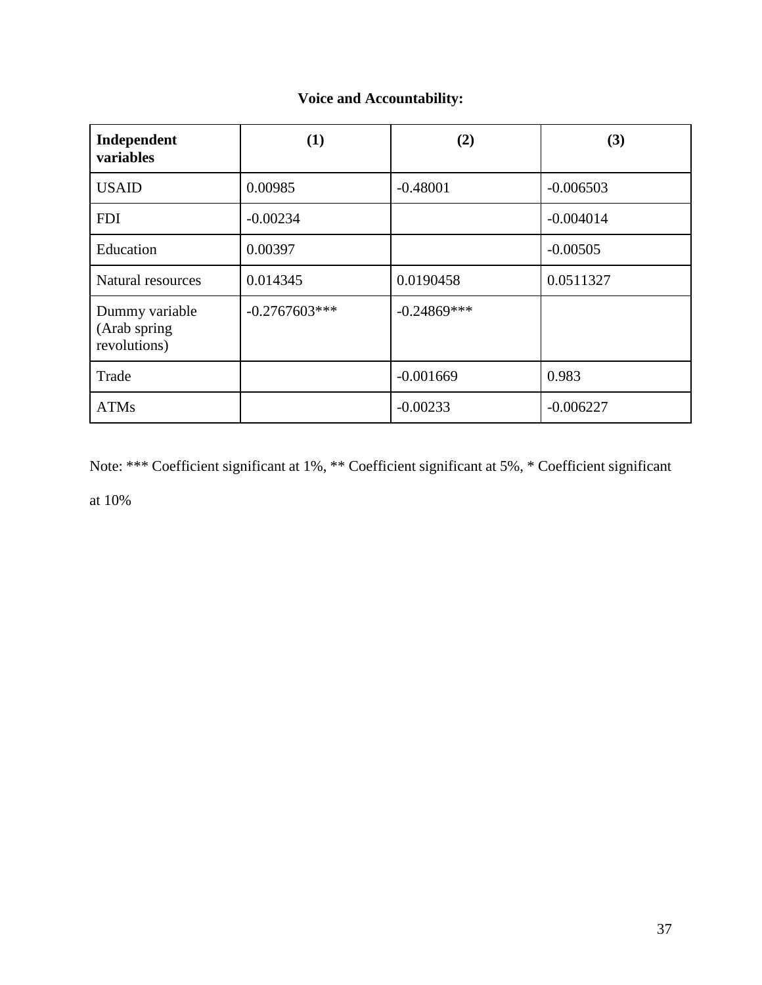# **Voice and Accountability:**

| Independent<br>variables                       | (1)             | (2)            | (3)         |
|------------------------------------------------|-----------------|----------------|-------------|
| <b>USAID</b>                                   | 0.00985         | $-0.48001$     | $-0.006503$ |
| <b>FDI</b>                                     | $-0.00234$      |                | $-0.004014$ |
| Education                                      | 0.00397         |                | $-0.00505$  |
| Natural resources                              | 0.014345        | 0.0190458      | 0.0511327   |
| Dummy variable<br>(Arab spring<br>revolutions) | $-0.2767603***$ | $-0.24869$ *** |             |
| Trade                                          |                 | $-0.001669$    | 0.983       |
| <b>ATMs</b>                                    |                 | $-0.00233$     | $-0.006227$ |

Note: \*\*\* Coefficient significant at 1%, \*\* Coefficient significant at 5%, \* Coefficient significant

at 10%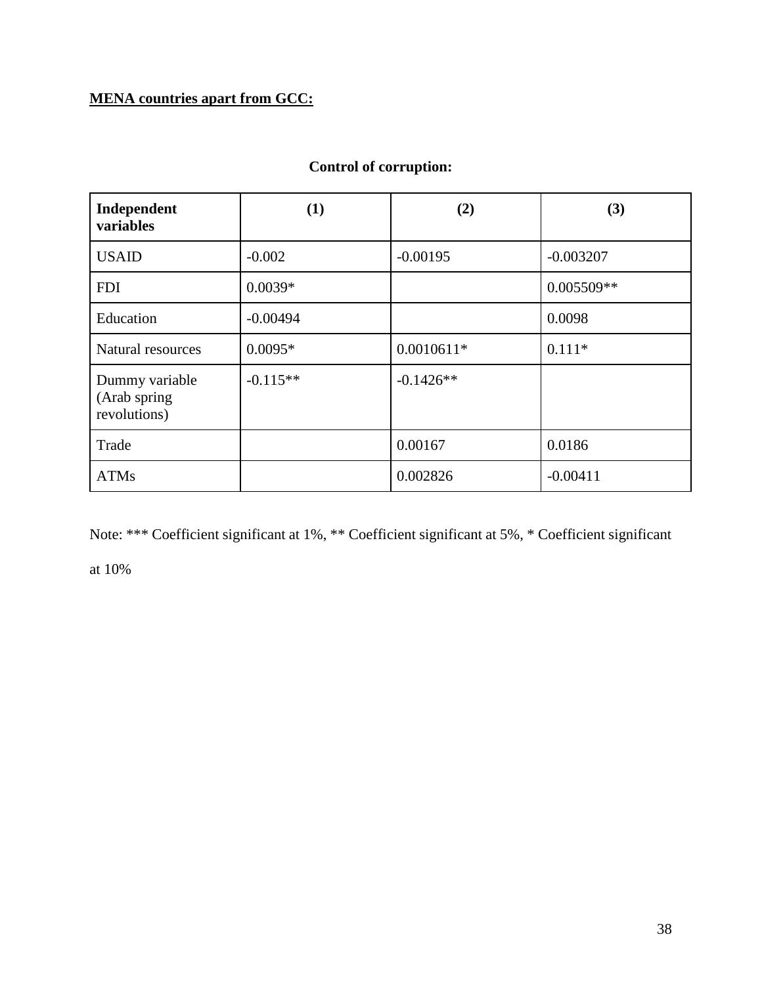# **MENA countries apart from GCC:**

| Independent<br>variables                       | (1)        | (2)          | (3)         |
|------------------------------------------------|------------|--------------|-------------|
| <b>USAID</b>                                   | $-0.002$   | $-0.00195$   | $-0.003207$ |
| <b>FDI</b>                                     | $0.0039*$  |              | 0.005509**  |
| Education                                      | $-0.00494$ |              | 0.0098      |
| Natural resources                              | $0.0095*$  | $0.0010611*$ | $0.111*$    |
| Dummy variable<br>(Arab spring<br>revolutions) | $-0.115**$ | $-0.1426**$  |             |
| Trade                                          |            | 0.00167      | 0.0186      |
| <b>ATMs</b>                                    |            | 0.002826     | $-0.00411$  |

# **Control of corruption:**

Note: \*\*\* Coefficient significant at 1%, \*\* Coefficient significant at 5%, \* Coefficient significant

at 10%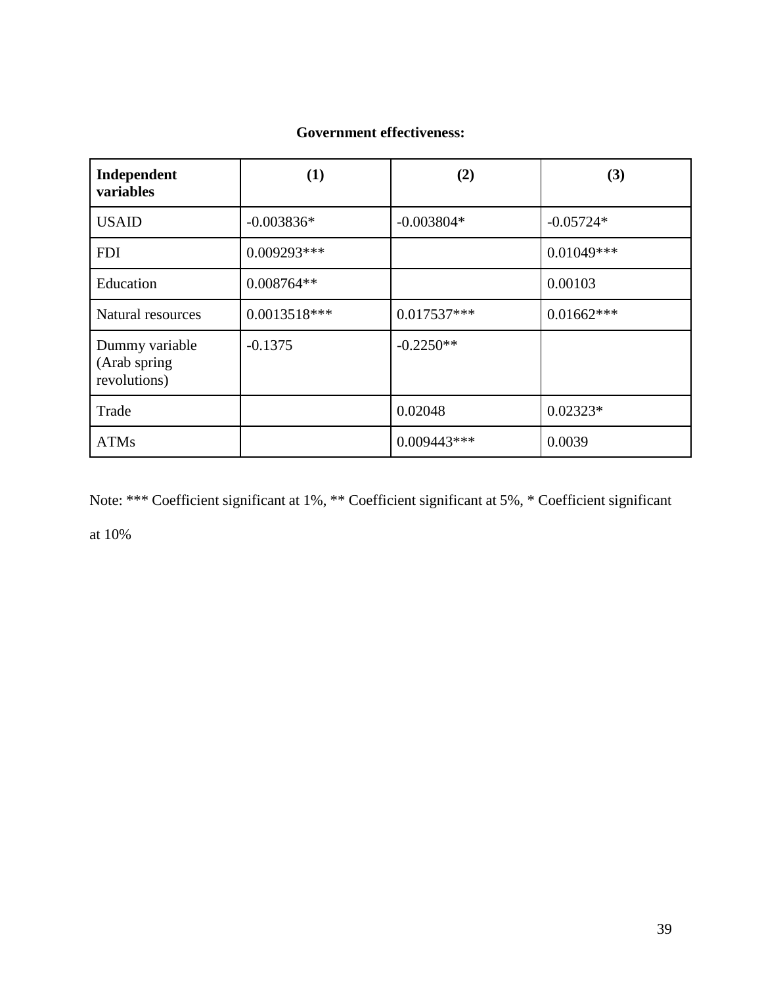# **Government effectiveness:**

| Independent<br>variables                       | (1)            | (2)           | (3)          |
|------------------------------------------------|----------------|---------------|--------------|
| <b>USAID</b>                                   | $-0.003836*$   | $-0.003804*$  | $-0.05724*$  |
| <b>FDI</b>                                     | $0.009293***$  |               | $0.01049***$ |
| Education                                      | $0.008764**$   |               | 0.00103      |
| Natural resources                              | $0.0013518***$ | $0.017537***$ | $0.01662***$ |
| Dummy variable<br>(Arab spring<br>revolutions) | $-0.1375$      | $-0.2250**$   |              |
| Trade                                          |                | 0.02048       | $0.02323*$   |
| <b>ATMs</b>                                    |                | $0.009443***$ | 0.0039       |

Note: \*\*\* Coefficient significant at 1%, \*\* Coefficient significant at 5%, \* Coefficient significant at 10%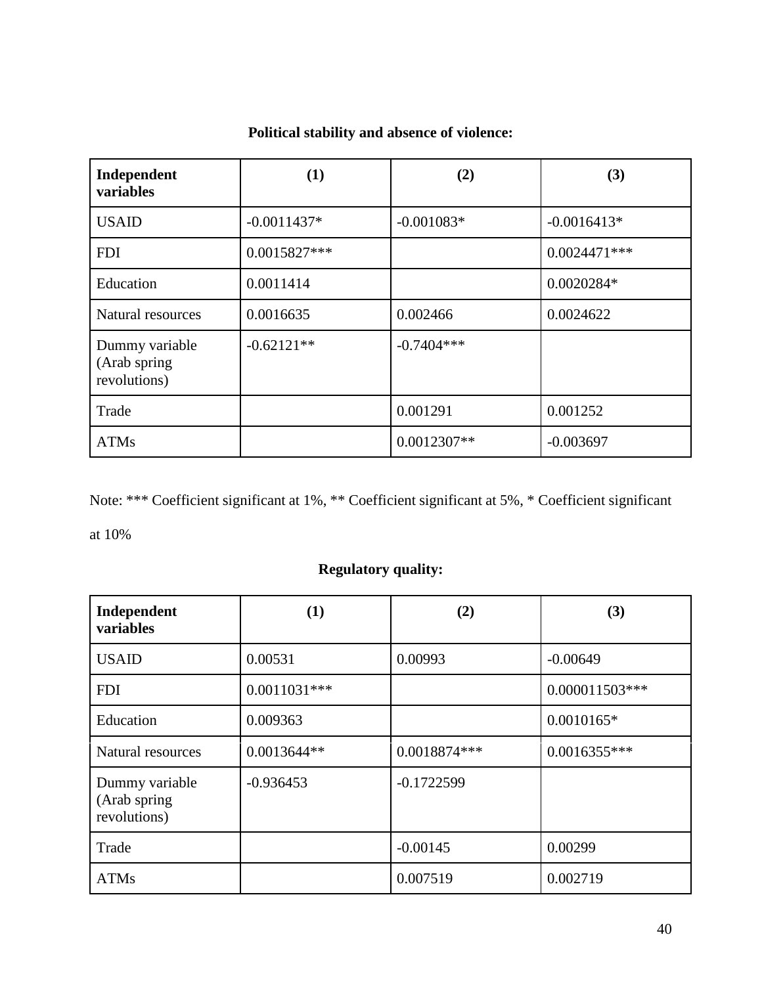| Independent<br>variables                       | (1)           | (2)           | (3)            |
|------------------------------------------------|---------------|---------------|----------------|
| <b>USAID</b>                                   | $-0.0011437*$ | $-0.001083*$  | $-0.0016413*$  |
| <b>FDI</b>                                     | 0.0015827***  |               | $0.0024471***$ |
| Education                                      | 0.0011414     |               | 0.0020284*     |
| Natural resources                              | 0.0016635     | 0.002466      | 0.0024622      |
| Dummy variable<br>(Arab spring<br>revolutions) | $-0.62121**$  | $-0.7404***$  |                |
| Trade                                          |               | 0.001291      | 0.001252       |
| <b>ATMs</b>                                    |               | $0.0012307**$ | $-0.003697$    |

# **Political stability and absence of violence:**

Note: \*\*\* Coefficient significant at 1%, \*\* Coefficient significant at 5%, \* Coefficient significant

at 10%

# **Regulatory quality:**

| Independent<br>variables                       | (1)            | (2)          | (3)              |
|------------------------------------------------|----------------|--------------|------------------|
| <b>USAID</b>                                   | 0.00531        | 0.00993      | $-0.00649$       |
| <b>FDI</b>                                     | $0.0011031***$ |              | $0.000011503***$ |
| Education                                      | 0.009363       |              | $0.0010165*$     |
| Natural resources                              | $0.0013644**$  | 0.0018874*** | $0.0016355***$   |
| Dummy variable<br>(Arab spring<br>revolutions) | $-0.936453$    | $-0.1722599$ |                  |
| Trade                                          |                | $-0.00145$   | 0.00299          |
| <b>ATMs</b>                                    |                | 0.007519     | 0.002719         |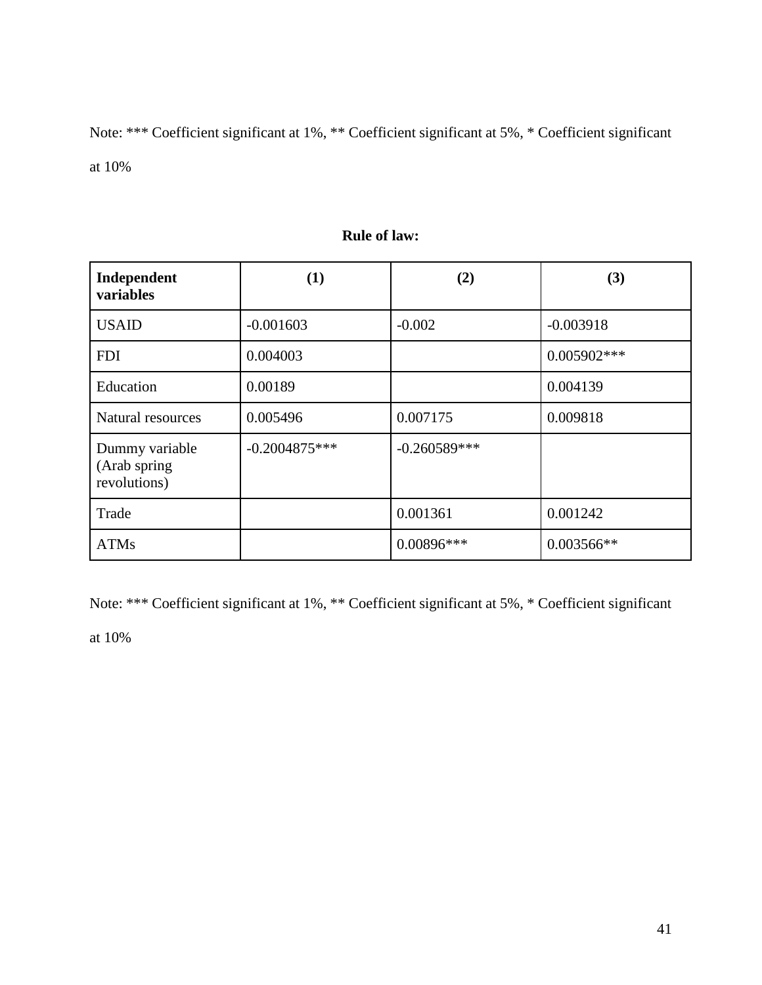Note: \*\*\* Coefficient significant at 1%, \*\* Coefficient significant at 5%, \* Coefficient significant at 10%

| Independent<br>variables                       | (1)             | (2)            | (3)           |
|------------------------------------------------|-----------------|----------------|---------------|
| <b>USAID</b>                                   | $-0.001603$     | $-0.002$       | $-0.003918$   |
| <b>FDI</b>                                     | 0.004003        |                | $0.005902***$ |
| Education                                      | 0.00189         |                | 0.004139      |
| Natural resources                              | 0.005496        | 0.007175       | 0.009818      |
| Dummy variable<br>(Arab spring<br>revolutions) | $-0.2004875***$ | $-0.260589***$ |               |
| Trade                                          |                 | 0.001361       | 0.001242      |
| <b>ATMs</b>                                    |                 | $0.00896***$   | 0.003566**    |

## **Rule of law:**

Note: \*\*\* Coefficient significant at 1%, \*\* Coefficient significant at 5%, \* Coefficient significant

at 10%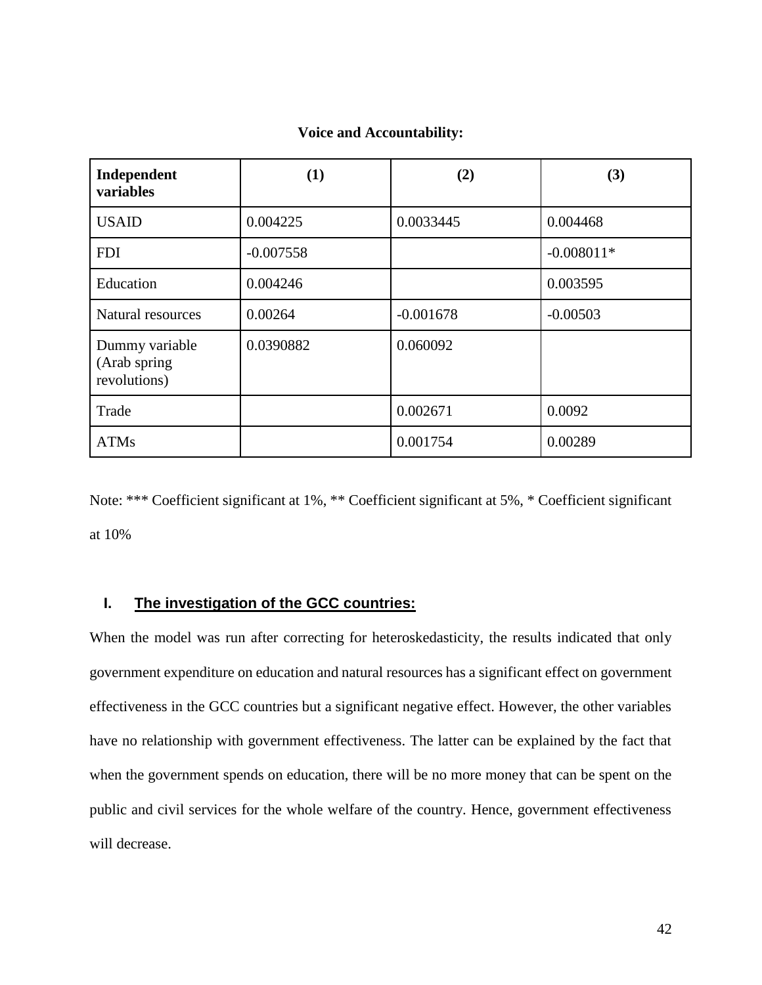| Independent<br>variables                        | (1)         | (2)         | (3)          |
|-------------------------------------------------|-------------|-------------|--------------|
| <b>USAID</b>                                    | 0.004225    | 0.0033445   | 0.004468     |
| <b>FDI</b>                                      | $-0.007558$ |             | $-0.008011*$ |
| Education                                       | 0.004246    |             | 0.003595     |
| Natural resources                               | 0.00264     | $-0.001678$ | $-0.00503$   |
| Dummy variable<br>(Arab spring)<br>revolutions) | 0.0390882   | 0.060092    |              |
| Trade                                           |             | 0.002671    | 0.0092       |
| <b>ATMs</b>                                     |             | 0.001754    | 0.00289      |

#### **Voice and Accountability:**

Note: \*\*\* Coefficient significant at 1%, \*\* Coefficient significant at 5%, \* Coefficient significant at 10%

### **I. The investigation of the GCC countries:**

When the model was run after correcting for heteroskedasticity, the results indicated that only government expenditure on education and natural resources has a significant effect on government effectiveness in the GCC countries but a significant negative effect. However, the other variables have no relationship with government effectiveness. The latter can be explained by the fact that when the government spends on education, there will be no more money that can be spent on the public and civil services for the whole welfare of the country. Hence, government effectiveness will decrease.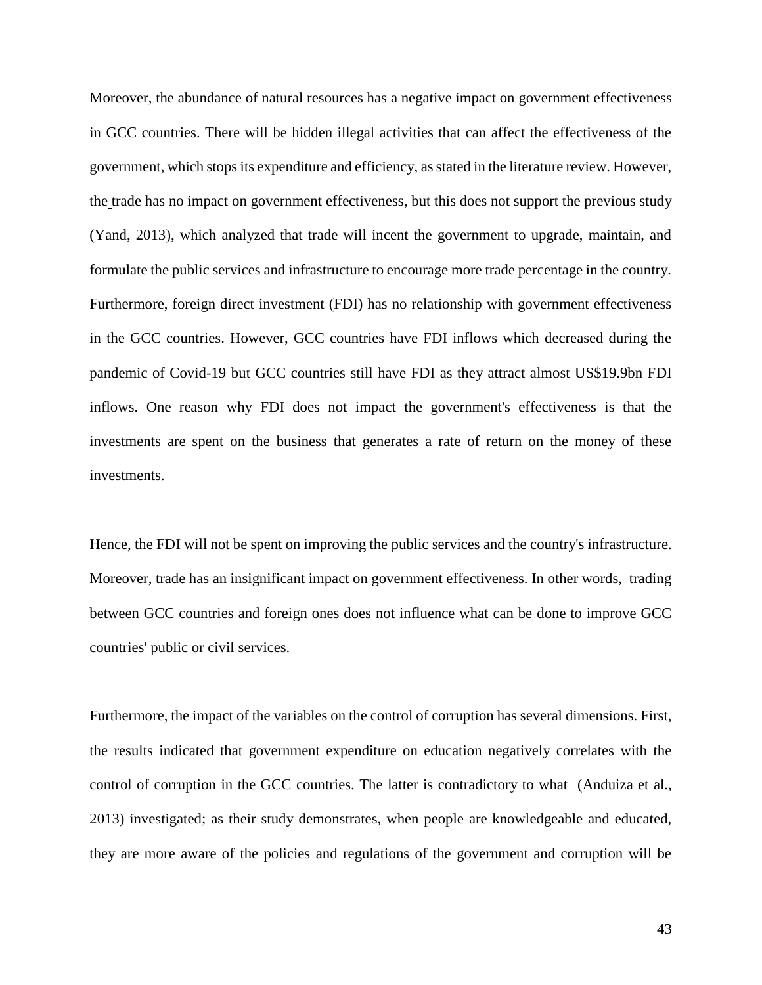Moreover, the abundance of natural resources has a negative impact on government effectiveness in GCC countries. There will be hidden illegal activities that can affect the effectiveness of the government, which stops its expenditure and efficiency, as stated in the literature review. However, the trade has no impact on government effectiveness, but this does not support the previous study (Yand, 2013), which analyzed that trade will incent the government to upgrade, maintain, and formulate the public services and infrastructure to encourage more trade percentage in the country. Furthermore, foreign direct investment (FDI) has no relationship with government effectiveness in the GCC countries. However, GCC countries have FDI inflows which decreased during the pandemic of Covid-19 but GCC countries still have FDI as they attract almost US\$19.9bn FDI inflows. One reason why FDI does not impact the government's effectiveness is that the investments are spent on the business that generates a rate of return on the money of these investments.

Hence, the FDI will not be spent on improving the public services and the country's infrastructure. Moreover, trade has an insignificant impact on government effectiveness. In other words, trading between GCC countries and foreign ones does not influence what can be done to improve GCC countries' public or civil services.

Furthermore, the impact of the variables on the control of corruption has several dimensions. First, the results indicated that government expenditure on education negatively correlates with the control of corruption in the GCC countries. The latter is contradictory to what (Anduiza et al., [2013\)](https://link.springer.com/article/10.1007/s11109-018-9455-7#ref-CR6) investigated; as their study demonstrates, when people are knowledgeable and educated, they are more aware of the policies and regulations of the government and corruption will be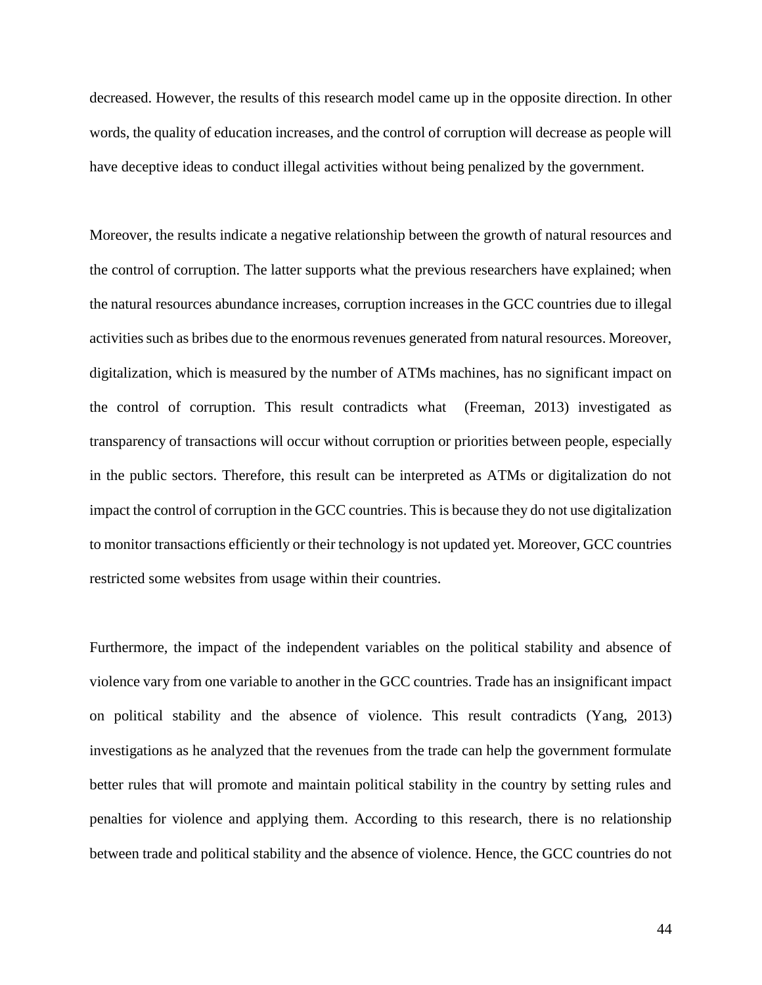decreased. However, the results of this research model came up in the opposite direction. In other words, the quality of education increases, and the control of corruption will decrease as people will have deceptive ideas to conduct illegal activities without being penalized by the government.

Moreover, the results indicate a negative relationship between the growth of natural resources and the control of corruption. The latter supports what the previous researchers have explained; when the natural resources abundance increases, corruption increases in the GCC countries due to illegal activities such as bribes due to the enormous revenues generated from natural resources. Moreover, digitalization, which is measured by the number of ATMs machines, has no significant impact on the control of corruption. This result contradicts what (Freeman, 2013) investigated as transparency of transactions will occur without corruption or priorities between people, especially in the public sectors. Therefore, this result can be interpreted as ATMs or digitalization do not impact the control of corruption in the GCC countries. This is because they do not use digitalization to monitor transactions efficiently or their technology is not updated yet. Moreover, GCC countries restricted some websites from usage within their countries.

Furthermore, the impact of the independent variables on the political stability and absence of violence vary from one variable to another in the GCC countries. Trade has an insignificant impact on political stability and the absence of violence. This result contradicts (Yang, 2013) investigations as he analyzed that the revenues from the trade can help the government formulate better rules that will promote and maintain political stability in the country by setting rules and penalties for violence and applying them. According to this research, there is no relationship between trade and political stability and the absence of violence. Hence, the GCC countries do not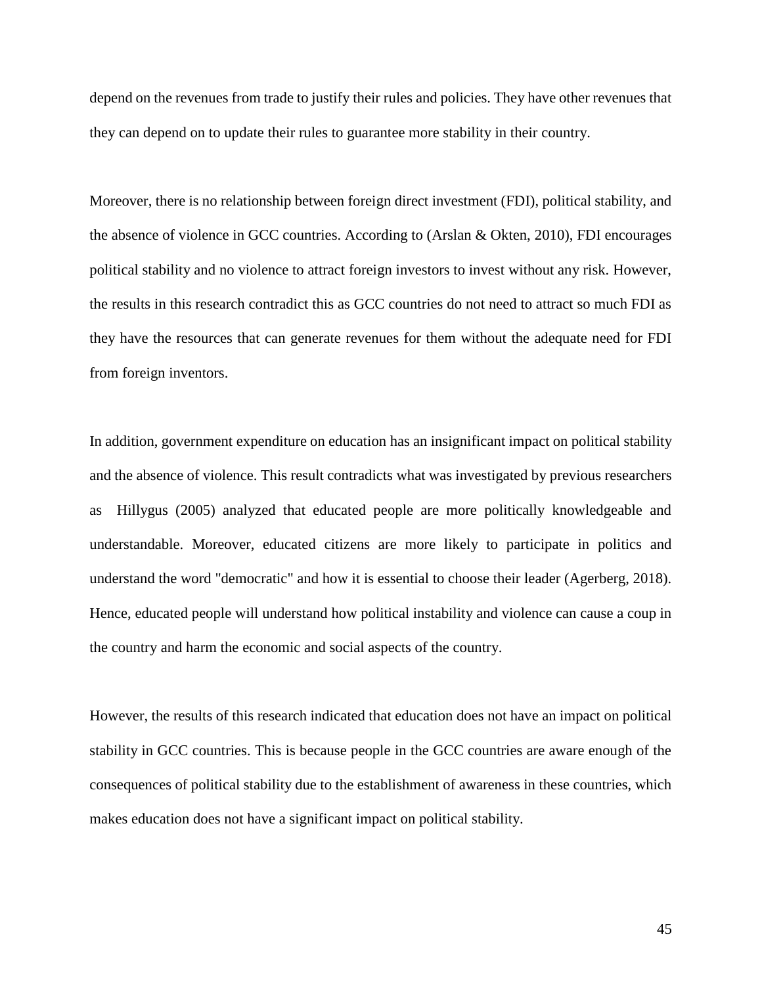depend on the revenues from trade to justify their rules and policies. They have other revenues that they can depend on to update their rules to guarantee more stability in their country.

Moreover, there is no relationship between foreign direct investment (FDI), political stability, and the absence of violence in GCC countries. According to (Arslan & Okten, 2010), FDI encourages political stability and no violence to attract foreign investors to invest without any risk. However, the results in this research contradict this as GCC countries do not need to attract so much FDI as they have the resources that can generate revenues for them without the adequate need for FDI from foreign inventors.

In addition, government expenditure on education has an insignificant impact on political stability and the absence of violence. This result contradicts what was investigated by previous researchers as Hillygus [\(2005\)](https://link.springer.com/article/10.1007/s11109-018-9455-7#ref-CR35) analyzed that educated people are more politically knowledgeable and understandable. Moreover, educated citizens are more likely to participate in politics and understand the word "democratic" and how it is essential to choose their leader (Agerberg, 2018). Hence, educated people will understand how political instability and violence can cause a coup in the country and harm the economic and social aspects of the country.

However, the results of this research indicated that education does not have an impact on political stability in GCC countries. This is because people in the GCC countries are aware enough of the consequences of political stability due to the establishment of awareness in these countries, which makes education does not have a significant impact on political stability.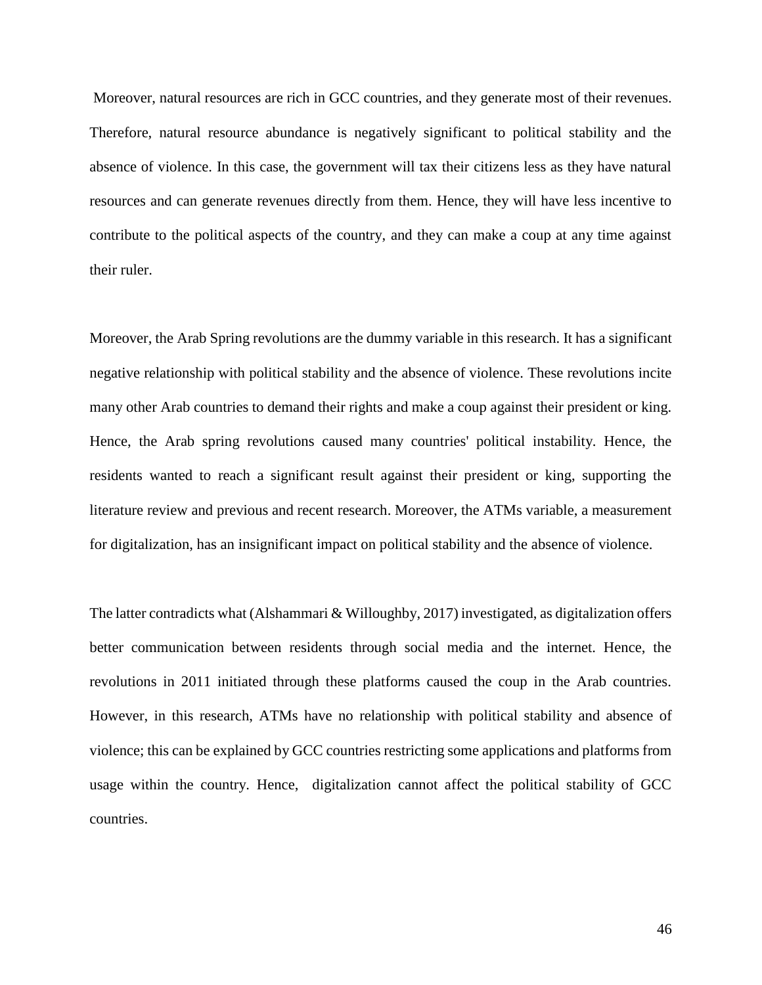Moreover, natural resources are rich in GCC countries, and they generate most of their revenues. Therefore, natural resource abundance is negatively significant to political stability and the absence of violence. In this case, the government will tax their citizens less as they have natural resources and can generate revenues directly from them. Hence, they will have less incentive to contribute to the political aspects of the country, and they can make a coup at any time against their ruler.

Moreover, the Arab Spring revolutions are the dummy variable in this research. It has a significant negative relationship with political stability and the absence of violence. These revolutions incite many other Arab countries to demand their rights and make a coup against their president or king. Hence, the Arab spring revolutions caused many countries' political instability. Hence, the residents wanted to reach a significant result against their president or king, supporting the literature review and previous and recent research. Moreover, the ATMs variable, a measurement for digitalization, has an insignificant impact on political stability and the absence of violence.

The latter contradicts what [\(Alshammari](https://www.researchgate.net/publication/profile/Nayef-Alshammari?_sg%5B0%5D=rU_PL1AuYahu1ScV_Vr4AZGLr1IO4c8EB1kYw0cqXqD2w5KfvuaxDTC7CmRBR9WW10CVj-A.PzZmf8agWkgekFlvUFhL603Yvbo9YW_5OwS-W6bUg5gon7QsP5Olle5xPc7RxlDHissPire-tqt_43KXTn9ItA&_sg%5B1%5D=0D8SQtx8zVkzUv3b_cTYz8CgaAWSInJ50R04RQMryEgSrZIEASBhcSaFP5Zmka5tfQNNngY.PUOCEhwOqtKIaM543tKs9AkEqb-2jGOuc6k_l1aJmV7gI3uSlRYdulX7inJ8imWxbvOAfy7V3oN6-Ll2UG26Sw) & [Willoughby,](https://www.researchgate.net/publication/profile/John-Willoughby-4?_sg%5B0%5D=rU_PL1AuYahu1ScV_Vr4AZGLr1IO4c8EB1kYw0cqXqD2w5KfvuaxDTC7CmRBR9WW10CVj-A.PzZmf8agWkgekFlvUFhL603Yvbo9YW_5OwS-W6bUg5gon7QsP5Olle5xPc7RxlDHissPire-tqt_43KXTn9ItA&_sg%5B1%5D=0D8SQtx8zVkzUv3b_cTYz8CgaAWSInJ50R04RQMryEgSrZIEASBhcSaFP5Zmka5tfQNNngY.PUOCEhwOqtKIaM543tKs9AkEqb-2jGOuc6k_l1aJmV7gI3uSlRYdulX7inJ8imWxbvOAfy7V3oN6-Ll2UG26Sw) 2017) investigated, as digitalization offers better communication between residents through social media and the internet. Hence, the revolutions in 2011 initiated through these platforms caused the coup in the Arab countries. However, in this research, ATMs have no relationship with political stability and absence of violence; this can be explained by GCC countries restricting some applications and platforms from usage within the country. Hence, digitalization cannot affect the political stability of GCC countries.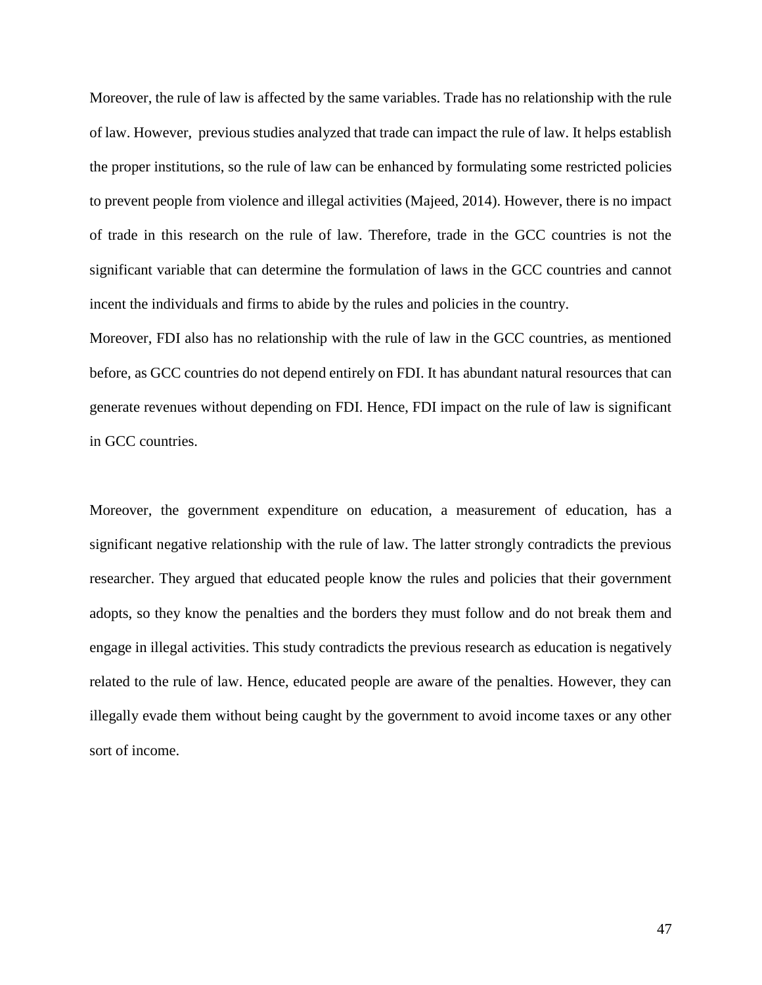Moreover, the rule of law is affected by the same variables. Trade has no relationship with the rule of law. However, previous studies analyzed that trade can impact the rule of law. It helps establish the proper institutions, so the rule of law can be enhanced by formulating some restricted policies to prevent people from violence and illegal activities (Majeed, 2014). However, there is no impact of trade in this research on the rule of law. Therefore, trade in the GCC countries is not the significant variable that can determine the formulation of laws in the GCC countries and cannot incent the individuals and firms to abide by the rules and policies in the country.

Moreover, FDI also has no relationship with the rule of law in the GCC countries, as mentioned before, as GCC countries do not depend entirely on FDI. It has abundant natural resources that can generate revenues without depending on FDI. Hence, FDI impact on the rule of law is significant in GCC countries.

Moreover, the government expenditure on education, a measurement of education, has a significant negative relationship with the rule of law. The latter strongly contradicts the previous researcher. They argued that educated people know the rules and policies that their government adopts, so they know the penalties and the borders they must follow and do not break them and engage in illegal activities. This study contradicts the previous research as education is negatively related to the rule of law. Hence, educated people are aware of the penalties. However, they can illegally evade them without being caught by the government to avoid income taxes or any other sort of income.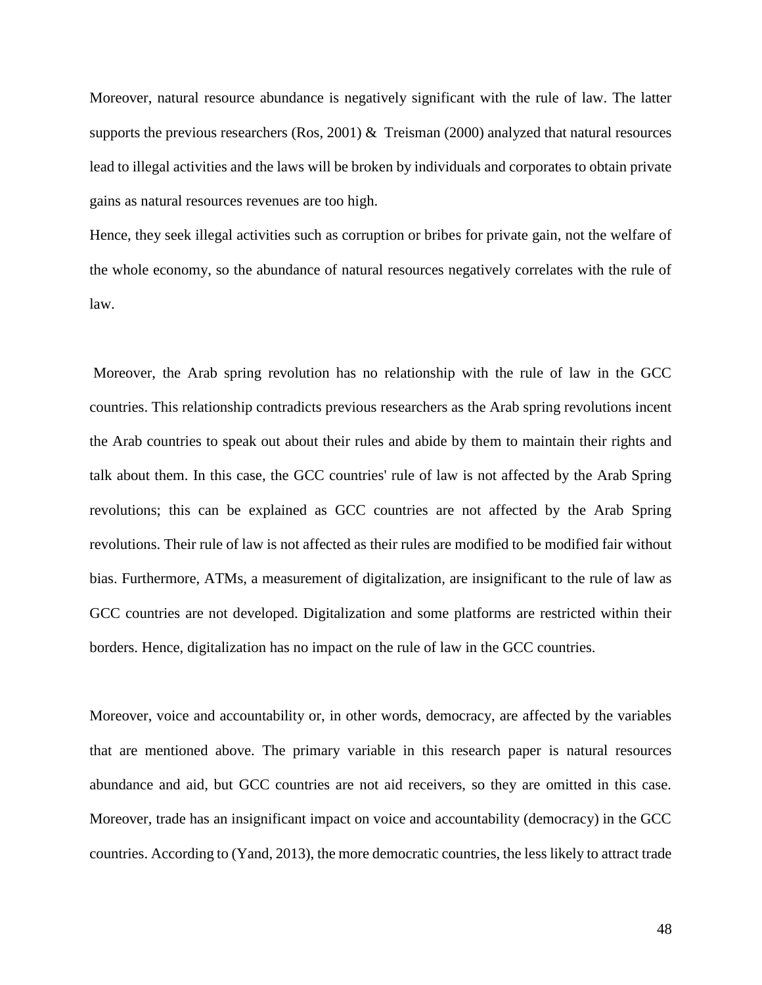Moreover, natural resource abundance is negatively significant with the rule of law. The latter supports the previous researchers (Ros, 2001) & Treisman (2000) analyzed that natural resources lead to illegal activities and the laws will be broken by individuals and corporates to obtain private gains as natural resources revenues are too high.

Hence, they seek illegal activities such as corruption or bribes for private gain, not the welfare of the whole economy, so the abundance of natural resources negatively correlates with the rule of law.

Moreover, the Arab spring revolution has no relationship with the rule of law in the GCC countries. This relationship contradicts previous researchers as the Arab spring revolutions incent the Arab countries to speak out about their rules and abide by them to maintain their rights and talk about them. In this case, the GCC countries' rule of law is not affected by the Arab Spring revolutions; this can be explained as GCC countries are not affected by the Arab Spring revolutions. Their rule of law is not affected as their rules are modified to be modified fair without bias. Furthermore, ATMs, a measurement of digitalization, are insignificant to the rule of law as GCC countries are not developed. Digitalization and some platforms are restricted within their borders. Hence, digitalization has no impact on the rule of law in the GCC countries.

Moreover, voice and accountability or, in other words, democracy, are affected by the variables that are mentioned above. The primary variable in this research paper is natural resources abundance and aid, but GCC countries are not aid receivers, so they are omitted in this case. Moreover, trade has an insignificant impact on voice and accountability (democracy) in the GCC countries. According to (Yand, 2013), the more democratic countries, the less likely to attract trade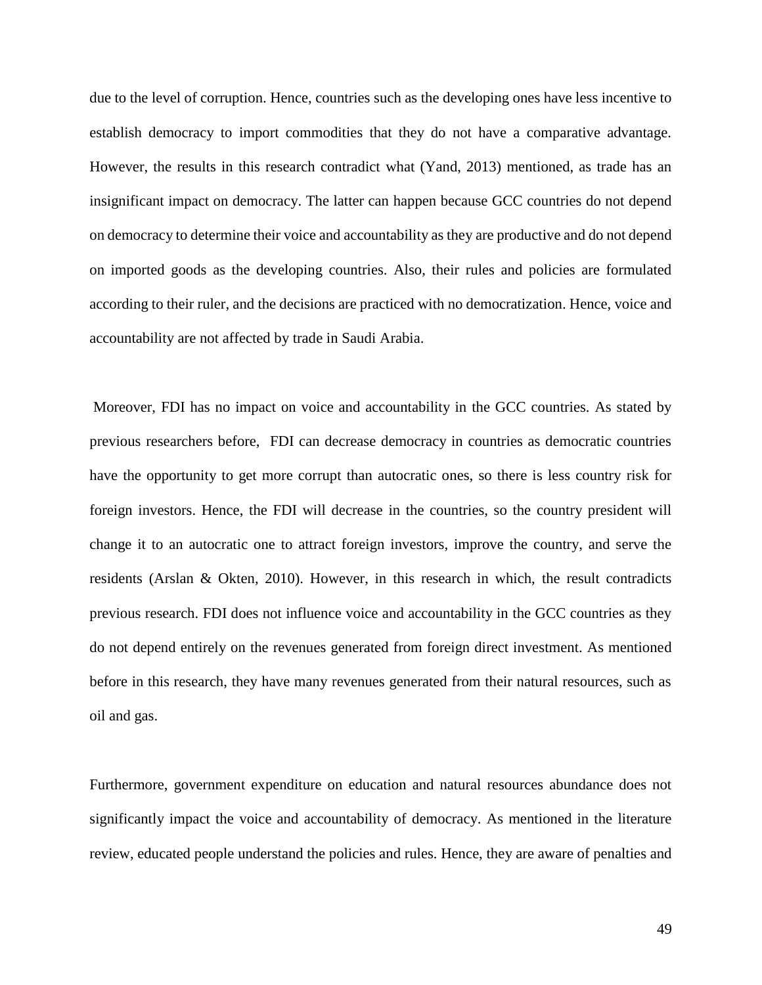due to the level of corruption. Hence, countries such as the developing ones have less incentive to establish democracy to import commodities that they do not have a comparative advantage. However, the results in this research contradict what (Yand, 2013) mentioned, as trade has an insignificant impact on democracy. The latter can happen because GCC countries do not depend on democracy to determine their voice and accountability as they are productive and do not depend on imported goods as the developing countries. Also, their rules and policies are formulated according to their ruler, and the decisions are practiced with no democratization. Hence, voice and accountability are not affected by trade in Saudi Arabia.

Moreover, FDI has no impact on voice and accountability in the GCC countries. As stated by previous researchers before, FDI can decrease democracy in countries as democratic countries have the opportunity to get more corrupt than autocratic ones, so there is less country risk for foreign investors. Hence, the FDI will decrease in the countries, so the country president will change it to an autocratic one to attract foreign investors, improve the country, and serve the residents (Arslan & Okten, 2010). However, in this research in which, the result contradicts previous research. FDI does not influence voice and accountability in the GCC countries as they do not depend entirely on the revenues generated from foreign direct investment. As mentioned before in this research, they have many revenues generated from their natural resources, such as oil and gas.

Furthermore, government expenditure on education and natural resources abundance does not significantly impact the voice and accountability of democracy. As mentioned in the literature review, educated people understand the policies and rules. Hence, they are aware of penalties and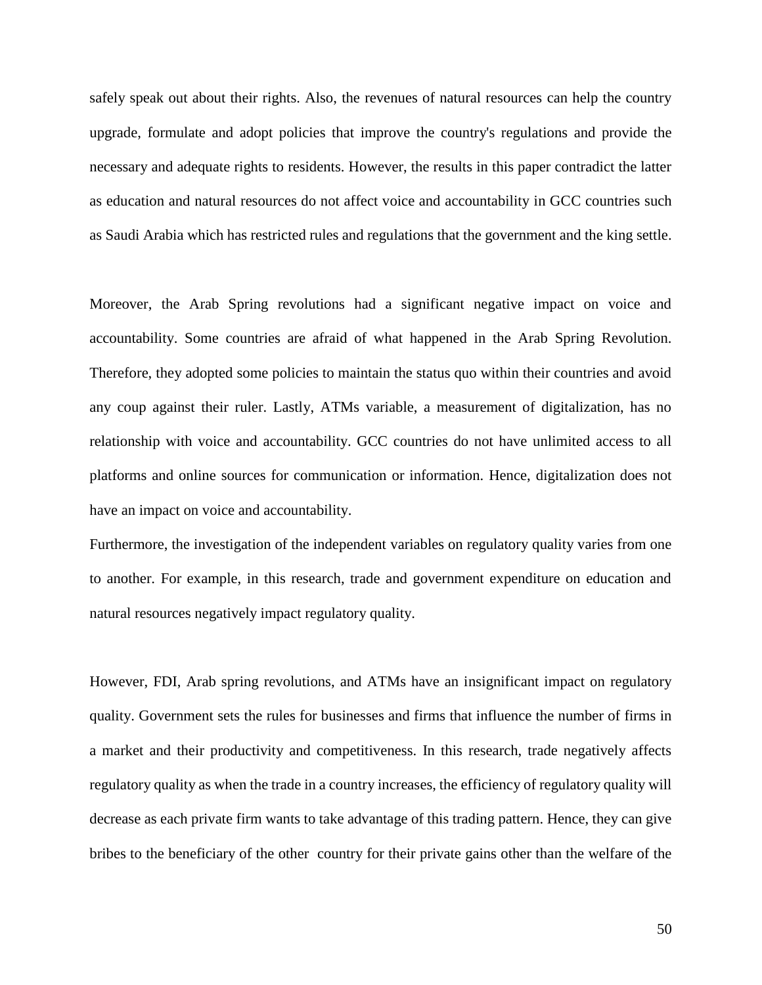safely speak out about their rights. Also, the revenues of natural resources can help the country upgrade, formulate and adopt policies that improve the country's regulations and provide the necessary and adequate rights to residents. However, the results in this paper contradict the latter as education and natural resources do not affect voice and accountability in GCC countries such as Saudi Arabia which has restricted rules and regulations that the government and the king settle.

Moreover, the Arab Spring revolutions had a significant negative impact on voice and accountability. Some countries are afraid of what happened in the Arab Spring Revolution. Therefore, they adopted some policies to maintain the status quo within their countries and avoid any coup against their ruler. Lastly, ATMs variable, a measurement of digitalization, has no relationship with voice and accountability. GCC countries do not have unlimited access to all platforms and online sources for communication or information. Hence, digitalization does not have an impact on voice and accountability.

Furthermore, the investigation of the independent variables on regulatory quality varies from one to another. For example, in this research, trade and government expenditure on education and natural resources negatively impact regulatory quality.

However, FDI, Arab spring revolutions, and ATMs have an insignificant impact on regulatory quality. Government sets the rules for businesses and firms that influence the number of firms in a market and their productivity and competitiveness. In this research, trade negatively affects regulatory quality as when the trade in a country increases, the efficiency of regulatory quality will decrease as each private firm wants to take advantage of this trading pattern. Hence, they can give bribes to the beneficiary of the other country for their private gains other than the welfare of the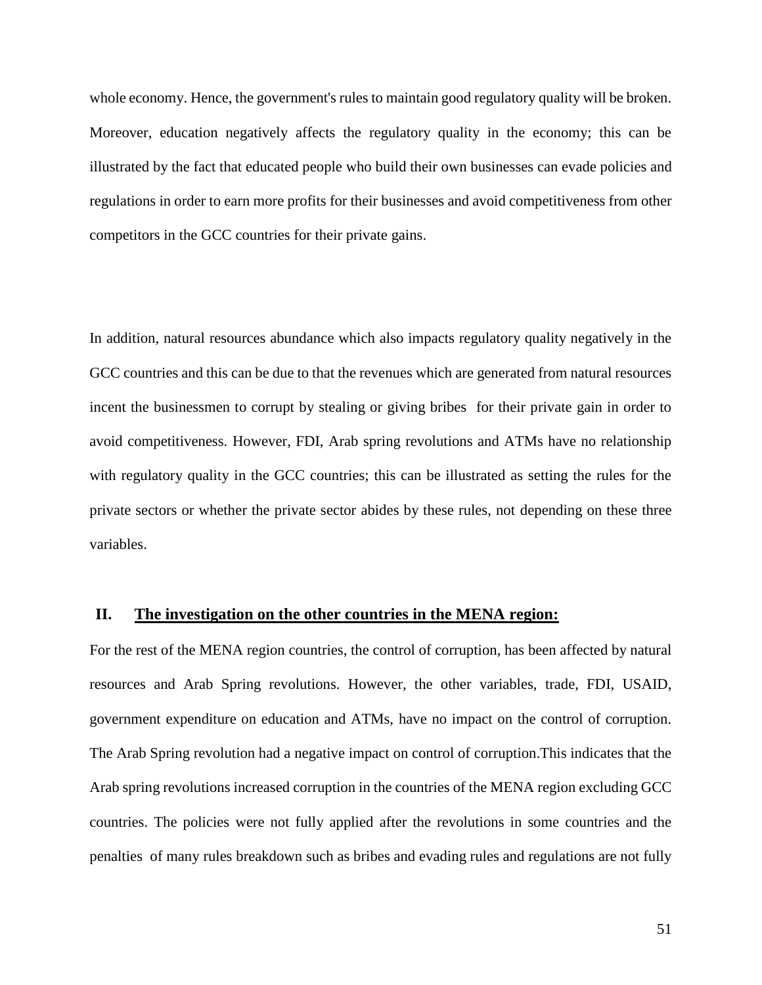whole economy. Hence, the government's rules to maintain good regulatory quality will be broken. Moreover, education negatively affects the regulatory quality in the economy; this can be illustrated by the fact that educated people who build their own businesses can evade policies and regulations in order to earn more profits for their businesses and avoid competitiveness from other competitors in the GCC countries for their private gains.

In addition, natural resources abundance which also impacts regulatory quality negatively in the GCC countries and this can be due to that the revenues which are generated from natural resources incent the businessmen to corrupt by stealing or giving bribes for their private gain in order to avoid competitiveness. However, FDI, Arab spring revolutions and ATMs have no relationship with regulatory quality in the GCC countries; this can be illustrated as setting the rules for the private sectors or whether the private sector abides by these rules, not depending on these three variables.

#### **II. The investigation on the other countries in the MENA region:**

For the rest of the MENA region countries, the control of corruption, has been affected by natural resources and Arab Spring revolutions. However, the other variables, trade, FDI, USAID, government expenditure on education and ATMs, have no impact on the control of corruption. The Arab Spring revolution had a negative impact on control of corruption.This indicates that the Arab spring revolutions increased corruption in the countries of the MENA region excluding GCC countries. The policies were not fully applied after the revolutions in some countries and the penalties of many rules breakdown such as bribes and evading rules and regulations are not fully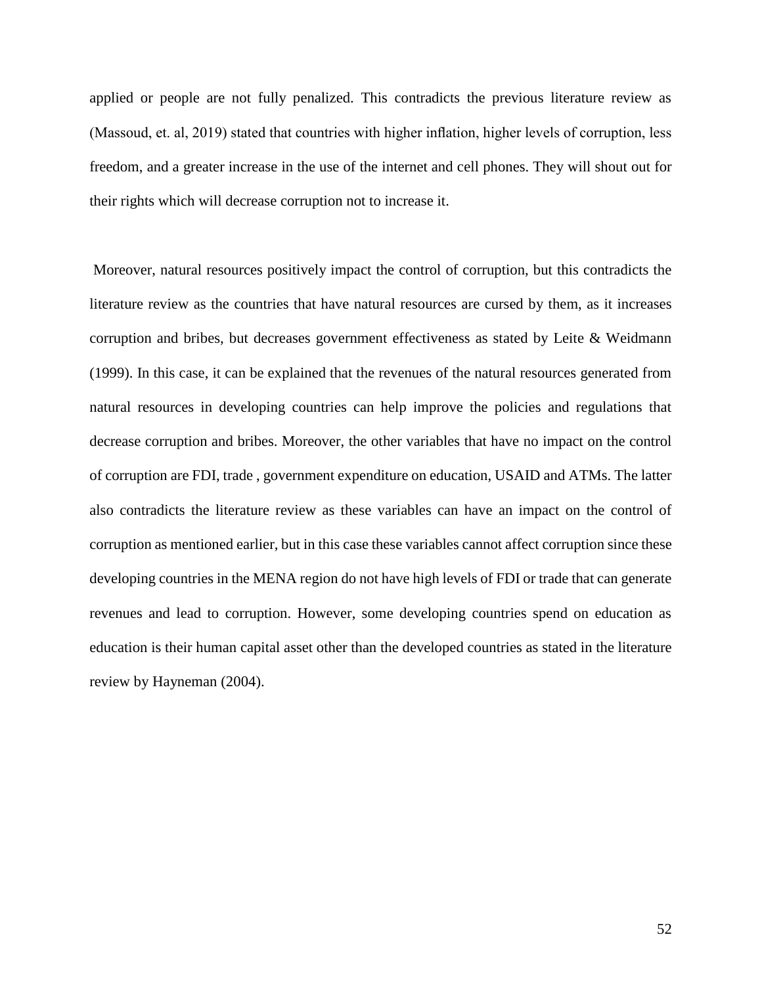applied or people are not fully penalized. This contradicts the previous literature review as (Massoud, et. al, 2019) stated that countries with higher inflation, higher levels of corruption, less freedom, and a greater increase in the use of the internet and cell phones. They will shout out for their rights which will decrease corruption not to increase it.

Moreover, natural resources positively impact the control of corruption, but this contradicts the literature review as the countries that have natural resources are cursed by them, as it increases corruption and bribes, but decreases government effectiveness as stated by Leite & Weidmann (1999). In this case, it can be explained that the revenues of the natural resources generated from natural resources in developing countries can help improve the policies and regulations that decrease corruption and bribes. Moreover, the other variables that have no impact on the control of corruption are FDI, trade , government expenditure on education, USAID and ATMs. The latter also contradicts the literature review as these variables can have an impact on the control of corruption as mentioned earlier, but in this case these variables cannot affect corruption since these developing countries in the MENA region do not have high levels of FDI or trade that can generate revenues and lead to corruption. However, some developing countries spend on education as education is their human capital asset other than the developed countries as stated in the literature review by Hayneman (2004).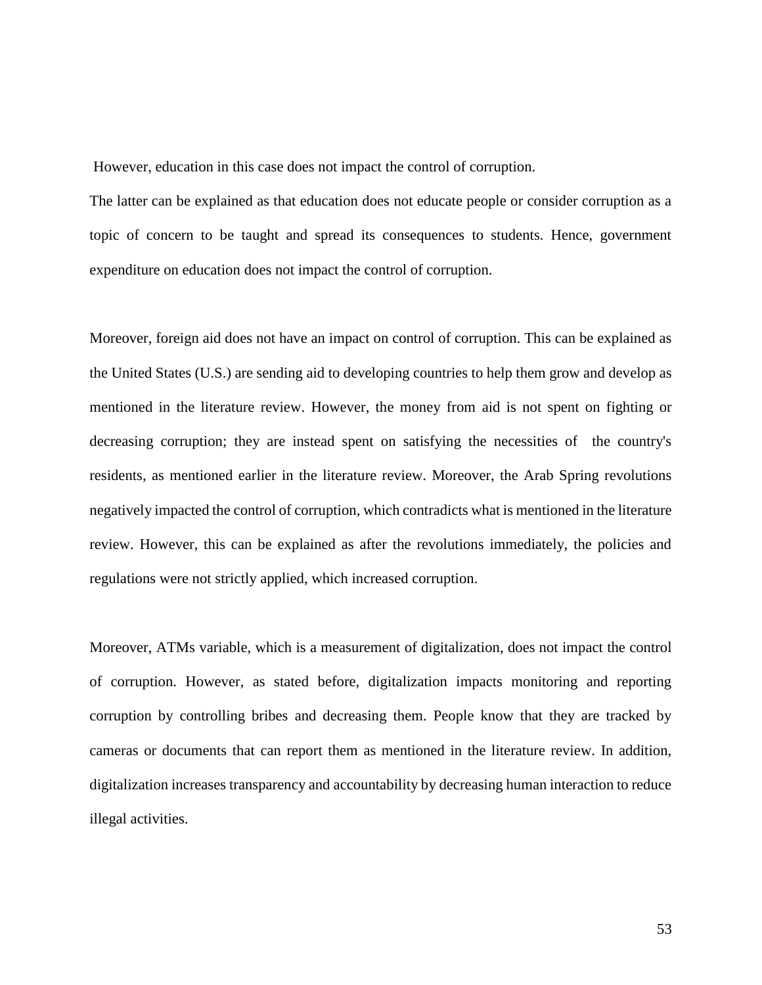However, education in this case does not impact the control of corruption.

The latter can be explained as that education does not educate people or consider corruption as a topic of concern to be taught and spread its consequences to students. Hence, government expenditure on education does not impact the control of corruption.

Moreover, foreign aid does not have an impact on control of corruption. This can be explained as the United States (U.S.) are sending aid to developing countries to help them grow and develop as mentioned in the literature review. However, the money from aid is not spent on fighting or decreasing corruption; they are instead spent on satisfying the necessities of the country's residents, as mentioned earlier in the literature review. Moreover, the Arab Spring revolutions negatively impacted the control of corruption, which contradicts what is mentioned in the literature review. However, this can be explained as after the revolutions immediately, the policies and regulations were not strictly applied, which increased corruption.

Moreover, ATMs variable, which is a measurement of digitalization, does not impact the control of corruption. However, as stated before, digitalization impacts monitoring and reporting corruption by controlling bribes and decreasing them. People know that they are tracked by cameras or documents that can report them as mentioned in the literature review. In addition, digitalization increases transparency and accountability by decreasing human interaction to reduce illegal activities.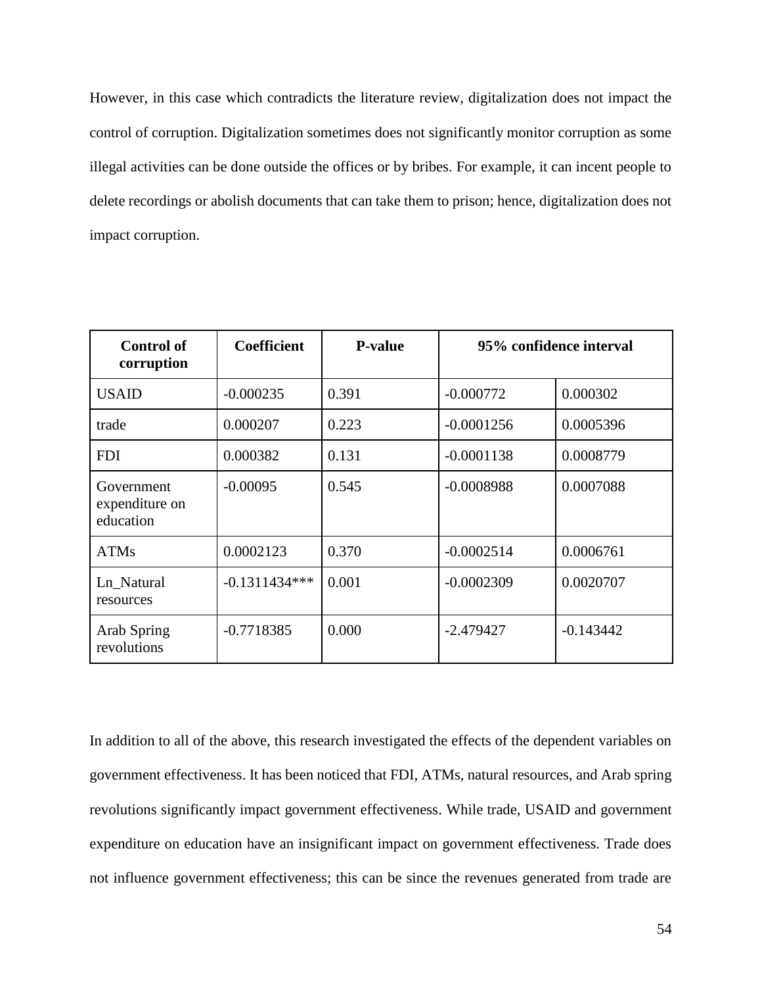However, in this case which contradicts the literature review, digitalization does not impact the control of corruption. Digitalization sometimes does not significantly monitor corruption as some illegal activities can be done outside the offices or by bribes. For example, it can incent people to delete recordings or abolish documents that can take them to prison; hence, digitalization does not impact corruption.

| <b>Control of</b><br>corruption           | <b>Coefficient</b> | <b>P-value</b> | 95% confidence interval |             |
|-------------------------------------------|--------------------|----------------|-------------------------|-------------|
| <b>USAID</b>                              | $-0.000235$        | 0.391          | $-0.000772$             | 0.000302    |
| trade                                     | 0.000207           | 0.223          | $-0.0001256$            | 0.0005396   |
| <b>FDI</b>                                | 0.000382           | 0.131          | $-0.0001138$            | 0.0008779   |
| Government<br>expenditure on<br>education | $-0.00095$         | 0.545          | $-0.0008988$            | 0.0007088   |
| <b>ATMs</b>                               | 0.0002123          | 0.370          | $-0.0002514$            | 0.0006761   |
| Ln_Natural<br>resources                   | $-0.1311434***$    | 0.001          | $-0.0002309$            | 0.0020707   |
| Arab Spring<br>revolutions                | $-0.7718385$       | 0.000          | $-2.479427$             | $-0.143442$ |

In addition to all of the above, this research investigated the effects of the dependent variables on government effectiveness. It has been noticed that FDI, ATMs, natural resources, and Arab spring revolutions significantly impact government effectiveness. While trade, USAID and government expenditure on education have an insignificant impact on government effectiveness. Trade does not influence government effectiveness; this can be since the revenues generated from trade are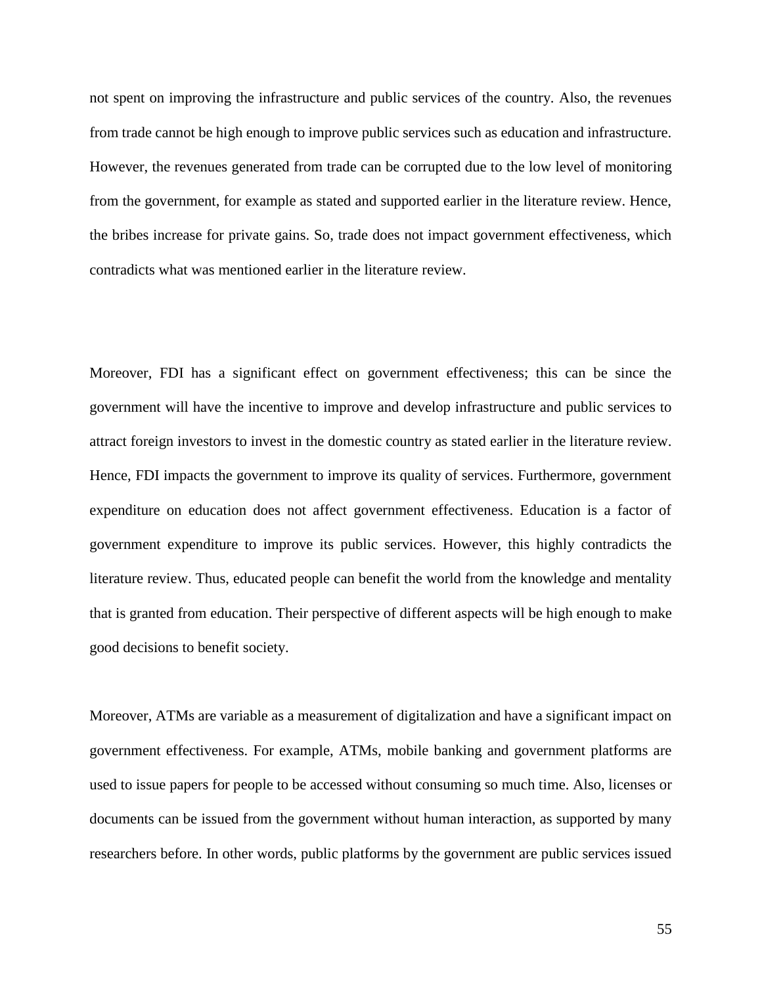not spent on improving the infrastructure and public services of the country. Also, the revenues from trade cannot be high enough to improve public services such as education and infrastructure. However, the revenues generated from trade can be corrupted due to the low level of monitoring from the government, for example as stated and supported earlier in the literature review. Hence, the bribes increase for private gains. So, trade does not impact government effectiveness, which contradicts what was mentioned earlier in the literature review.

Moreover, FDI has a significant effect on government effectiveness; this can be since the government will have the incentive to improve and develop infrastructure and public services to attract foreign investors to invest in the domestic country as stated earlier in the literature review. Hence, FDI impacts the government to improve its quality of services. Furthermore, government expenditure on education does not affect government effectiveness. Education is a factor of government expenditure to improve its public services. However, this highly contradicts the literature review. Thus, educated people can benefit the world from the knowledge and mentality that is granted from education. Their perspective of different aspects will be high enough to make good decisions to benefit society.

Moreover, ATMs are variable as a measurement of digitalization and have a significant impact on government effectiveness. For example, ATMs, mobile banking and government platforms are used to issue papers for people to be accessed without consuming so much time. Also, licenses or documents can be issued from the government without human interaction, as supported by many researchers before. In other words, public platforms by the government are public services issued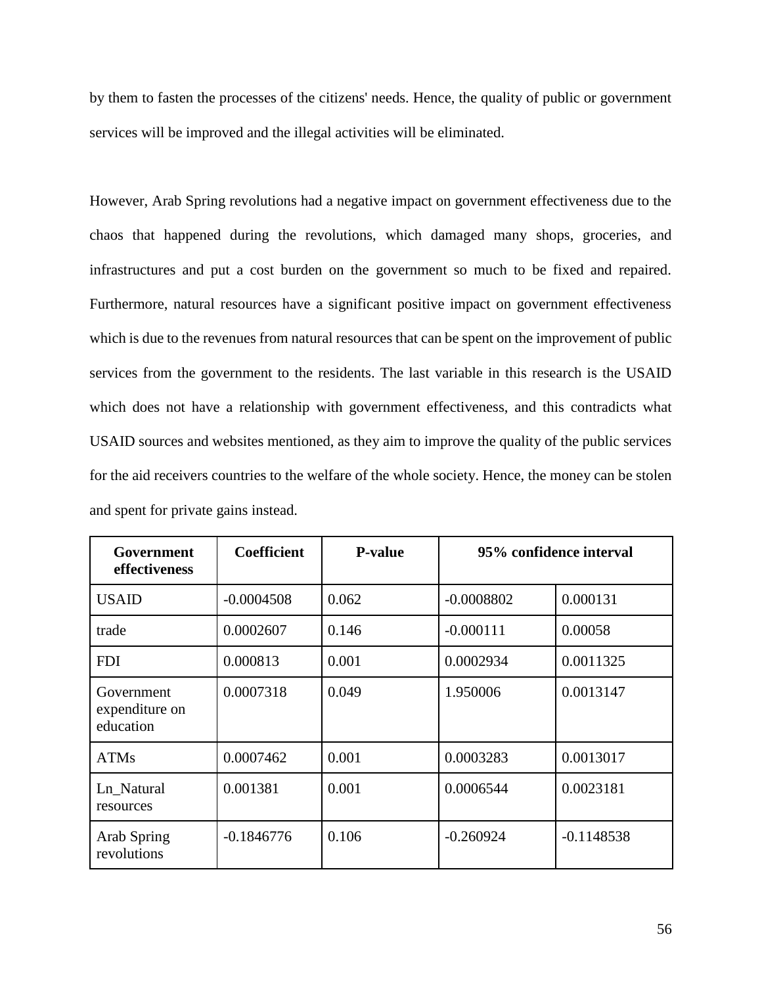by them to fasten the processes of the citizens' needs. Hence, the quality of public or government services will be improved and the illegal activities will be eliminated.

However, Arab Spring revolutions had a negative impact on government effectiveness due to the chaos that happened during the revolutions, which damaged many shops, groceries, and infrastructures and put a cost burden on the government so much to be fixed and repaired. Furthermore, natural resources have a significant positive impact on government effectiveness which is due to the revenues from natural resources that can be spent on the improvement of public services from the government to the residents. The last variable in this research is the USAID which does not have a relationship with government effectiveness, and this contradicts what USAID sources and websites mentioned, as they aim to improve the quality of the public services for the aid receivers countries to the welfare of the whole society. Hence, the money can be stolen and spent for private gains instead.

| Government<br>effectiveness               | <b>Coefficient</b> | <b>P-value</b> | 95% confidence interval |              |
|-------------------------------------------|--------------------|----------------|-------------------------|--------------|
| <b>USAID</b>                              | $-0.0004508$       | 0.062          | $-0.0008802$            | 0.000131     |
| trade                                     | 0.0002607          | 0.146          | $-0.000111$             | 0.00058      |
| <b>FDI</b>                                | 0.000813           | 0.001          | 0.0002934               | 0.0011325    |
| Government<br>expenditure on<br>education | 0.0007318          | 0.049          | 1.950006                | 0.0013147    |
| <b>ATMs</b>                               | 0.0007462          | 0.001          | 0.0003283               | 0.0013017    |
| Ln_Natural<br>resources                   | 0.001381           | 0.001          | 0.0006544               | 0.0023181    |
| Arab Spring<br>revolutions                | $-0.1846776$       | 0.106          | $-0.260924$             | $-0.1148538$ |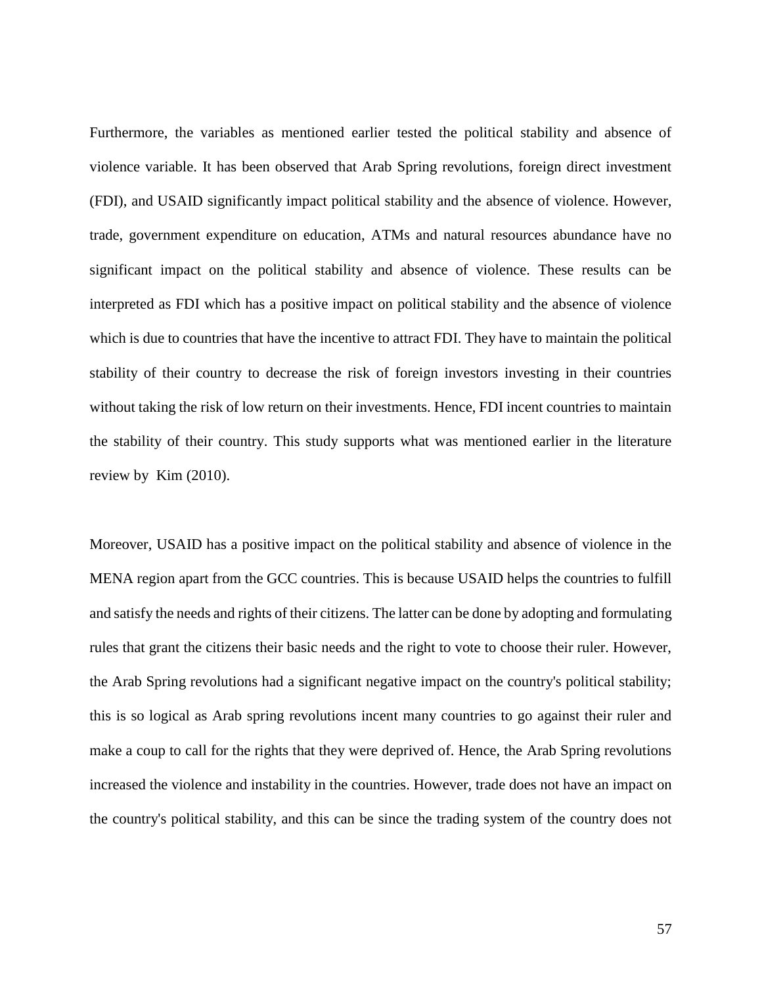Furthermore, the variables as mentioned earlier tested the political stability and absence of violence variable. It has been observed that Arab Spring revolutions, foreign direct investment (FDI), and USAID significantly impact political stability and the absence of violence. However, trade, government expenditure on education, ATMs and natural resources abundance have no significant impact on the political stability and absence of violence. These results can be interpreted as FDI which has a positive impact on political stability and the absence of violence which is due to countries that have the incentive to attract FDI. They have to maintain the political stability of their country to decrease the risk of foreign investors investing in their countries without taking the risk of low return on their investments. Hence, FDI incent countries to maintain the stability of their country. This study supports what was mentioned earlier in the literature review by Kim (2010).

Moreover, USAID has a positive impact on the political stability and absence of violence in the MENA region apart from the GCC countries. This is because USAID helps the countries to fulfill and satisfy the needs and rights of their citizens. The latter can be done by adopting and formulating rules that grant the citizens their basic needs and the right to vote to choose their ruler. However, the Arab Spring revolutions had a significant negative impact on the country's political stability; this is so logical as Arab spring revolutions incent many countries to go against their ruler and make a coup to call for the rights that they were deprived of. Hence, the Arab Spring revolutions increased the violence and instability in the countries. However, trade does not have an impact on the country's political stability, and this can be since the trading system of the country does not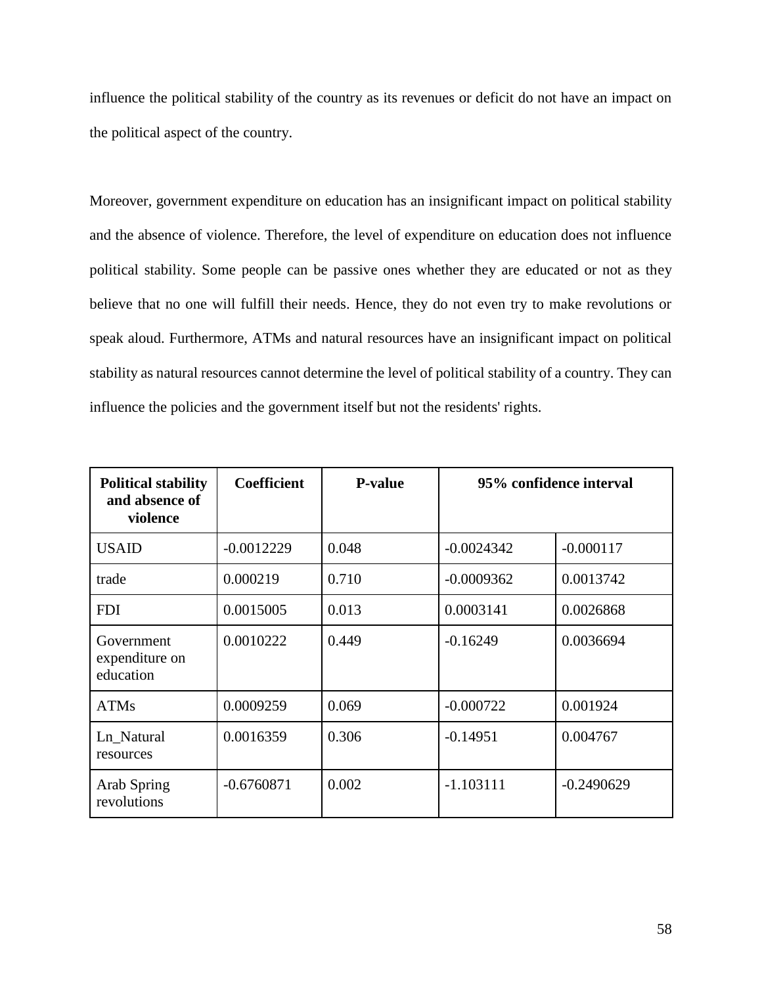influence the political stability of the country as its revenues or deficit do not have an impact on the political aspect of the country.

Moreover, government expenditure on education has an insignificant impact on political stability and the absence of violence. Therefore, the level of expenditure on education does not influence political stability. Some people can be passive ones whether they are educated or not as they believe that no one will fulfill their needs. Hence, they do not even try to make revolutions or speak aloud. Furthermore, ATMs and natural resources have an insignificant impact on political stability as natural resources cannot determine the level of political stability of a country. They can influence the policies and the government itself but not the residents' rights.

| <b>Political stability</b><br>and absence of<br>violence | <b>Coefficient</b> | <b>P-value</b> | 95% confidence interval |              |
|----------------------------------------------------------|--------------------|----------------|-------------------------|--------------|
| <b>USAID</b>                                             | $-0.0012229$       | 0.048          | $-0.0024342$            | $-0.000117$  |
| trade                                                    | 0.000219           | 0.710          | $-0.0009362$            | 0.0013742    |
| <b>FDI</b>                                               | 0.0015005          | 0.013          | 0.0003141               | 0.0026868    |
| Government<br>expenditure on<br>education                | 0.0010222          | 0.449          | $-0.16249$              | 0.0036694    |
| <b>ATMs</b>                                              | 0.0009259          | 0.069          | $-0.000722$             | 0.001924     |
| Ln Natural<br>resources                                  | 0.0016359          | 0.306          | $-0.14951$              | 0.004767     |
| Arab Spring<br>revolutions                               | $-0.6760871$       | 0.002          | $-1.103111$             | $-0.2490629$ |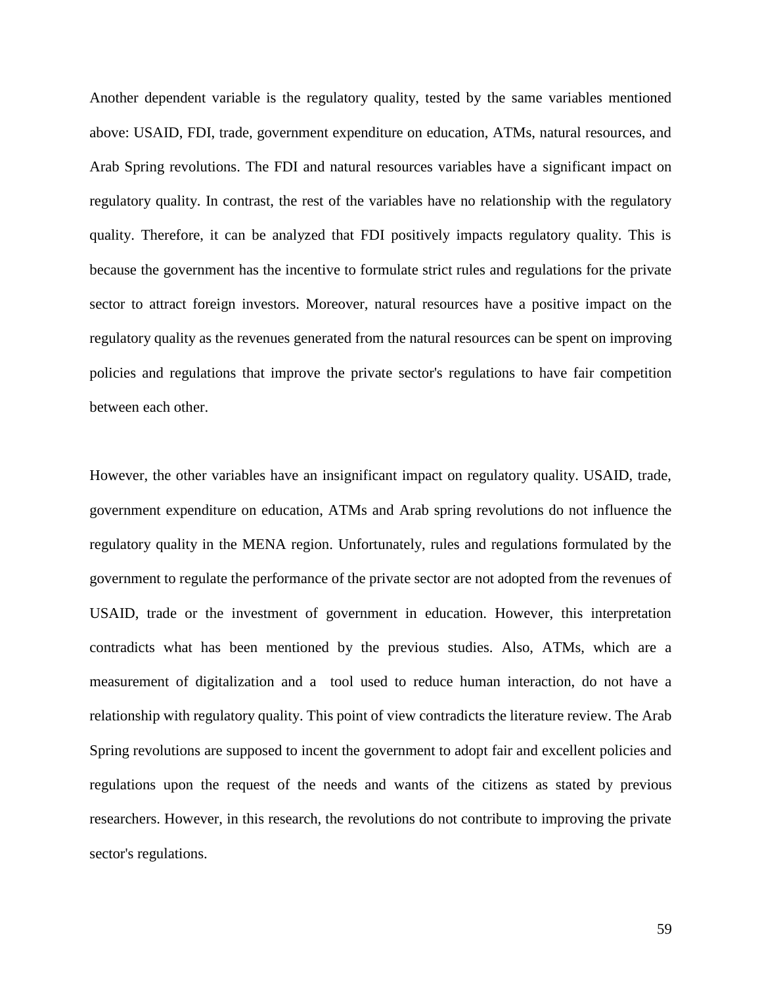Another dependent variable is the regulatory quality, tested by the same variables mentioned above: USAID, FDI, trade, government expenditure on education, ATMs, natural resources, and Arab Spring revolutions. The FDI and natural resources variables have a significant impact on regulatory quality. In contrast, the rest of the variables have no relationship with the regulatory quality. Therefore, it can be analyzed that FDI positively impacts regulatory quality. This is because the government has the incentive to formulate strict rules and regulations for the private sector to attract foreign investors. Moreover, natural resources have a positive impact on the regulatory quality as the revenues generated from the natural resources can be spent on improving policies and regulations that improve the private sector's regulations to have fair competition between each other.

However, the other variables have an insignificant impact on regulatory quality. USAID, trade, government expenditure on education, ATMs and Arab spring revolutions do not influence the regulatory quality in the MENA region. Unfortunately, rules and regulations formulated by the government to regulate the performance of the private sector are not adopted from the revenues of USAID, trade or the investment of government in education. However, this interpretation contradicts what has been mentioned by the previous studies. Also, ATMs, which are a measurement of digitalization and a tool used to reduce human interaction, do not have a relationship with regulatory quality. This point of view contradicts the literature review. The Arab Spring revolutions are supposed to incent the government to adopt fair and excellent policies and regulations upon the request of the needs and wants of the citizens as stated by previous researchers. However, in this research, the revolutions do not contribute to improving the private sector's regulations.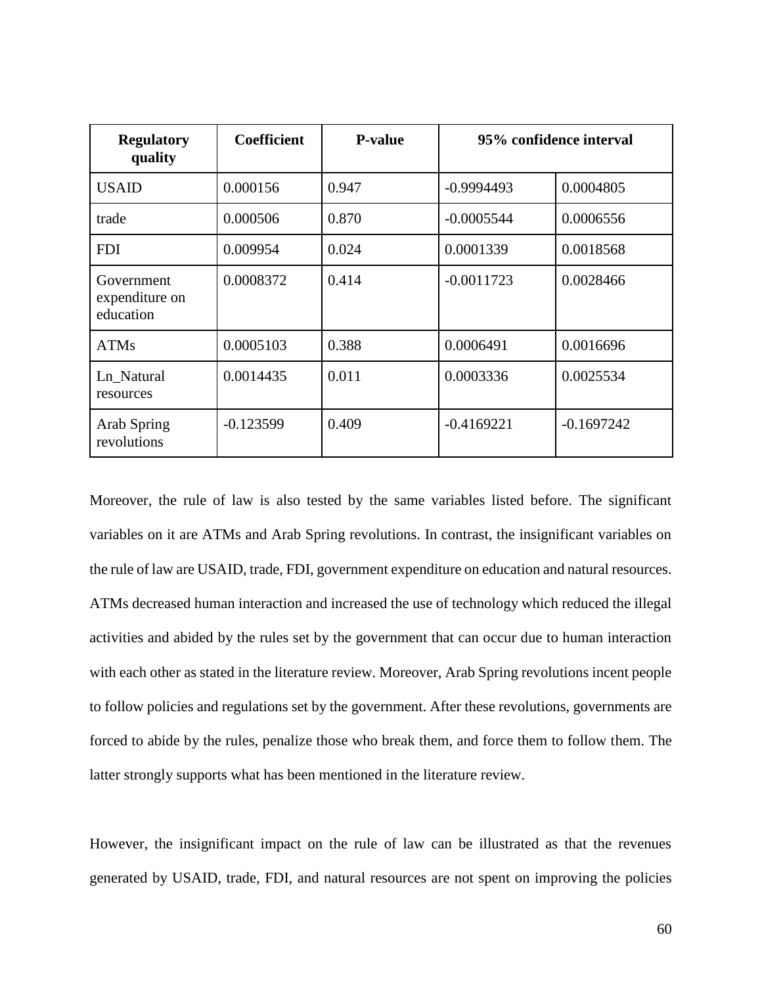| <b>Regulatory</b><br>quality              | <b>Coefficient</b> | <b>P-value</b> | 95% confidence interval |              |
|-------------------------------------------|--------------------|----------------|-------------------------|--------------|
| <b>USAID</b>                              | 0.000156           | 0.947          | $-0.9994493$            | 0.0004805    |
| trade                                     | 0.000506           | 0.870          | $-0.0005544$            | 0.0006556    |
| <b>FDI</b>                                | 0.009954           | 0.024          | 0.0001339               | 0.0018568    |
| Government<br>expenditure on<br>education | 0.0008372          | 0.414          | $-0.0011723$            | 0.0028466    |
| <b>ATMs</b>                               | 0.0005103          | 0.388          | 0.0006491               | 0.0016696    |
| Ln_Natural<br>resources                   | 0.0014435          | 0.011          | 0.0003336               | 0.0025534    |
| Arab Spring<br>revolutions                | $-0.123599$        | 0.409          | $-0.4169221$            | $-0.1697242$ |

Moreover, the rule of law is also tested by the same variables listed before. The significant variables on it are ATMs and Arab Spring revolutions. In contrast, the insignificant variables on the rule of law are USAID, trade, FDI, government expenditure on education and natural resources. ATMs decreased human interaction and increased the use of technology which reduced the illegal activities and abided by the rules set by the government that can occur due to human interaction with each other as stated in the literature review. Moreover, Arab Spring revolutions incent people to follow policies and regulations set by the government. After these revolutions, governments are forced to abide by the rules, penalize those who break them, and force them to follow them. The latter strongly supports what has been mentioned in the literature review.

However, the insignificant impact on the rule of law can be illustrated as that the revenues generated by USAID, trade, FDI, and natural resources are not spent on improving the policies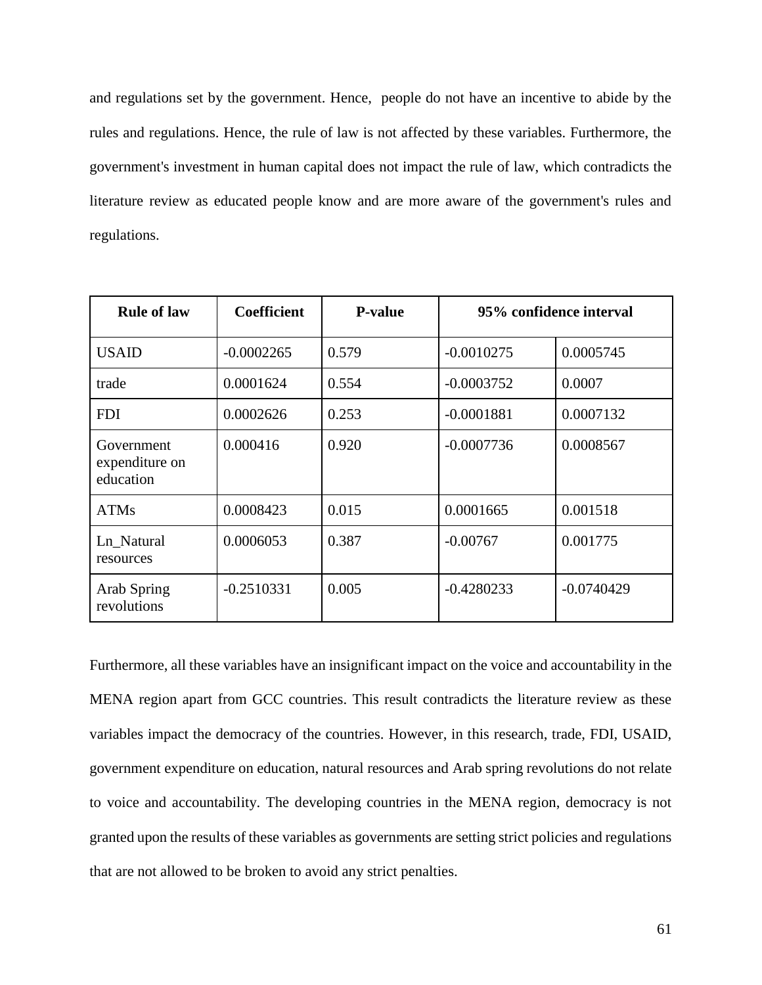and regulations set by the government. Hence, people do not have an incentive to abide by the rules and regulations. Hence, the rule of law is not affected by these variables. Furthermore, the government's investment in human capital does not impact the rule of law, which contradicts the literature review as educated people know and are more aware of the government's rules and regulations.

| <b>Rule of law</b>                        | <b>Coefficient</b> | <b>P-value</b> | 95% confidence interval |              |
|-------------------------------------------|--------------------|----------------|-------------------------|--------------|
| <b>USAID</b>                              | $-0.0002265$       | 0.579          | $-0.0010275$            | 0.0005745    |
| trade                                     | 0.0001624          | 0.554          | $-0.0003752$            | 0.0007       |
| <b>FDI</b>                                | 0.0002626          | 0.253          | $-0.0001881$            | 0.0007132    |
| Government<br>expenditure on<br>education | 0.000416           | 0.920          | $-0.0007736$            | 0.0008567    |
| <b>ATMs</b>                               | 0.0008423          | 0.015          | 0.0001665               | 0.001518     |
| Ln Natural<br>resources                   | 0.0006053          | 0.387          | $-0.00767$              | 0.001775     |
| Arab Spring<br>revolutions                | $-0.2510331$       | 0.005          | $-0.4280233$            | $-0.0740429$ |

Furthermore, all these variables have an insignificant impact on the voice and accountability in the MENA region apart from GCC countries. This result contradicts the literature review as these variables impact the democracy of the countries. However, in this research, trade, FDI, USAID, government expenditure on education, natural resources and Arab spring revolutions do not relate to voice and accountability. The developing countries in the MENA region, democracy is not granted upon the results of these variables as governments are setting strict policies and regulations that are not allowed to be broken to avoid any strict penalties.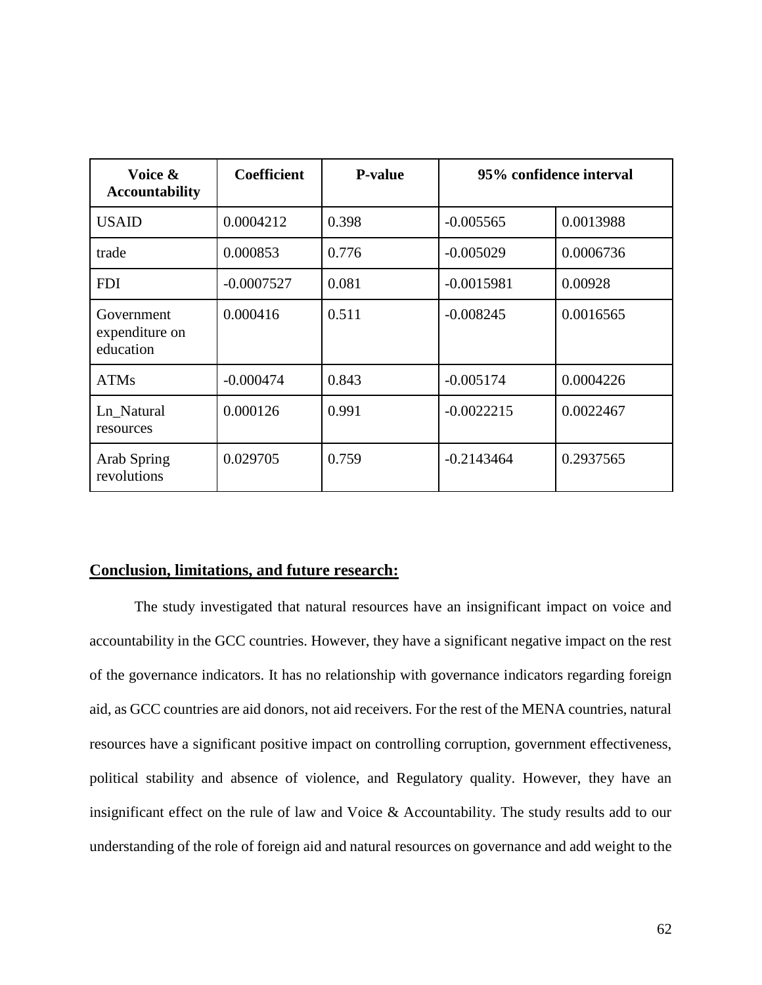| Voice &<br><b>Accountability</b>          | <b>Coefficient</b> | <b>P-value</b> | 95% confidence interval |           |
|-------------------------------------------|--------------------|----------------|-------------------------|-----------|
| <b>USAID</b>                              | 0.0004212          | 0.398          | $-0.005565$             | 0.0013988 |
| trade                                     | 0.000853           | 0.776          | $-0.005029$             | 0.0006736 |
| <b>FDI</b>                                | $-0.0007527$       | 0.081          | $-0.0015981$            | 0.00928   |
| Government<br>expenditure on<br>education | 0.000416           | 0.511          | $-0.008245$             | 0.0016565 |
| <b>ATMs</b>                               | $-0.000474$        | 0.843          | $-0.005174$             | 0.0004226 |
| Ln_Natural<br>resources                   | 0.000126           | 0.991          | $-0.0022215$            | 0.0022467 |
| Arab Spring<br>revolutions                | 0.029705           | 0.759          | $-0.2143464$            | 0.2937565 |

### **Conclusion, limitations, and future research:**

The study investigated that natural resources have an insignificant impact on voice and accountability in the GCC countries. However, they have a significant negative impact on the rest of the governance indicators. It has no relationship with governance indicators regarding foreign aid, as GCC countries are aid donors, not aid receivers. For the rest of the MENA countries, natural resources have a significant positive impact on controlling corruption, government effectiveness, political stability and absence of violence, and Regulatory quality. However, they have an insignificant effect on the rule of law and Voice & Accountability. The study results add to our understanding of the role of foreign aid and natural resources on governance and add weight to the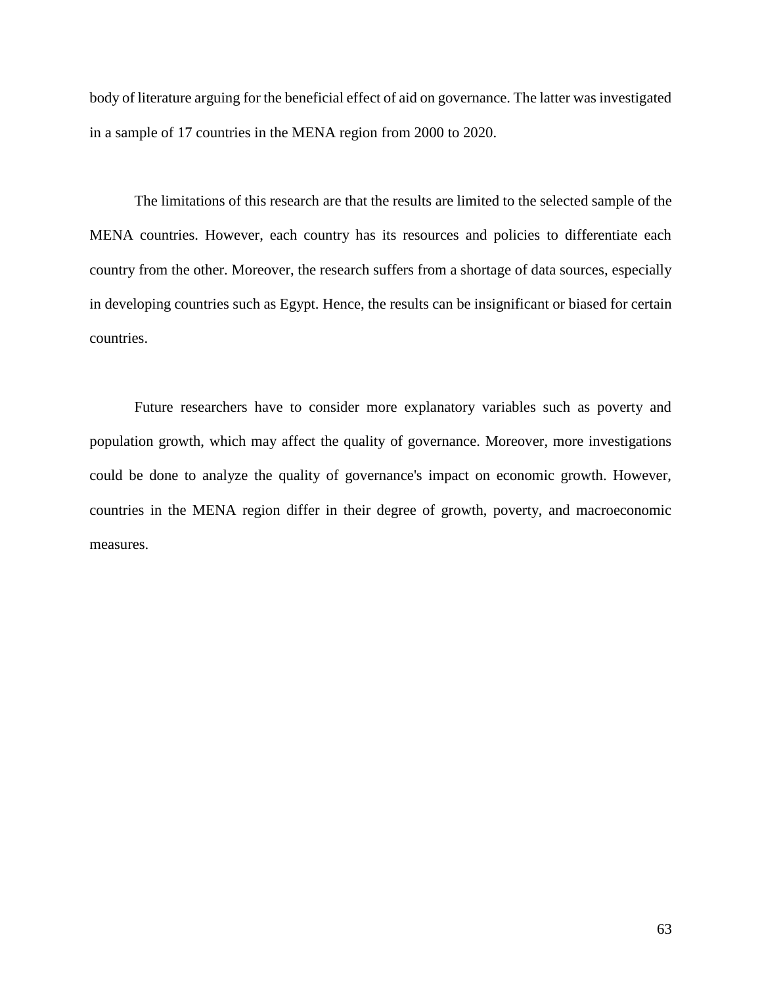body of literature arguing for the beneficial effect of aid on governance. The latter was investigated in a sample of 17 countries in the MENA region from 2000 to 2020.

The limitations of this research are that the results are limited to the selected sample of the MENA countries. However, each country has its resources and policies to differentiate each country from the other. Moreover, the research suffers from a shortage of data sources, especially in developing countries such as Egypt. Hence, the results can be insignificant or biased for certain countries.

Future researchers have to consider more explanatory variables such as poverty and population growth, which may affect the quality of governance. Moreover, more investigations could be done to analyze the quality of governance's impact on economic growth. However, countries in the MENA region differ in their degree of growth, poverty, and macroeconomic measures.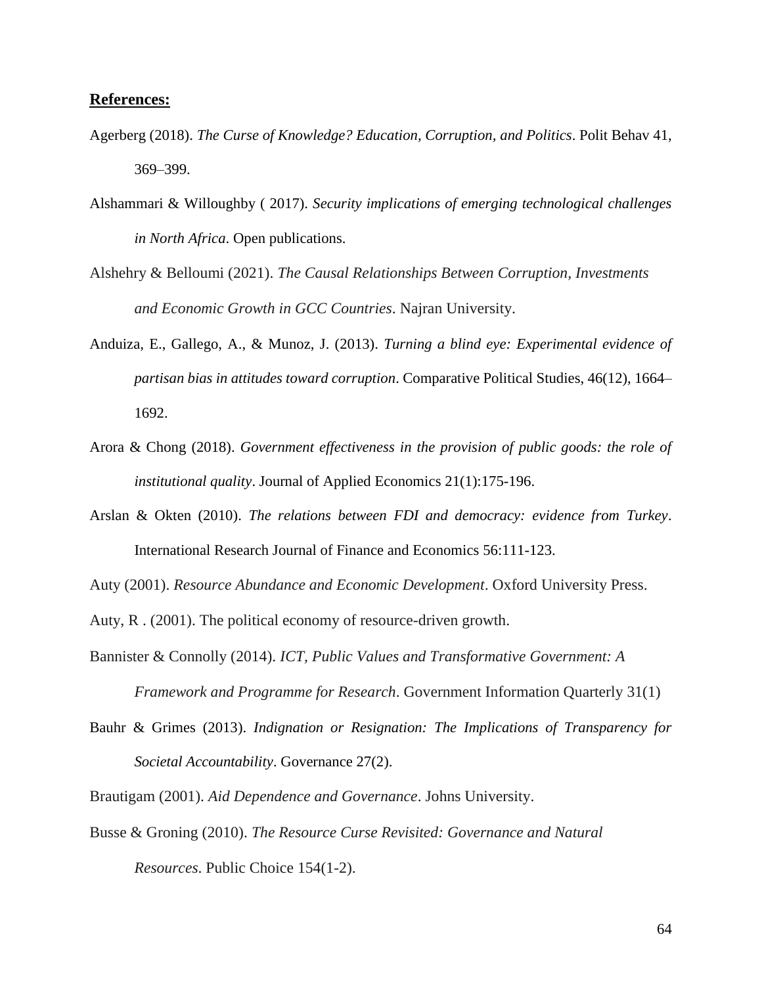#### **References:**

- Agerberg (2018). *The Curse of Knowledge? Education, Corruption, and Politics*. Polit Behav 41, 369–399.
- [Alshammari](https://www.researchgate.net/publication/profile/Nayef-Alshammari?_sg%5B0%5D=rU_PL1AuYahu1ScV_Vr4AZGLr1IO4c8EB1kYw0cqXqD2w5KfvuaxDTC7CmRBR9WW10CVj-A.PzZmf8agWkgekFlvUFhL603Yvbo9YW_5OwS-W6bUg5gon7QsP5Olle5xPc7RxlDHissPire-tqt_43KXTn9ItA&_sg%5B1%5D=0D8SQtx8zVkzUv3b_cTYz8CgaAWSInJ50R04RQMryEgSrZIEASBhcSaFP5Zmka5tfQNNngY.PUOCEhwOqtKIaM543tKs9AkEqb-2jGOuc6k_l1aJmV7gI3uSlRYdulX7inJ8imWxbvOAfy7V3oN6-Ll2UG26Sw) & [Willoughby](https://www.researchgate.net/publication/profile/John-Willoughby-4?_sg%5B0%5D=rU_PL1AuYahu1ScV_Vr4AZGLr1IO4c8EB1kYw0cqXqD2w5KfvuaxDTC7CmRBR9WW10CVj-A.PzZmf8agWkgekFlvUFhL603Yvbo9YW_5OwS-W6bUg5gon7QsP5Olle5xPc7RxlDHissPire-tqt_43KXTn9ItA&_sg%5B1%5D=0D8SQtx8zVkzUv3b_cTYz8CgaAWSInJ50R04RQMryEgSrZIEASBhcSaFP5Zmka5tfQNNngY.PUOCEhwOqtKIaM543tKs9AkEqb-2jGOuc6k_l1aJmV7gI3uSlRYdulX7inJ8imWxbvOAfy7V3oN6-Ll2UG26Sw) ( 2017). *Security implications of emerging technological challenges in North Africa*. Open publications.
- Alshehry & Belloumi (2021). *The Causal Relationships Between Corruption, Investments and Economic Growth in GCC Countries*. Najran University.
- Anduiza, E., Gallego, A., & Munoz, J. (2013). *Turning a blind eye: Experimental evidence of partisan bias in attitudes toward corruption*. Comparative Political Studies, 46(12), 1664– 1692.
- Arora & Chong (2018). *Government effectiveness in the provision of public goods: the role of institutional quality*. [Journal of Applied Economics](https://www.researchgate.net/publication/journal/Journal-of-Applied-Economics-1667-6726) 21(1):175-196.
- Arslan & Okten (2010). *The relations between FDI and democracy: evidence from Turkey*. [International Research Journal of Finance and Economics](https://www.researchgate.net/publication/journal/International-Research-Journal-of-Finance-and-Economics-1450-2887) 56:111-123.

Auty (2001). *Resource Abundance and Economic Development*. Oxford University Press.

Auty, R . (2001). The political economy of resource-driven growth.

- Bannister & Connolly (2014). *ICT, Public Values and Transformative Government: A Framework and Programme for Research*. [Government Information Quarterly](https://www.researchgate.net/publication/journal/Government-Information-Quarterly-0740-624X) 31(1)
- Bauhr & Grimes [\(2013](https://link.springer.com/article/10.1007/s11109-018-9455-7#ref-CR8)). *Indignation or Resignation: The Implications of Transparency for Societal Accountability*. [Governance](https://www.researchgate.net/publication/journal/Governance-1468-0491) 27(2).
- Brautigam (2001). *Aid Dependence and Governance*. Johns University.
- Busse & Groning (2010). *The Resource Curse Revisited: Governance and Natural Resources*. [Public Choice](https://www.researchgate.net/publication/journal/Public-Choice-1573-7101) 154(1-2).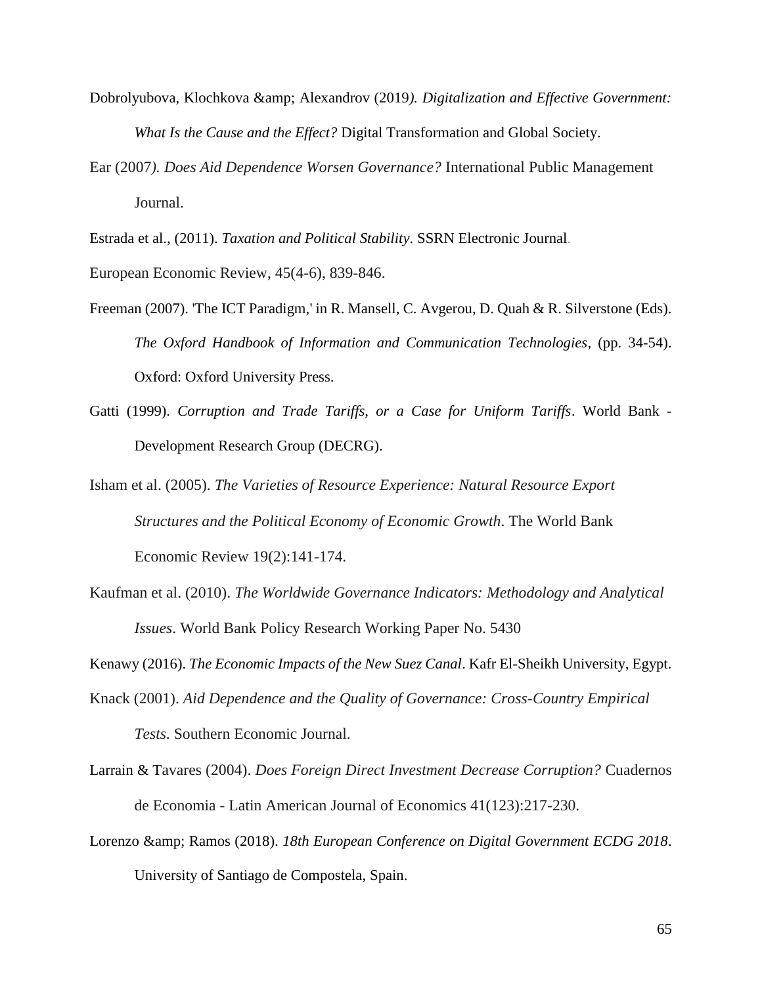- Dobrolyubova, Klochkova & Alexandrov (2019*). Digitalization and Effective Government: What Is the Cause and the Effect?* Digital Transformation and Global Society.
- Ear (2007*). Does Aid Dependence Worsen Governance?* [International Public Management](https://www.tandfonline.com/journals/upmj20)  [Journal.](https://www.tandfonline.com/journals/upmj20)

Estrada et al., (2011). *Taxation and Political Stability*. [SSRN Electronic Journal](https://www.researchgate.net/publication/journal/SSRN-Electronic-Journal-1556-5068).

European Economic Review, 45(4-6), 839-846.

- Freeman (2007). 'The ICT Paradigm,' in R. Mansell, C. Avgerou, D. Quah & R. Silverstone (Eds). *The Oxford Handbook of Information and Communication Technologies*, (pp. 34-54). Oxford: Oxford University Press.
- Gatti (1999). *Corruption and Trade Tariffs, or a Case for Uniform Tariffs*. World Bank Development Research Group (DECRG).
- Isham et al. (2005). *The Varieties of Resource Experience: Natural Resource Export Structures and the Political Economy of Economic Growth*. [The World Bank](https://www.researchgate.net/publication/journal/The-World-Bank-Economic-Review-1564-698X)  [Economic Review](https://www.researchgate.net/publication/journal/The-World-Bank-Economic-Review-1564-698X) 19(2):141-174.
- Kaufman et al. (2010). *The Worldwide Governance Indicators: Methodology and Analytical Issues*. [World Bank Policy Research Working Paper No. 5430](https://papers.ssrn.com/sol3/papers.cfm?abstract_id=1682130)

Kenawy (2016). *The Economic Impacts of the New Suez Canal*. Kafr El-Sheikh University, Egypt.

Knack (2001). *Aid Dependence and the Quality of Governance: Cross-Country Empirical* 

*Tests*. Southern Economic Journal.

- Larrain & Tavares (2004). *Does Foreign Direct Investment Decrease Corruption?* [Cuadernos](https://www.researchgate.net/publication/journal/Cuadernos-de-Economia-Latin-American-Journal-of-Economics-0717-6821)  de Economia - [Latin American Journal of Economics](https://www.researchgate.net/publication/journal/Cuadernos-de-Economia-Latin-American-Journal-of-Economics-0717-6821) 41(123):217-230.
- Lorenzo & amp; Ramos (2018). *18th European Conference on Digital Government ECDG 2018*. University of Santiago de Compostela, Spain.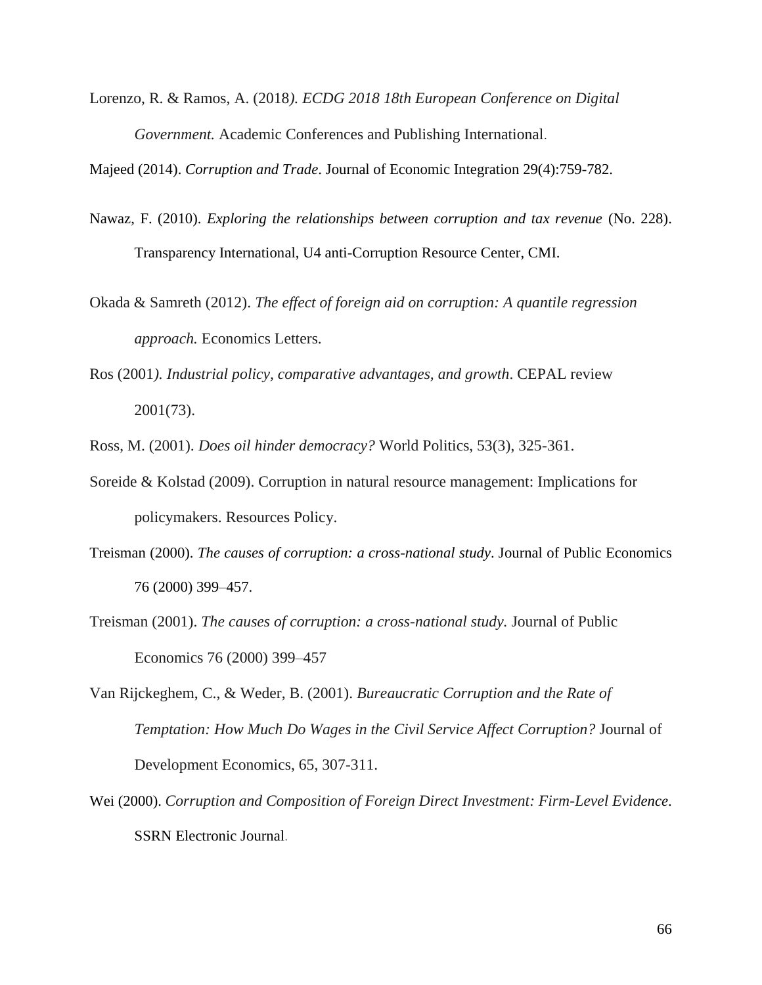Lorenzo, R. & Ramos, A. (2018*). ECDG 2018 18th European Conference on Digital Government.* [Academic Conferences and Publishing International](http://www.academic-bookshop.com/).

Majeed (2014). *Corruption and Trade*. [Journal of Economic Integration](https://www.researchgate.net/publication/journal/Journal-of-Economic-Integration-1976-5525) 29(4):759-782.

- Nawaz, F. (2010). *Exploring the relationships between corruption and tax revenue* (No. 228). Transparency International, U4 anti-Corruption Resource Center, CMI.
- Okada & Samreth (2012). *The effect of foreign aid on corruption: A quantile regression approach.* [Economics Letters.](https://econpapers.repec.org/article/eeeecolet/)
- Ros (2001*). Industrial policy, comparative advantages, and growth*. [CEPAL review](https://www.researchgate.net/journal/CEPAL-review-0251-2920) 2001(73).

Ross, M. (2001). *Does oil hinder democracy?* World Politics, 53(3), 325-361.

- Soreide & Kolstad (2009). Corruption in natural resource management: Implications for policymakers. [Resources Policy](https://www.sciencedirect.com/journal/resources-policy).
- Treisman (2000). *The causes of corruption: a cross-national study*. Journal of Public Economics 76 (2000) 399–457.
- Treisman (2001). *The causes of corruption: a cross-national study.* Journal of Public Economics 76 (2000) 399–457
- Van Rijckeghem, C., & Weder, B. (2001). *Bureaucratic Corruption and the Rate of Temptation: How Much Do Wages in the Civil Service Affect Corruption?* Journal of Development Economics, 65, 307-311.
- Wei (2000). *Corruption and Composition of Foreign Direct Investment: Firm-Level Evidence*. [SSRN Electronic Journal](https://www.researchgate.net/publication/journal/SSRN-Electronic-Journal-1556-5068).